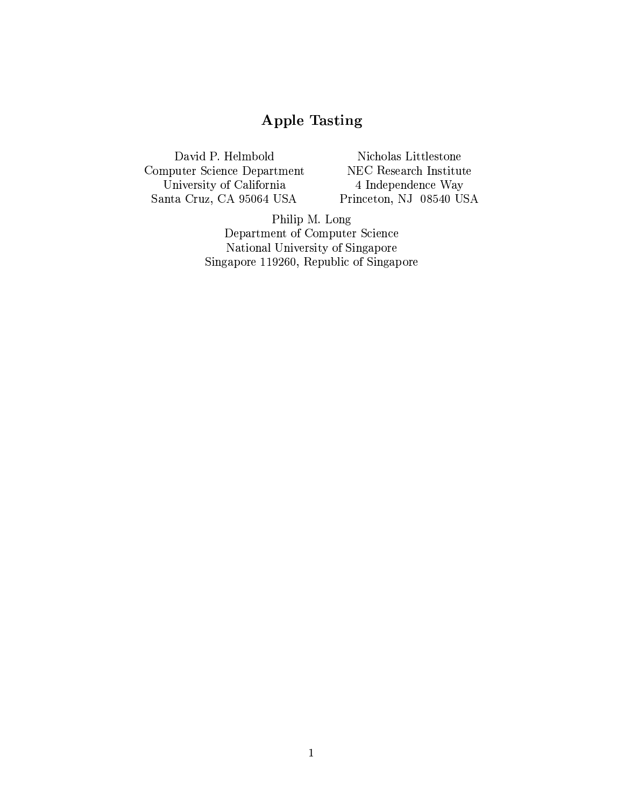# **Apple Tasting**

David P. Helmbold Computer Science Department University of California Santa Cruz, CA 95064 USA

Nicholas Littlestone NEC Research Institute 4 Independence Way Princeton, NJ 08540 USA

Philip M. Long Department of Computer Science National University of Singapore Singapore 119260, Republic of Singapore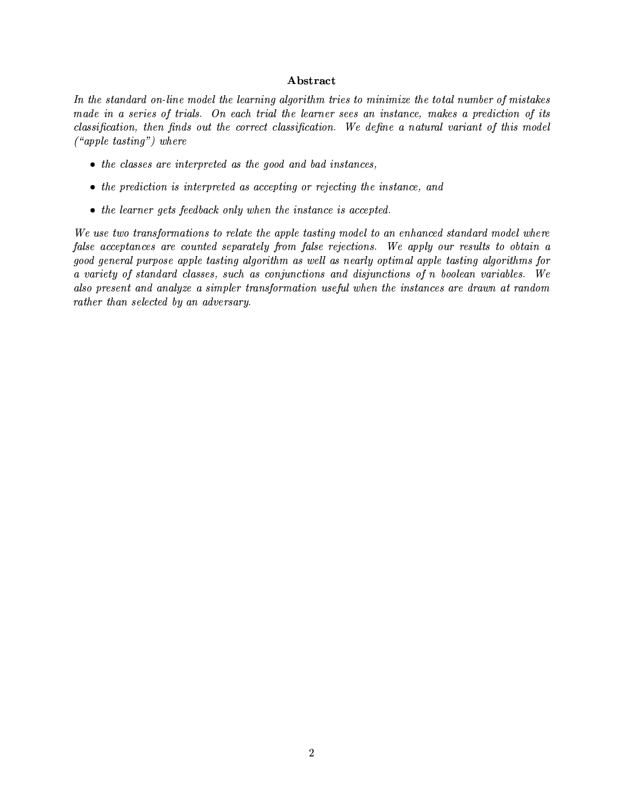# Abstract

In the standard on-line model the learning algorithm tries to minimize the total number of mistakes made in a series of trials. On each trial the learner sees an instance, makes a prediction of its classification, then finds out the correct classification. We define a natural variant of this model  $('^{\alpha}apple$  tasting") where

- $\bullet$  the classes are interpreted as the good and bad instances.
- the prediction is interpreted as accepting or rejecting the instance, and
- $\bullet$  the learner gets feedback only when the instance is accepted.

We use two transformations to relate the apple tasting model to an enhanced standard model where false acceptances are counted separately from false rejections. We apply our results to obtain a good general purpose apple tasting algorithm as well as nearly optimal apple tasting algorithms for a variety of standard classes, such as conjunctions and disjunctions of n boolean variables. We also present and analyze a simpler transformation useful when the instances are drawn at random rather than selected by an adversary.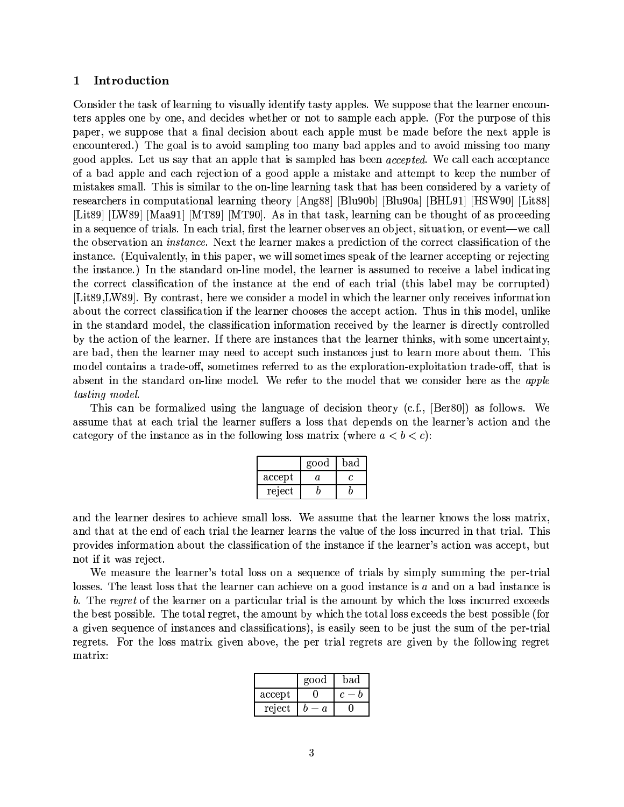### Introduction  $\mathbf{1}$

Consider the task of learning to visually identify tasty apples. We suppose that the learner encounters apples one by one, and decides whether or not to sample each apple. (For the purpose of this paper, we suppose that a final decision about each apple must be made before the next apple is encountered.) The goal is to avoid sampling too many bad apples and to avoid missing too many good apples. Let us say that an apple that is sampled has been *accepted*. We call each acceptance of a bad apple and each rejection of a good apple a mistake and attempt to keep the number of mistakes small. This is similar to the on-line learning task that has been considered by a variety of researchers in computational learning theory [Ang88] [Blu90b] [Blu90a] [BHL91] [HSW90] [Lit88] [Lit89] [LW89] [Maa91] [MT89] [MT90]. As in that task, learning can be thought of as proceeding in a sequence of trials. In each trial, first the learner observes an object, situation, or event—we call the observation an *instance*. Next the learner makes a prediction of the correct classification of the instance. (Equivalently, in this paper, we will sometimes speak of the learner accepting or rejecting the instance.) In the standard on-line model, the learner is assumed to receive a label indicating the correct classification of the instance at the end of each trial (this label may be corrupted) [Lit89,LW89]. By contrast, here we consider a model in which the learner only receives information about the correct classification if the learner chooses the accept action. Thus in this model, unlike in the standard model, the classification information received by the learner is directly controlled by the action of the learner. If there are instances that the learner thinks, with some uncertainty, are bad, then the learner may need to accept such instances just to learn more about them. This model contains a trade-off, sometimes referred to as the exploration-exploitation trade-off, that is absent in the standard on-line model. We refer to the model that we consider here as the apple tasting model.

This can be formalized using the language of decision theory (c.f., [Ber80]) as follows. We assume that at each trial the learner suffers a loss that depends on the learner's action and the category of the instance as in the following loss matrix (where  $a < b < c$ ):

|        | good | bad |
|--------|------|-----|
| accept | Π.   | C   |
| reject |      |     |

and the learner desires to achieve small loss. We assume that the learner knows the loss matrix. and that at the end of each trial the learner learns the value of the loss incurred in that trial. This provides information about the classification of the instance if the learner's action was accept, but not if it was reject.

We measure the learner's total loss on a sequence of trials by simply summing the per-trial losses. The least loss that the learner can achieve on a good instance is  $a$  and on a bad instance is b. The regret of the learner on a particular trial is the amount by which the loss incurred exceeds the best possible. The total regret, the amount by which the total loss exceeds the best possible (for a given sequence of instances and classifications), is easily seen to be just the sum of the per-trial regrets. For the loss matrix given above, the per trial regrets are given by the following regret matrix:

|        | good | bad |
|--------|------|-----|
| accept |      |     |
| reject | Ω.   |     |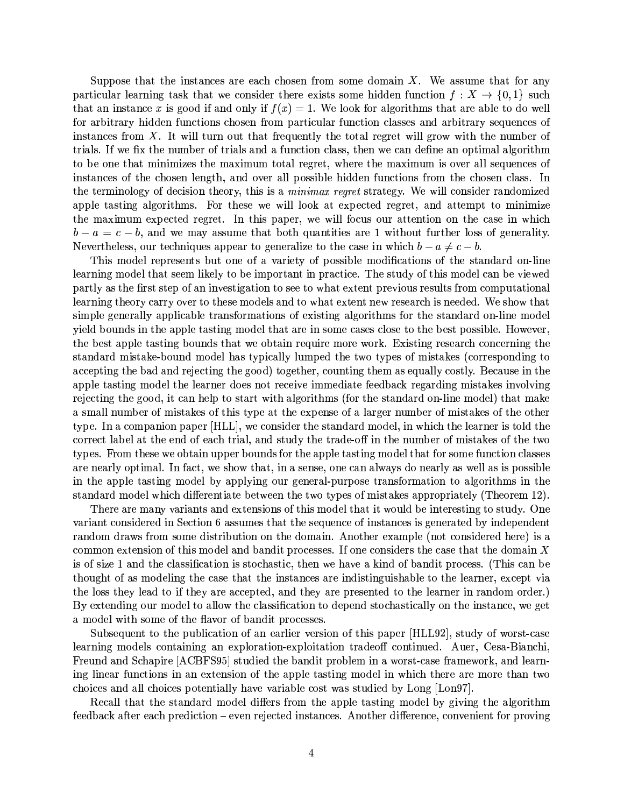Suppose that the instances are each chosen from some domain  $X$ . We assume that for any particular learning task that we consider there exists some hidden function  $f: X \to \{0,1\}$  such that an instance x is good if and only if  $f(x) = 1$ . We look for algorithms that are able to do well for arbitrary hidden functions chosen from particular function classes and arbitrary sequences of instances from  $X$ . It will turn out that frequently the total regret will grow with the number of trials. If we fix the number of trials and a function class, then we can define an optimal algorithm to be one that minimizes the maximum total regret, where the maximum is over all sequences of instances of the chosen length, and over all possible hidden functions from the chosen class. In the terminology of decision theory, this is a minimax regret strategy. We will consider randomized apple tasting algorithms. For these we will look at expected regret, and attempt to minimize the maximum expected regret. In this paper, we will focus our attention on the case in which  $b-a=c-b$ , and we may assume that both quantities are 1 without further loss of generality. Nevertheless, our techniques appear to generalize to the case in which  $b - a \neq c - b$ .

This model represents but one of a variety of possible modifications of the standard on-line learning model that seem likely to be important in practice. The study of this model can be viewed partly as the first step of an investigation to see to what extent previous results from computational learning theory carry over to these models and to what extent new research is needed. We show that simple generally applicable transformations of existing algorithms for the standard on-line model yield bounds in the apple tasting model that are in some cases close to the best possible. However, the best apple tasting bounds that we obtain require more work. Existing research concerning the standard mistake-bound model has typically lumped the two types of mistakes (corresponding to accepting the bad and rejecting the good) together, counting them as equally costly. Because in the apple tasting model the learner does not receive immediate feedback regarding mistakes involving rejecting the good, it can help to start with algorithms (for the standard on-line model) that make a small number of mistakes of this type at the expense of a larger number of mistakes of the other type. In a companion paper [HLL], we consider the standard model, in which the learner is told the correct label at the end of each trial, and study the trade-off in the number of mistakes of the two types. From these we obtain upper bounds for the apple tasting model that for some function classes are nearly optimal. In fact, we show that, in a sense, one can always do nearly as well as is possible in the apple tasting model by applying our general-purpose transformation to algorithms in the standard model which differentiate between the two types of mistakes appropriately (Theorem 12).

There are many variants and extensions of this model that it would be interesting to study. One variant considered in Section 6 assumes that the sequence of instances is generated by independent random draws from some distribution on the domain. Another example (not considered here) is a common extension of this model and bandit processes. If one considers the case that the domain  $X$ is of size 1 and the classification is stochastic, then we have a kind of bandit process. (This can be thought of as modeling the case that the instances are indistinguishable to the learner, except via the loss they lead to if they are accepted, and they are presented to the learner in random order.) By extending our model to allow the classification to depend stochastically on the instance, we get a model with some of the flavor of bandit processes.

Subsequent to the publication of an earlier version of this paper [HLL92], study of worst-case learning models containing an exploration-exploitation tradeoff continued. Auer, Cesa-Bianchi. Freund and Schapire [ACBFS95] studied the bandit problem in a worst-case framework, and learning linear functions in an extension of the apple tasting model in which there are more than two choices and all choices potentially have variable cost was studied by Long [Lon97].

Recall that the standard model differs from the apple tasting model by giving the algorithm feedback after each prediction – even rejected instances. Another difference, convenient for proving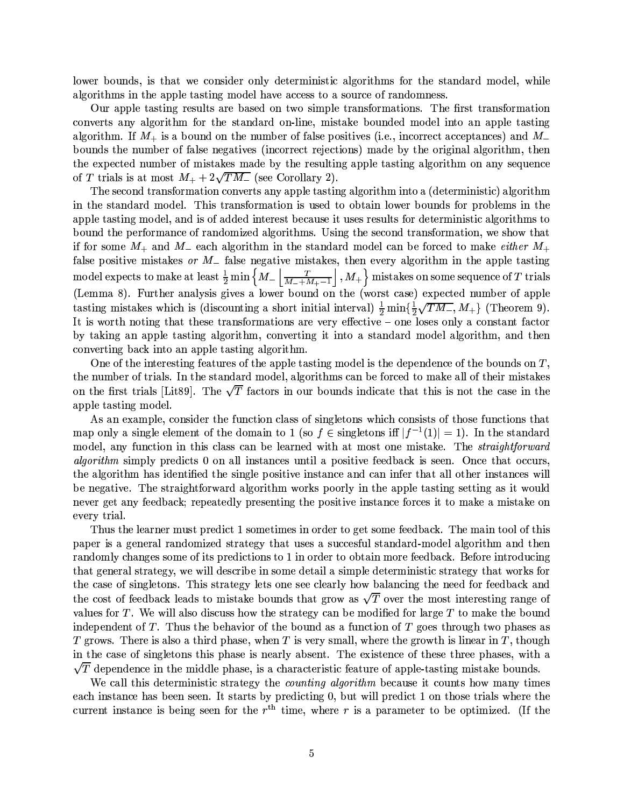lower bounds, is that we consider only deterministic algorithms for the standard model, while algorithms in the apple tasting model have access to a source of randomness.

Our apple tasting results are based on two simple transformations. The first transformation converts any algorithm for the standard on-line, mistake bounded model into an apple tasting algorithm. If  $M_+$  is a bound on the number of false positives (i.e., incorrect acceptances) and  $M_$ bounds the number of false negatives (incorrect rejections) made by the original algorithm, then the expected number of mistakes made by the resulting apple tasting algorithm on any sequence of T trials is at most  $M_+ + 2\sqrt{TM_-}$  (see Corollary 2).

The second transformation converts any apple tasting algorithm into a (deterministic) algorithm in the standard model. This transformation is used to obtain lower bounds for problems in the apple tasting model, and is of added interest because it uses results for deterministic algorithms to bound the performance of randomized algorithms. Using the second transformation, we show that if for some  $M_+$  and  $M_-$  each algorithm in the standard model can be forced to make *either*  $M_+$ false positive mistakes or  $M_{-}$  false negative mistakes, then every algorithm in the apple tasting model expects to make at least  $\frac{1}{2}$  min  $\left\{ M_{-} \left\lfloor \frac{T}{M_{-} + M_{+} - 1} \right\rfloor, M_{+} \right\}$  mistakes on some sequence of T trials (Lemma 8). Further analysis gives a lower bound on the (worst case) expected number of appl tasting mistakes which is (discounting a short initial interval)  $\frac{1}{2}$  min $\{\frac{1}{2}\sqrt{TM_{-}}$ ,  $M_{+}\}$  (Theorem 9). It is worth noting that these transformations are very effective  $-$  one loses only a constant factor by taking an apple tasting algorithm, converting it into a standard model algorithm, and then converting back into an apple tasting algorithm.

One of the interesting features of the apple tasting model is the dependence of the bounds on  $T$ , the number of trials. In the standard model, algorithms can be forced to make all of their mistakes on the first trials [Lit89]. The  $\sqrt{T}$  factors in our bounds indicate that this is not the case in the apple tasting model.

As an example, consider the function class of singletons which consists of those functions that map only a single element of the domain to 1 (so  $f \in$  singletons iff  $|f^{-1}(1)| = 1$ ). In the standard model, any function in this class can be learned with at most one mistake. The *straightforward algorithm* simply predicts 0 on all instances until a positive feedback is seen. Once that occurs. the algorithm has identified the single positive instance and can infer that all other instances will be negative. The straightforward algorithm works poorly in the apple tasting setting as it would never get any feedback; repeatedly presenting the positive instance forces it to make a mistake on every trial.

Thus the learner must predict 1 sometimes in order to get some feedback. The main tool of this paper is a general randomized strategy that uses a succesful standard-model algorithm and then randomly changes some of its predictions to 1 in order to obtain more feedback. Before introducing that general strategy, we will describe in some detail a simple deterministic strategy that works for the case of singletons. This strategy lets one see clearly how balancing the need for feedback and the cost of feedback leads to mistake bounds that grow as  $\sqrt{T}$  over the most interesting range of values for  $T$ . We will also discuss how the strategy can be modified for large  $T$  to make the bound independent of  $T$ . Thus the behavior of the bound as a function of  $T$  goes through two phases as T grows. There is also a third phase, when T is very small, where the growth is linear in T, though in the case of singletons this phase is nearly absent. The existence of these three phases, with a  $\sqrt{T}$  dependence in the middle phase, is a characteristic feature of apple-tasting mistake bounds.

We call this deterministic strategy the counting algorithm because it counts how many times each instance has been seen. It starts by predicting 0, but will predict 1 on those trials where the current instance is being seen for the  $r<sup>th</sup>$  time, where r is a parameter to be optimized. (If the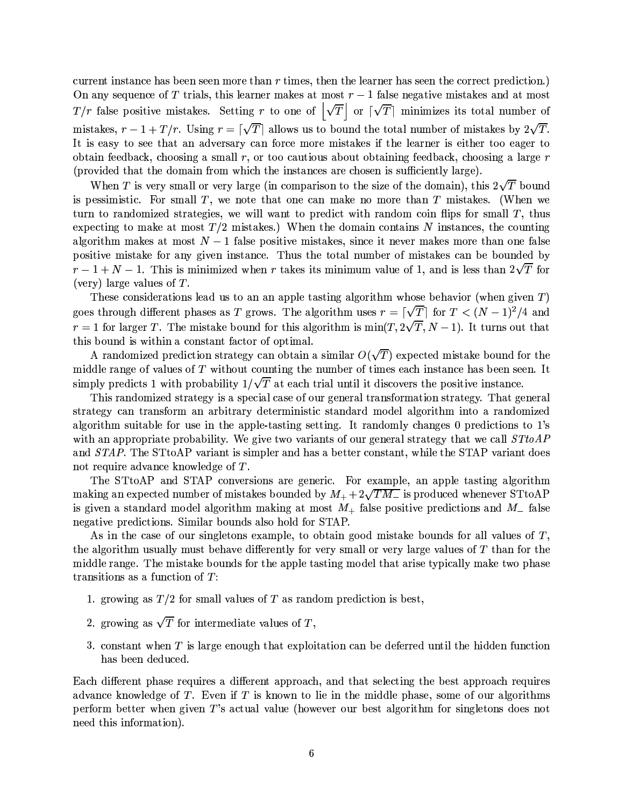current instance has been seen more than  $r$  times, then the learner has seen the correct prediction.) On any sequence of  $T$  trials, this learner makes at most  $r-1$  false negative mistakes and at most  $T/r$  false positive mistakes. Setting r to one of  $\left|\sqrt{T}\right|$  or  $\left|\sqrt{T}\right|$  minimizes its total number of mistakes,  $r-1+T/r$ . Using  $r = \lceil \sqrt{T} \rceil$  allows us to bound the total number of mistakes by  $2\sqrt{T}$ . It is easy to see that an adversary can force more mistakes if the learner is either too eager to obtain feedback, choosing a small r, or too cautious about obtaining feedback, choosing a large r (provided that the domain from which the instances are chosen is sufficiently large).

When T is very small or very large (in comparison to the size of the domain), this  $2\sqrt{T}$  bound is pessimistic. For small  $T$ , we note that one can make no more than  $T$  mistakes. (When we turn to randomized strategies, we will want to predict with random coin flips for small  $T$ , thus expecting to make at most  $T/2$  mistakes.) When the domain contains N instances, the counting algorithm makes at most  $N-1$  false positive mistakes, since it never makes more than one false positive mistake for any given instance. Thus the total number of mistakes can be bounded by  $r-1+N-1$ . This is minimized when r takes its minimum value of 1, and is less than  $2\sqrt{T}$  for (very) large values of  $T$ .

These considerations lead us to an an apple tasting algorithm whose behavior (when given  $T$ ) goes through different phases as T grows. The algorithm uses  $r = \lfloor \sqrt{T} \rfloor$  for  $T < (N-1)^2/4$  and  $r=1$  for larger T. The mistake bound for this algorithm is  $\min(T, 2\sqrt{T}, N-1)$ . It turns out that this bound is within a constant factor of optimal.

A randomized prediction strategy can obtain a similar  $O(\sqrt{T})$  expected mistake bound for the middle range of values of  $T$  without counting the number of times each instance has been seen. It simply predicts 1 with probability  $1/\sqrt{T}$  at each trial until it discovers the positive instance.

This randomized strategy is a special case of our general transformation strategy. That general strategy can transform an arbitrary deterministic standard model algorithm into a randomized algorithm suitable for use in the apple-tasting setting. It randomly changes 0 predictions to 1's with an appropriate probability. We give two variants of our general strategy that we call  $STtoAP$ and STAP. The STtoAP variant is simpler and has a better constant, while the STAP variant does not require advance knowledge of  $T$ .

The STtoAP and STAP conversions are generic. For example, an apple tasting algorithm making an expected number of mistakes bounded by  $M_+ + 2\sqrt{TM_-}$  is produced whenever STtoAP is given a standard model algorithm making at most  $M_+$  false positive predictions and  $M_-$  false negative predictions. Similar bounds also hold for STAP.

As in the case of our singletons example, to obtain good mistake bounds for all values of  $T$ . the algorithm usually must behave differently for very small or very large values of  $T$  than for the middle range. The mistake bounds for the apple tasting model that arise typically make two phase transitions as a function of  $T$ :

- 1. growing as  $T/2$  for small values of T as random prediction is best,
- 2. growing as  $\sqrt{T}$  for intermediate values of T,
- 3. constant when T is large enough that exploitation can be deferred until the hidden function has been deduced.

Each different phase requires a different approach, and that selecting the best approach requires advance knowledge of  $T$ . Even if  $T$  is known to lie in the middle phase, some of our algorithms perform better when given T's actual value (however our best algorithm for singletons does not need this information).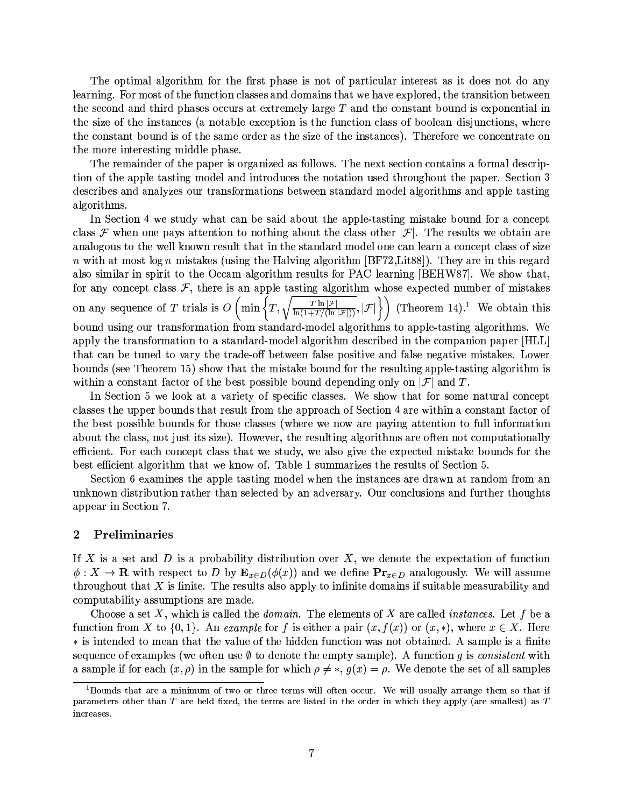The optimal algorithm for the first phase is not of particular interest as it does not do any learning. For most of the function classes and domains that we have explored, the transition between the second and third phases occurs at extremely large  $T$  and the constant bound is exponential in the size of the instances (a notable exception is the function class of boolean disjunctions, where the constant bound is of the same order as the size of the instances). Therefore we concentrate on the more interesting middle phase.

The remainder of the paper is organized as follows. The next section contains a formal description of the apple tasting model and introduces the notation used throughout the paper. Section 3 describes and analyzes our transformations between standard model algorithms and apple tasting algorithms.

In Section 4 we study what can be said about the apple-tasting mistake bound for a concept class F when one pays attention to nothing about the class other  $|\mathcal{F}|$ . The results we obtain are analogous to the well known result that in the standard model one can learn a concept class of size n with at most  $\log n$  mistakes (using the Halving algorithm [BF72, Lit88]). They are in this regard also similar in spirit to the Occam algorithm results for PAC learning [BEHW87]. We show that, for any concept class  $F$ , there is an apple tasting algorithm whose expected number of mistakes on any sequence of T trials is  $O\left(\min\left\{T, \sqrt{\frac{T \ln |\mathcal{F}|}{\ln(1+T/(\ln |\mathcal{F}|))}}, |\mathcal{F}|\right\}\right)$  (Theorem 14).<sup>1</sup> We obtain this bound using our transformation from standard-model algorithms to apple-tasting algorithms. We apply the transformation to a standard-model algorithm described in the companion paper [HLL] that can be tuned to vary the trade-off between false positive and false negative mistakes. Lower bounds (see Theorem 15) show that the mistake bound for the resulting apple-tasting algorithm is within a constant factor of the best possible bound depending only on  $|\mathcal{F}|$  and T.

In Section 5 we look at a variety of specific classes. We show that for some natural concept classes the upper bounds that result from the approach of Section 4 are within a constant factor of the best possible bounds for those classes (where we now are paying attention to full information about the class, not just its size). However, the resulting algorithms are often not computationally efficient. For each concept class that we study, we also give the expected mistake bounds for the best efficient algorithm that we know of. Table 1 summarizes the results of Section 5.

Section 6 examines the apple tasting model when the instances are drawn at random from an unknown distribution rather than selected by an adversary. Our conclusions and further thoughts appear in Section 7.

### **Preliminaries** 2

If X is a set and D is a probability distribution over X, we denote the expectation of function  $\phi: X \to \mathbf{R}$  with respect to D by  $\mathbf{E}_{x \in D}(\phi(x))$  and we define  $\mathbf{Pr}_{x \in D}$  analogously. We will assume throughout that  $X$  is finite. The results also apply to infinite domains if suitable measurability and computability assumptions are made.

Choose a set  $X$ , which is called the *domain*. The elements of  $X$  are called *instances*. Let  $f$  be a function from X to  $\{0,1\}$ . An example for f is either a pair  $(x, f(x))$  or  $(x, *)$ , where  $x \in X$ . Here \* is intended to mean that the value of the hidden function was not obtained. A sample is a finite sequence of examples (we often use  $\emptyset$  to denote the empty sample). A function q is consistent with a sample if for each  $(x, \rho)$  in the sample for which  $\rho \neq *, g(x) = \rho$ . We denote the set of all samples

<sup>&</sup>lt;sup>1</sup>Bounds that are a minimum of two or three terms will often occur. We will usually arrange them so that if parameters other than  $T$  are held fixed, the terms are listed in the order in which they apply (are smallest) as  $T$ increases.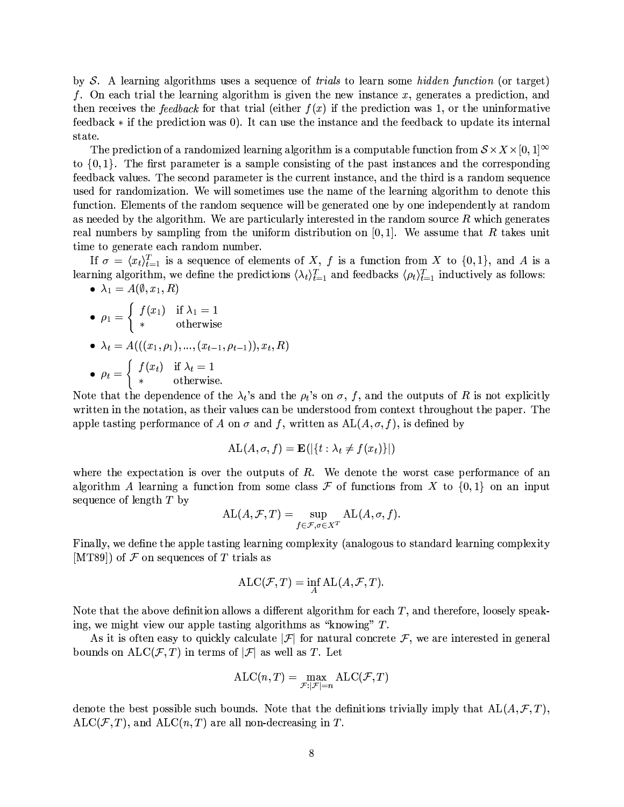by S. A learning algorithms uses a sequence of *trials* to learn some *hidden function* (or target) f. On each trial the learning algorithm is given the new instance  $x$ , generates a prediction, and then receives the feedback for that trial (either  $f(x)$  if the prediction was 1, or the uninformative feedback  $*$  if the prediction was 0). It can use the instance and the feedback to update its internal state.

The prediction of a randomized learning algorithm is a computable function from  $S \times X \times [0,1]^\infty$ to  $\{0,1\}$ . The first parameter is a sample consisting of the past instances and the corresponding feedback values. The second parameter is the current instance, and the third is a random sequence used for randomization. We will sometimes use the name of the learning algorithm to denote this function. Elements of the random sequence will be generated one by one independently at random as needed by the algorithm. We are particularly interested in the random source  $R$  which generates real numbers by sampling from the uniform distribution on  $[0,1]$ . We assume that R takes unit time to generate each random number.

If  $\sigma = \langle x_t \rangle_{t=1}^T$  is a sequence of elements of X, f is a function from X to  $\{0,1\}$ , and A is a learning algorithm, we define the predictions  $\langle \lambda_t \rangle_{t=1}^T$  and feedbacks  $\langle \rho_t \rangle_{t=1}^T$  inductively as follows:

\n- \n
$$
\lambda_1 = A(\emptyset, x_1, R)
$$
\n
\n- \n
$$
\rho_1 = \n \begin{cases}\n f(x_1) & \text{if } \lambda_1 = 1 \\
 * & \text{otherwise}\n \end{cases}
$$
\n
\n- \n
$$
\lambda_t = A(((x_1, \rho_1), \ldots, (x_{t-1}, \rho_{t-1})), x_t
$$
\n
\n- \n
$$
\rho_t = \n \begin{cases}\n f(x_t) & \text{if } \lambda_t = 1 \\
 * & \text{otherwise.}\n \end{cases}
$$
\n
\n

Note that the dependence of the  $\lambda_i$ 's and the  $\rho_i$ 's on  $\sigma$ , f, and the outputs of R is not explicitly written in the notation, as their values can be understood from context throughout the paper. The apple tasting performance of A on  $\sigma$  and f, written as  $AL(A, \sigma, f)$ , is defined by

 $,R)$ 

$$
AL(A, \sigma, f) = \mathbf{E}(|\{t : \lambda_t \neq f(x_t)\}|)
$$

where the expectation is over the outputs of  $R$ . We denote the worst case performance of an algorithm A learning a function from some class  $\mathcal F$  of functions from X to  $\{0,1\}$  on an input sequence of length  $T$  by

$$
\mathrm{\mathrm{AL}}(A,\mathcal{F},T)=\sup_{f\in\mathcal{F},\sigma\in X^T}\mathrm{\mathrm{AL}}(A,\sigma,f).
$$

Finally, we define the apple tasting learning complexity (analogous to standard learning complexity [MT89]) of  $\mathcal F$  on sequences of  $T$  trials as

$$
\mathrm{ALC}(\mathcal{F},T)=\inf_A \mathrm{AL}(A,\mathcal{F},T).
$$

Note that the above definition allows a different algorithm for each  $T$ , and therefore, loosely speaking, we might view our apple tasting algorithms as "knowing"  $T$ .

As it is often easy to quickly calculate  $|\mathcal{F}|$  for natural concrete  $\mathcal{F}$ , we are interested in general bounds on  $ALC(\mathcal{F}, T)$  in terms of  $|\mathcal{F}|$  as well as T. Let

$$
\mathrm{ALC}(n,T)=\max_{\mathcal{F}:|\mathcal{F}|=n}\mathrm{ALC}(\mathcal{F},T)
$$

denote the best possible such bounds. Note that the definitions trivially imply that  $AL(A, \mathcal{F}, T)$ ,  $ALC(\mathcal{F},T)$ , and  $ALC(n,T)$  are all non-decreasing in T.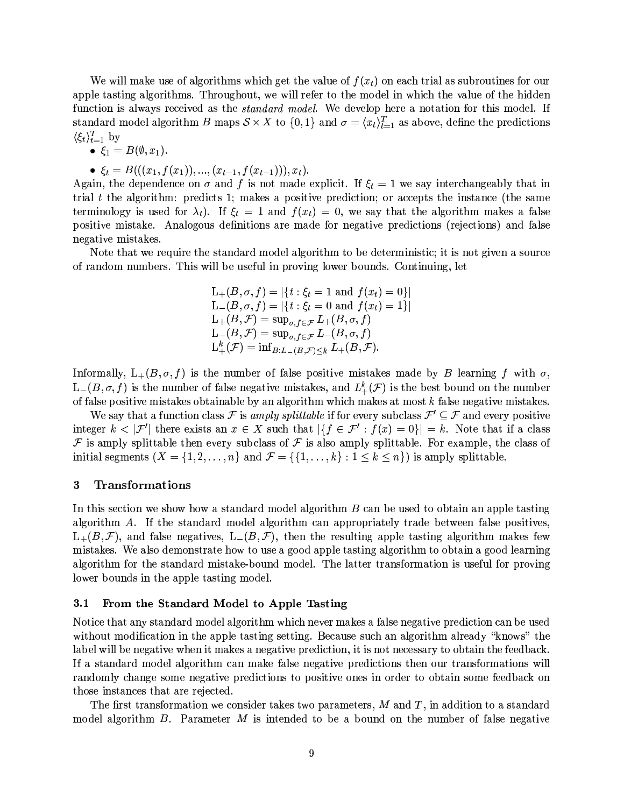We will make use of algorithms which get the value of  $f(x_t)$  on each trial as subroutines for our apple tasting algorithms. Throughout, we will refer to the model in which the value of the hidden function is always received as the *standard model*. We develop here a notation for this model. If standard model algorithm B maps  $S \times X$  to  $\{0,1\}$  and  $\sigma = \langle x_t \rangle_{t=1}^T$  as above, define the predictions  $\langle \xi_t \rangle_{t=1}^T$  by

- $\xi_1 = B(\emptyset, x_1)$ .
- $\xi_t = B(((x_1, f(x_1)), ..., (x_{t-1}, f(x_{t-1}))), x_t).$

Again, the dependence on  $\sigma$  and f is not made explicit. If  $\xi_t = 1$  we say interchangeably that in trial  $t$  the algorithm: predicts 1; makes a positive prediction; or accepts the instance (the same terminology is used for  $\lambda_t$ ). If  $\xi_t = 1$  and  $f(x_t) = 0$ , we say that the algorithm makes a false positive mistake. Analogous definitions are made for negative predictions (rejections) and false negative mistakes.

Note that we require the standard model algorithm to be deterministic; it is not given a source of random numbers. This will be useful in proving lower bounds. Continuing, let

$$
L_{+}(B, \sigma, f) = |\{t : \xi_{t} = 1 \text{ and } f(x_{t}) = 0\}|
$$
  
\n
$$
L_{-}(B, \sigma, f) = |\{t : \xi_{t} = 0 \text{ and } f(x_{t}) = 1\}|
$$
  
\n
$$
L_{+}(B, \mathcal{F}) = \sup_{\sigma, f \in \mathcal{F}} L_{+}(B, \sigma, f)
$$
  
\n
$$
L_{-}(B, \mathcal{F}) = \sup_{\sigma, f \in \mathcal{F}} L_{-}(B, \sigma, f)
$$
  
\n
$$
L_{+}^{k}(\mathcal{F}) = \inf_{B: L_{-}(B, \mathcal{F}) \leq k} L_{+}(B, \mathcal{F}).
$$

Informally,  $L_{+}(B,\sigma,f)$  is the number of false positive mistakes made by B learning f with  $\sigma$ .  $L_{-}(B,\sigma,f)$  is the number of false negative mistakes, and  $L_{+}^{k}(\mathcal{F})$  is the best bound on the number of false positive mistakes obtainable by an algorithm which makes at most  $k$  false negative mistakes.

We say that a function class F is amply splittable if for every subclass  $\mathcal{F}' \subseteq \mathcal{F}$  and every positive integer  $k < |\mathcal{F}'|$  there exists an  $x \in X$  such that  $|\{f \in \mathcal{F}' : f(x) = 0\}| = k$ . Note that if a class F is amply splittable then every subclass of F is also amply splittable. For example, the class of initial segments  $(X = \{1, 2, ..., n\}$  and  $\mathcal{F} = \{\{1, ..., k\} : 1 \leq k \leq n\})$  is amply splittable.

# 3 Transformations

In this section we show how a standard model algorithm B can be used to obtain an apple tasting algorithm A. If the standard model algorithm can appropriately trade between false positives.  $L_{+}(B,\mathcal{F})$ , and false negatives,  $L_{-}(B,\mathcal{F})$ , then the resulting apple tasting algorithm makes few mistakes. We also demonstrate how to use a good apple tasting algorithm to obtain a good learning algorithm for the standard mistake-bound model. The latter transformation is useful for proving lower bounds in the apple tasting model.

### From the Standard Model to Apple Tasting  $3.1$

Notice that any standard model algorithm which never makes a false negative prediction can be used without modification in the apple tasting setting. Because such an algorithm already "knows" the label will be negative when it makes a negative prediction, it is not necessary to obtain the feedback. If a standard model algorithm can make false negative predictions then our transformations will randomly change some negative predictions to positive ones in order to obtain some feedback on those instances that are rejected.

The first transformation we consider takes two parameters,  $M$  and  $T$ , in addition to a standard model algorithm  $B$ . Parameter  $M$  is intended to be a bound on the number of false negative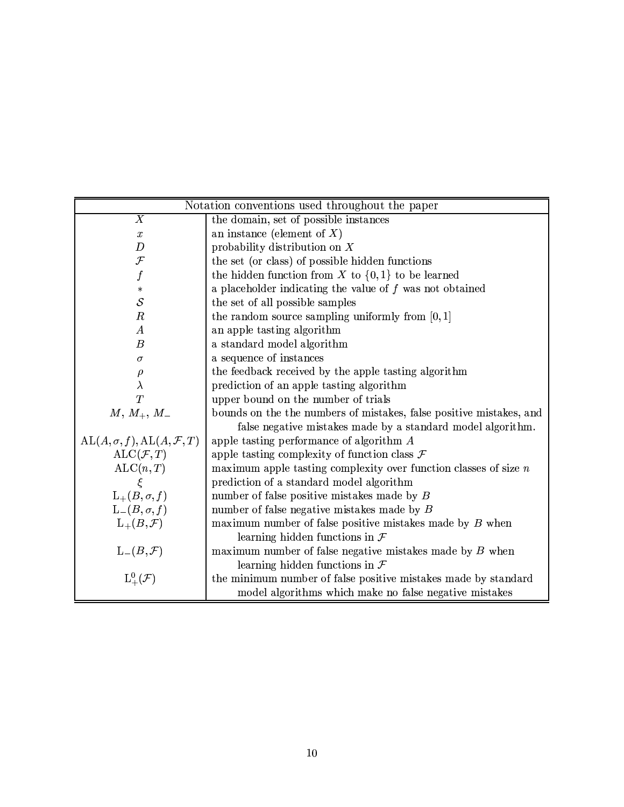| Notation conventions used throughout the paper              |                                                                     |  |  |  |  |
|-------------------------------------------------------------|---------------------------------------------------------------------|--|--|--|--|
| $\overline{X}$                                              | the domain, set of possible instances                               |  |  |  |  |
| $\boldsymbol{x}$                                            | an instance (element of $X$ )                                       |  |  |  |  |
| $\boldsymbol{D}$                                            | probability distribution on $X$                                     |  |  |  |  |
| $\mathcal F$                                                | the set (or class) of possible hidden functions                     |  |  |  |  |
| $\boldsymbol{f}$                                            | the hidden function from X to $\{0,1\}$ to be learned               |  |  |  |  |
| $\ast$                                                      | a placeholder indicating the value of $f$ was not obtained          |  |  |  |  |
| $\mathcal{S}_{0}$                                           | the set of all possible samples                                     |  |  |  |  |
| $\boldsymbol{R}$                                            | the random source sampling uniformly from $[0, 1]$                  |  |  |  |  |
| $\boldsymbol{A}$                                            | an apple tasting algorithm                                          |  |  |  |  |
| $\, B \,$                                                   | a standard model algorithm                                          |  |  |  |  |
| $\sigma$                                                    | a sequence of instances                                             |  |  |  |  |
| $\rho$                                                      | the feedback received by the apple tasting algorithm                |  |  |  |  |
| λ                                                           | prediction of an apple tasting algorithm                            |  |  |  |  |
| T                                                           | upper bound on the number of trials                                 |  |  |  |  |
| $M,\ M_+,\ M_-$                                             | bounds on the the numbers of mistakes, false positive mistakes, and |  |  |  |  |
| false negative mistakes made by a standard model algorithm. |                                                                     |  |  |  |  |
| $AL(A, \sigma, f), AL(A, \mathcal{F}, T)$                   | apple tasting performance of algorithm $A$                          |  |  |  |  |
| $ALC(\mathcal{F},T)$                                        | apple tasting complexity of function class $\mathcal F$             |  |  |  |  |
| ALC(n, T)                                                   | maximum apple tasting complexity over function classes of size $n$  |  |  |  |  |
|                                                             | prediction of a standard model algorithm                            |  |  |  |  |
| $L_+(B,\sigma,f)$                                           | number of false positive mistakes made by $B$                       |  |  |  |  |
| $L_-(B,\sigma,f)$                                           | number of false negative mistakes made by $B$                       |  |  |  |  |
| $\mathrm{L}_+(B,\mathcal{F})$                               | maximum number of false positive mistakes made by $B$ when          |  |  |  |  |
|                                                             | learning hidden functions in $\mathcal F$                           |  |  |  |  |
| $\mathrm{L}_-(B,\mathcal{F})$                               | maximum number of false negative mistakes made by $B$ when          |  |  |  |  |
| $L^0_+(\mathcal{F})$                                        | learning hidden functions in $\mathcal F$                           |  |  |  |  |
|                                                             | the minimum number of false positive mistakes made by standard      |  |  |  |  |
|                                                             | model algorithms which make no false negative mistakes              |  |  |  |  |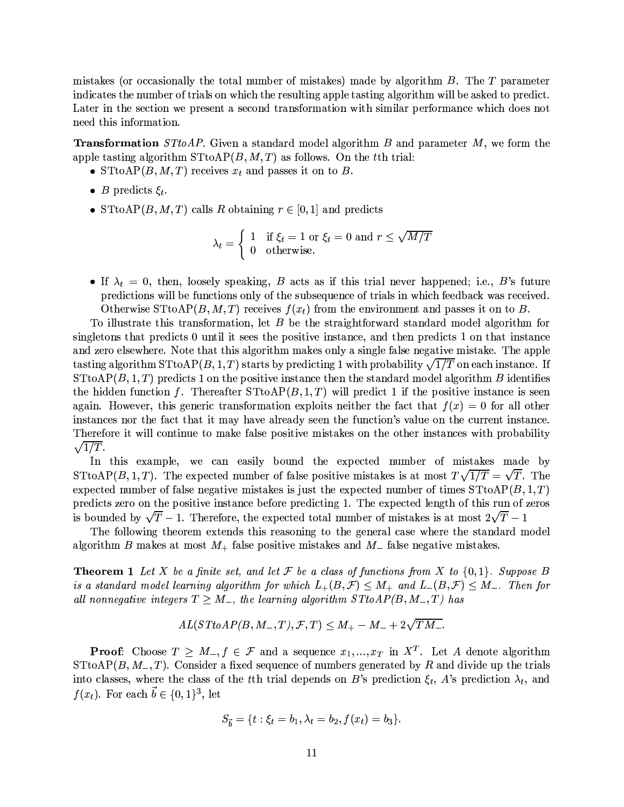mistakes (or occasionally the total number of mistakes) made by algorithm  $B$ . The  $T$  parameter indicates the number of trials on which the resulting apple tasting algorithm will be asked to predict. Later in the section we present a second transformation with similar performance which does not need this information.

**Transformation** STtoAP. Given a standard model algorithm B and parameter  $M$ , we form the apple tasting algorithm  $STtoAP(B, M, T)$  as follows. On the tth trial:

- STtoAP $(B, M, T)$  receives  $x_t$  and passes it on to B.
- *B* predicts  $\xi_t$ .
- STtoAP $(B, M, T)$  calls R obtaining  $r \in [0, 1]$  and predicts

$$
\lambda_t = \begin{cases} 1 & \text{if } \xi_t = 1 \text{ or } \xi_t = 0 \text{ and } r \le \sqrt{M/T} \\ 0 & \text{otherwise.} \end{cases}
$$

• If  $\lambda_t = 0$ , then, loosely speaking, B acts as if this trial never happened; i.e., B's future predictions will be functions only of the subsequence of trials in which feedback was received. Otherwise STtoAP(B, M, T) receives  $f(x_t)$  from the environment and passes it on to B.

To illustrate this transformation, let  $B$  be the straightforward standard model algorithm for singletons that predicts 0 until it sees the positive instance, and then predicts 1 on that instance and zero elsewhere. Note that this algorithm makes only a single false negative mistake. The apple tasting algorithm STtoAP(B, 1, T) starts by predicting 1 with probability  $\sqrt{1/T}$  on each instance. If  $STtoAP(B,1,T)$  predicts 1 on the positive instance then the standard model algorithm B identifies the hidden function f. Thereafter  $STtoAP(B,1,T)$  will predict 1 if the positive instance is seen again. However, this generic transformation exploits neither the fact that  $f(x) = 0$  for all other instances nor the fact that it may have already seen the function's value on the current instance. Therefore it will continue to make false positive mistakes on the other instances with probability  $\sqrt{1/T}$ .

In this example, we can easily bound the expected number of mistakes made by STtoAP(B, 1, T). The expected number of false positive mistakes is at most  $T\sqrt{1/T} = \sqrt{T}$ . The expected number of false negative mistakes is just the expected number of times  $STtoAP(B,1,T)$ predicts zero on the positive instance before predicting 1. The expected length of this run of zeros is bounded by  $\sqrt{T} - 1$ . Therefore, the expected total number of mistakes is at most  $2\sqrt{T} - 1$ 

The following theorem extends this reasoning to the general case where the standard model algorithm B makes at most  $M_+$  false positive mistakes and  $M_-$  false negative mistakes.

**Theorem 1** Let X be a finite set, and let F be a class of functions from X to  $\{0,1\}$ . Suppose B is a standard model learning algorithm for which  $L_+(B,\mathcal{F}) \leq M_+$  and  $L_-(B,\mathcal{F}) \leq M_-$ . Then for all nonnegative integers  $T \geq M_{-}$ , the learning algorithm  $STtoAP(B, M_{-}, T)$  has

$$
\mathit{AL}(\mathit{STtoAP}(B,M_-,T),\mathcal{F},T) \leq M_+ - M_- + 2\sqrt{TM_-}.
$$

**Proof:** Choose  $T \geq M_{-1}$ ,  $f \in \mathcal{F}$  and a sequence  $x_1, ..., x_T$  in  $X^T$ . Let A denote algorithm  $STtoAP(B, M_-, T)$ . Consider a fixed sequence of numbers generated by R and divide up the trials into classes, where the class of the tth trial depends on B's prediction  $\xi_t$ , A's prediction  $\lambda_t$ , and  $f(x_t)$ . For each  $\vec{b} \in \{0,1\}^3$ , let

$$
S_{\vec{b}} = \{t : \xi_t = b_1, \lambda_t = b_2, f(x_t) = b_3\}.
$$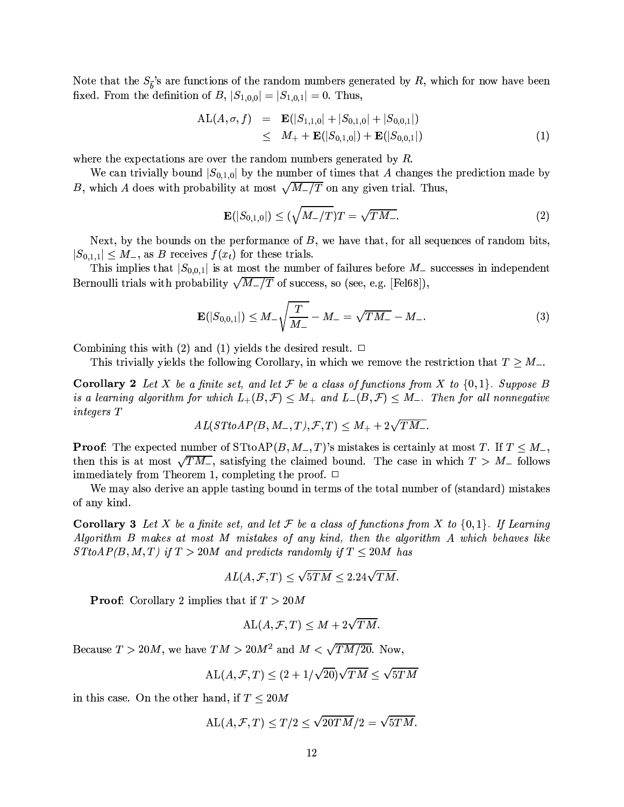Note that the  $S_{\vec{b}}$ 's are functions of the random numbers generated by R, which for now have been fixed. From the definition of B,  $|S_{1,0,0}| = |S_{1,0,1}| = 0$ . Thus,

$$
AL(A, \sigma, f) = \mathbf{E}(|S_{1,1,0}| + |S_{0,1,0}| + |S_{0,0,1}|)
$$
  
\n
$$
\leq M_{+} + \mathbf{E}(|S_{0,1,0}|) + \mathbf{E}(|S_{0,0,1}|)
$$
\n(1)

where the expectations are over the random numbers generated by  $R$ .

We can trivially bound  $|S_{0,1,0}|$  by the number of times that A changes the prediction made by B, which A does with probability at most  $\sqrt{M_-/T}$  on any given trial. Thus,

$$
\mathbf{E}(|S_{0,1,0}|) \leq (\sqrt{M_-/T})T = \sqrt{TM_-}.
$$
\n(2)

Next, by the bounds on the performance of  $B$ , we have that, for all sequences of random bits,  $|S_{0,1,1}| \leq M_{-}$ , as B receives  $f(x_t)$  for these trials.

This implies that  $|S_{0,0,1}|$  is at most the number of failures before M<sub>-</sub> successes in independent Bernoulli trials with probability  $\sqrt{M_-/T}$  of success, so (see, e.g. [Fel68]),

$$
\mathbf{E}(|S_{0,0,1}|) \le M_{-}\sqrt{\frac{T}{M_{-}}} - M_{-} = \sqrt{T M_{-}} - M_{-}.
$$
\n(3)

Combining this with (2) and (1) yields the desired result.  $\Box$ 

This trivially yields the following Corollary, in which we remove the restriction that  $T > M_{-}$ .

**Corollary 2** Let X be a finite set, and let F be a class of functions from X to  $\{0,1\}$ . Suppose B is a learning algorithm for which  $L_+(B,\mathcal{F}) \leq M_+$  and  $L_-(B,\mathcal{F}) \leq M_-$ . Then for all nonnegative *integers* T

$$
\mathit{AL}(\mathit{STtoAP}(B,M_-,T),\mathcal{F},T) \leq M_+ + 2\sqrt{T M_-}
$$

**Proof:** The expected number of  $STtoAP(B, M_-, T)$ 's mistakes is certainly at most T. If  $T \leq M_$ then this is at most  $\sqrt{TM}$ , satisfying the claimed bound. The case in which  $T > M$  follows immediately from Theorem 1, completing the proof.  $\Box$ 

We may also derive an apple tasting bound in terms of the total number of (standard) mistakes of any kind.

**Corollary 3** Let X be a finite set, and let F be a class of functions from X to  $\{0,1\}$ . If Learning Algorithm B makes at most M mistakes of any kind, then the algorithm A which behaves like  $STtoAP(B, M, T)$  if  $T > 20M$  and predicts randomly if  $T \leq 20M$  has

$$
AL(A, \mathcal{F}, T) \le \sqrt{5TM} \le 2.24\sqrt{TM}.
$$

**Proof:** Corollary 2 implies that if  $T > 20M$ 

$$
AL(A, \mathcal{F}, T) \leq M + 2\sqrt{T M}.
$$

Because  $T > 20M$ , we have  $TM > 20M^2$  and  $M < \sqrt{T M/20}$ . Now,

$$
AL(A, \mathcal{F}, T) \le (2 + 1/\sqrt{20})\sqrt{T M} \le \sqrt{5TM}
$$

in this case. On the other hand, if  $T \leq 20M$ 

$$
AL(A, \mathcal{F}, T) \leq T/2 \leq \sqrt{20TM}/2 = \sqrt{5TM}.
$$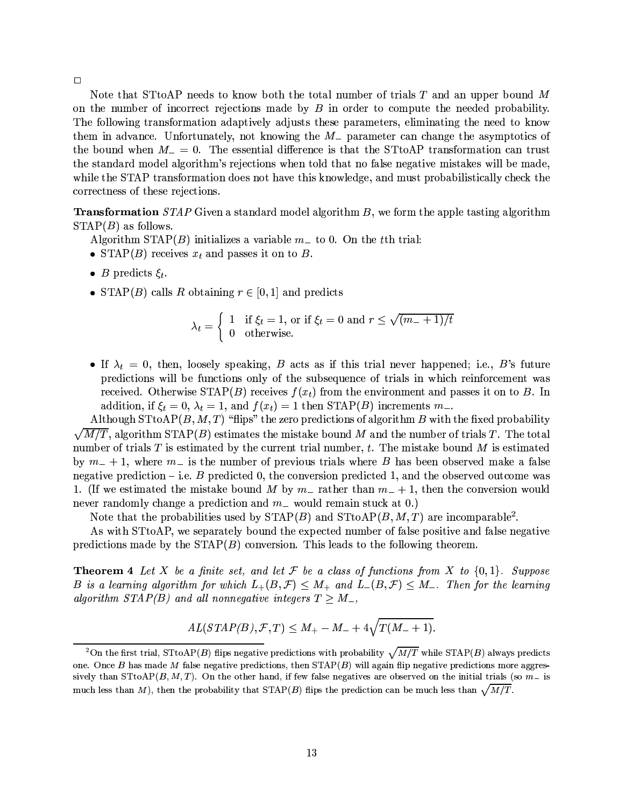$\Box$ 

Note that STtoAP needs to know both the total number of trials  $T$  and an upper bound  $M$ on the number of incorrect rejections made by  $B$  in order to compute the needed probability. The following transformation adaptively adjusts these parameters, eliminating the need to know them in advance. Unfortunately, not knowing the  $M<sub>-</sub>$  parameter can change the asymptotics of the bound when  $M_{-}=0$ . The essential difference is that the STtoAP transformation can trust the standard model algorithm's rejections when told that no false negative mistakes will be made. while the STAP transformation does not have this knowledge, and must probabilistically check the correctness of these rejections.

**Transformation** STAP Given a standard model algorithm  $B$ , we form the apple tasting algorithm  $STAP(B)$  as follows.

Algorithm STAP(B) initializes a variable  $m_-$  to 0. On the tth trial:

- STAP(B) receives  $x_t$  and passes it on to B.
- B predicts  $\xi_t$ .
- STAP(B) calls R obtaining  $r \in [0, 1]$  and predicts

$$
\lambda_t = \begin{cases} 1 & \text{if } \xi_t = 1 \text{, or if } \xi_t = 0 \text{ and } r \le \sqrt{(m_- + 1)/t} \\ 0 & \text{otherwise.} \end{cases}
$$

• If  $\lambda_t = 0$ , then, loosely speaking, B acts as if this trial never happened; i.e., B's future predictions will be functions only of the subsequence of trials in which reinforcement was received. Otherwise STAP(B) receives  $f(x_t)$  from the environment and passes it on to B. In addition, if  $\xi_t = 0$ ,  $\lambda_t = 1$ , and  $f(x_t) = 1$  then STAP(B) increments  $m$ .

Although STtoAP( $B, M, T$ ) "flips" the zero predictions of algorithm  $B$  with the fixed probability  $\sqrt{M/T}$ , algorithm STAP(B) estimates the mistake bound M and the number of trials T. The total number of trials T is estimated by the current trial number, t. The mistake bound M is estimated by  $m_- + 1$ , where  $m_-$  is the number of previous trials where B has been observed make a false negative prediction – i.e. B predicted 0, the conversion predicted 1, and the observed outcome was 1. (If we estimated the mistake bound M by  $m_{-}$  rather than  $m_{-}+1$ , then the conversion would never randomly change a prediction and  $m_-$  would remain stuck at 0.)

Note that the probabilities used by  $STAP(B)$  and  $STtoAP(B, M, T)$  are incomparable<sup>2</sup>.

As with STtoAP, we separately bound the expected number of false positive and false negative predictions made by the  $STAP(B)$  conversion. This leads to the following theorem.

**Theorem 4** Let X be a finite set, and let F be a class of functions from X to  $\{0,1\}$ . Suppose B is a learning algorithm for which  $L_+(B,\mathcal{F}) \leq M_+$  and  $L_-(B,\mathcal{F}) \leq M_-$ . Then for the learning algorithm  $STAP(B)$  and all nonnegative integers  $T \geq M_{-}$ ,

$$
AL(STAP(B), \mathcal{F}, T) \leq M_+ - M_- + 4\sqrt{T(M_-+1)}.
$$

<sup>&</sup>lt;sup>2</sup>On the first trial, STtoAP(B) flips negative predictions with probability  $\sqrt{M/T}$  while STAP(B) always predicts one. Once B has made M false negative predictions, then  $STAP(B)$  will again flip negative predictions more aggressively than  $STtoAP(B, M, T)$ . On the other hand, if few false negatives are observed on the initial trials (so  $m_-$  is much less than M), then the probability that  $STAP(B)$  flips the prediction can be much less than  $\sqrt{M/T}$ .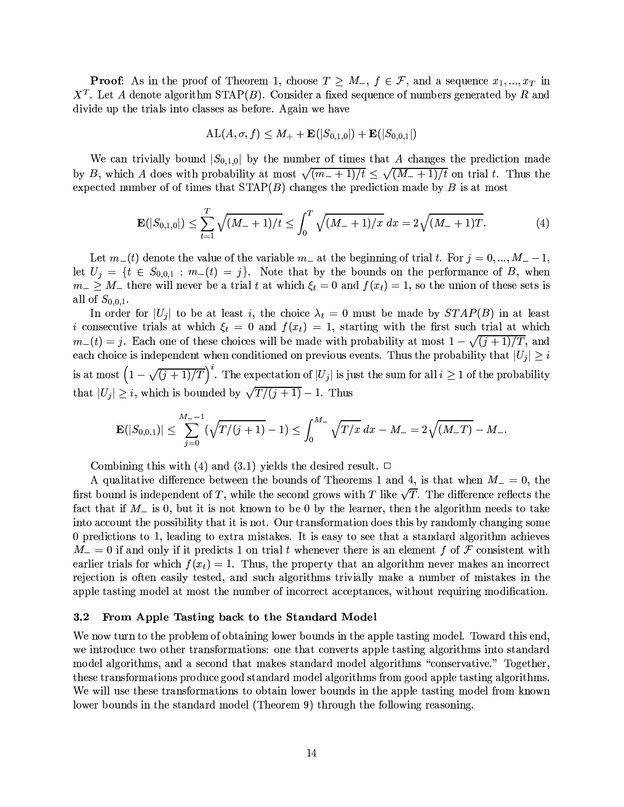**Proof:** As in the proof of Theorem 1, choose  $T \geq M_{-}$ ,  $f \in \mathcal{F}$ , and a sequence  $x_1, ..., x_T$  in  $X<sup>T</sup>$ . Let A denote algorithm STAP(B). Consider a fixed sequence of numbers generated by R and divide up the trials into classes as before. Again we have

$$
AL(A, \sigma, f) \leq M_+ + \mathbf{E}(|S_{0,1,0}|) + \mathbf{E}(|S_{0,0,1}|)
$$

We can trivially bound  $|S_{0,1,0}|$  by the number of times that A changes the prediction made by B, which A does with probability at most  $\sqrt{(m_-+1)/t} \leq \sqrt{(M_-+1)/t}$  on trial t. Thus the expected number of of times that  $STAP(B)$  changes the prediction made by B is at most

$$
\mathbf{E}(|S_{0,1,0}|) \leq \sum_{t=1}^{T} \sqrt{(M_- + 1)/t} \leq \int_0^T \sqrt{(M_- + 1)/x} \, dx = 2\sqrt{(M_- + 1)T}.\tag{4}
$$

Let  $m_{-}(t)$  denote the value of the variable  $m_{-}$  at the beginning of trial t. For  $j=0,...,M_{-}-1$ . let  $U_j = \{t \in S_{0,0,1} : m_-(t) = j\}.$  Note that by the bounds on the performance of B, when  $m_{-} \geq M_{-}$  there will never be a trial t at which  $\xi_t = 0$  and  $f(x_t) = 1$ , so the union of these sets is all of  $S_{0,0,1}$ .

In order for  $|U_j|$  to be at least i, the choice  $\lambda_t = 0$  must be made by  $STAP(B)$  in at least *i* consecutive trials at which  $\xi_t = 0$  and  $f(x_t) = 1$ , starting with the first such trial at which  $m_{-}(t) = j$ . Each one of these choices will be made with probability at most  $1 - \sqrt{(j+1)/T}$ , and each choice is independent when conditioned on previous events. Thus the probability that  $|U_j| \geq i$ is at most  $\left(1-\sqrt{(j+1)/T}\right)^i$ . The expectation of  $|U_j|$  is just the sum for all  $i\geq 1$  of the probability that  $|U_j| \geq i$ , which is bounded by  $\sqrt{T/(j+1)} - 1$ . Thus

$$
|\mathbf{E}(|S_{0,0,1})| \leq \sum_{j=0}^{M_{-}-1} (\sqrt{T/(j+1)}-1) \leq \int_{0}^{M_{-}} \sqrt{T/x} \ dx - M_{-} = 2\sqrt{(M_{-}T)}-M_{-}.
$$

Combining this with (4) and (3.1) yields the desired result.  $\Box$ 

A qualitative difference between the bounds of Theorems 1 and 4, is that when  $M_-=0$ , the first bound is independent of T, while the second grows with T like  $\sqrt{T}$ . The difference reflects the fact that if  $M_{-}$  is 0, but it is not known to be 0 by the learner, then the algorithm needs to take into account the possibility that it is not. Our transformation does this by randomly changing some 0 predictions to 1, leading to extra mistakes. It is easy to see that a standard algorithm achieves  $M_{-}=0$  if and only if it predicts 1 on trial t whenever there is an element f of F consistent with earlier trials for which  $f(x_t) = 1$ . Thus, the property that an algorithm never makes an incorrect rejection is often easily tested, and such algorithms trivially make a number of mistakes in the apple tasting model at most the number of incorrect acceptances, without requiring modification.

# From Apple Tasting back to the Standard Model  $3.2$

We now turn to the problem of obtaining lower bounds in the apple tasting model. Toward this end. we introduce two other transformations: one that converts apple tasting algorithms into standard model algorithms, and a second that makes standard model algorithms "conservative." Together, these transformations produce good standard model algorithms from good apple tasting algorithms. We will use these transformations to obtain lower bounds in the apple tasting model from known lower bounds in the standard model (Theorem 9) through the following reasoning.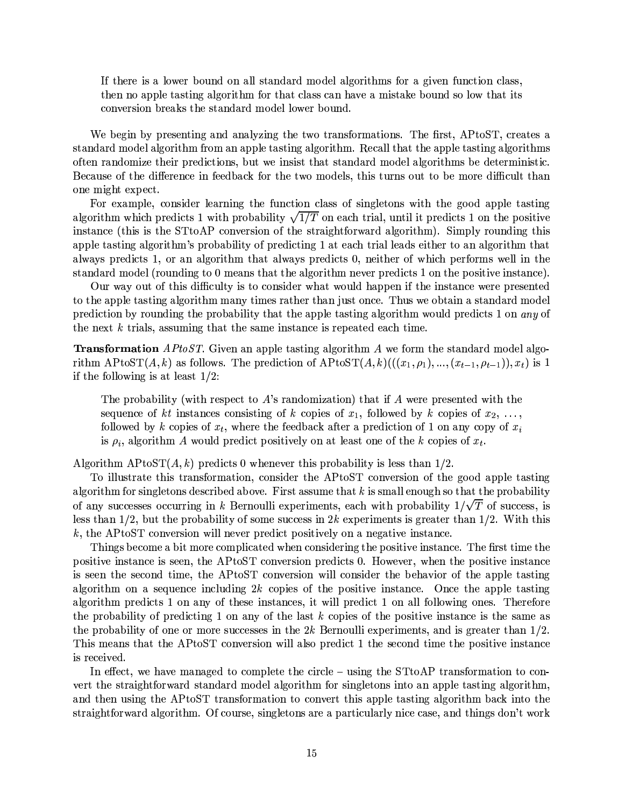If there is a lower bound on all standard model algorithms for a given function class, then no apple tasting algorithm for that class can have a mistake bound so low that its conversion breaks the standard model lower bound.

We begin by presenting and analyzing the two transformations. The first, APtoST, creates a standard model algorithm from an apple tasting algorithm. Recall that the apple tasting algorithms often randomize their predictions, but we insist that standard model algorithms be deterministic. Because of the difference in feedback for the two models, this turns out to be more difficult than one might expect.

For example, consider learning the function class of singletons with the good apple tasting algorithm which predicts 1 with probability  $\sqrt{1/T}$  on each trial, until it predicts 1 on the positive instance (this is the STtoAP conversion of the straightforward algorithm). Simply rounding this apple tasting algorithm's probability of predicting 1 at each trial leads either to an algorithm that always predicts 1, or an algorithm that always predicts 0, neither of which performs well in the standard model (rounding to 0 means that the algorithm never predicts 1 on the positive instance).

Our way out of this difficulty is to consider what would happen if the instance were presented to the apple tasting algorithm many times rather than just once. Thus we obtain a standard model prediction by rounding the probability that the apple tasting algorithm would predicts 1 on any of the next k trials, assuming that the same instance is repeated each time.

**Transformation** APtoST. Given an apple tasting algorithm A we form the standard model algorithm APtoST(A, k) as follows. The prediction of APtoST(A, k)(((x<sub>1</sub>,  $\rho_1$ ), ..., (x<sub>t-1</sub>,  $\rho_{t-1}$ )), x<sub>t</sub>) is 1 if the following is at least  $1/2$ :

The probability (with respect to A's randomization) that if A were presented with the sequence of kt instances consisting of k copies of  $x_1$ , followed by k copies of  $x_2, \ldots$ , followed by k copies of  $x_t$ , where the feedback after a prediction of 1 on any copy of  $x_i$ is  $\rho_i$ , algorithm A would predict positively on at least one of the k copies of  $x_t$ .

Algorithm APtoST $(A, k)$  predicts 0 whenever this probability is less than 1/2.

To illustrate this transformation, consider the APtoST conversion of the good apple tasting algorithm for singletons described above. First assume that  $k$  is small enough so that the probability of any successes occurring in k Bernoulli experiments, each with probability  $1/\sqrt{T}$  of success, is less than  $1/2$ , but the probability of some success in 2k experiments is greater than  $1/2$ . With this  $k$ , the APtoST conversion will never predict positively on a negative instance.

Things become a bit more complicated when considering the positive instance. The first time the positive instance is seen, the APtoST conversion predicts 0. However, when the positive instance is seen the second time, the APtoST conversion will consider the behavior of the apple tasting algorithm on a sequence including  $2k$  copies of the positive instance. Once the apple tasting algorithm predicts 1 on any of these instances, it will predict 1 on all following ones. Therefore the probability of predicting 1 on any of the last  $k$  copies of the positive instance is the same as the probability of one or more successes in the  $2k$  Bernoulli experiments, and is greater than  $1/2$ . This means that the APtoST conversion will also predict 1 the second time the positive instance is received.

In effect, we have managed to complete the circle  $-$  using the STtoAP transformation to convert the straightforward standard model algorithm for singletons into an apple tasting algorithm. and then using the APtoST transformation to convert this apple tasting algorithm back into the straightforward algorithm. Of course, singletons are a particularly nice case, and things don't work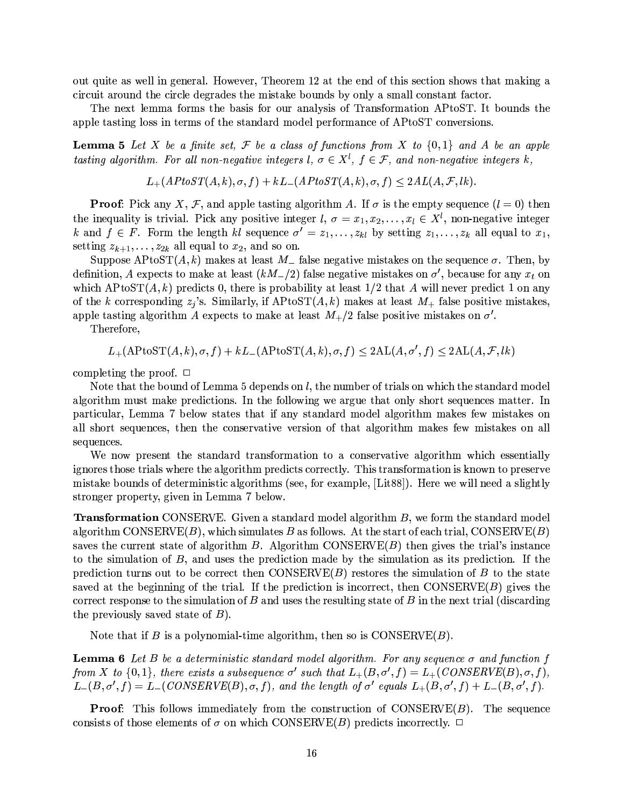out quite as well in general. However, Theorem 12 at the end of this section shows that making a circuit around the circle degrades the mistake bounds by only a small constant factor.

The next lemma forms the basis for our analysis of Transformation APtoST. It bounds the apple tasting loss in terms of the standard model performance of APtoST conversions.

**Lemma 5** Let X be a finite set, F be a class of functions from X to  $\{0,1\}$  and A be an apple tasting algorithm. For all non-negative integers  $l, \sigma \in X^l$ ,  $f \in \mathcal{F}$ , and non-negative integers k,

$$
L_{+}(APtoST(A,k),\sigma,f)+kL_{-}(APtoST(A,k),\sigma,f)\leq 2AL(A,\mathcal{F},lk).
$$

**Proof:** Pick any X, F, and apple tasting algorithm A. If  $\sigma$  is the empty sequence  $(l = 0)$  then the inequality is trivial. Pick any positive integer  $l, \sigma = x_1, x_2, \ldots, x_l \in X^l$ , non-negative integer k and  $f \in F$ . Form the length kl sequence  $\sigma' = z_1, \ldots, z_{kl}$  by setting  $z_1, \ldots, z_k$  all equal to  $x_1$ . setting  $z_{k+1}, \ldots, z_{2k}$  all equal to  $x_2$ , and so on.

Suppose APtoST(A, k) makes at least M<sub>-</sub> false negative mistakes on the sequence  $\sigma$ . Then, by definition, A expects to make at least  $(kM_{-}/2)$  false negative mistakes on  $\sigma'$ , because for any  $x_t$  on which APtoST $(A, k)$  predicts 0, there is probability at least 1/2 that A will never predict 1 on any of the k corresponding  $z_j$ 's. Similarly, if APtoST(A, k) makes at least  $M_+$  false positive mistakes, apple tasting algorithm A expects to make at least  $M_{+}/2$  false positive mistakes on  $\sigma'$ .

Therefore.

 $L_{+}(\text{APtoST}(A, k), \sigma, f) + kL_{-}(\text{APtoST}(A, k), \sigma, f) \leq 2AL(A, \sigma', f) \leq 2AL(A, \mathcal{F}, lk)$ 

completing the proof.  $\Box$ 

Note that the bound of Lemma 5 depends on l, the number of trials on which the standard model algorithm must make predictions. In the following we argue that only short sequences matter. In particular, Lemma 7 below states that if any standard model algorithm makes few mistakes on all short sequences, then the conservative version of that algorithm makes few mistakes on all sequences.

We now present the standard transformation to a conservative algorithm which essentially ignores those trials where the algorithm predicts correctly. This transformation is known to preserve mistake bounds of deterministic algorithms (see, for example, [Lit88]). Here we will need a slightly stronger property, given in Lemma 7 below.

**Transformation** CONSERVE. Given a standard model algorithm  $B$ , we form the standard model algorithm CONSERVE(B), which simulates B as follows. At the start of each trial, CONSERVE(B) saves the current state of algorithm B. Algorithm CONSERVE(B) then gives the trial's instance to the simulation of  $B$ , and uses the prediction made by the simulation as its prediction. If the prediction turns out to be correct then CONSERVE(B) restores the simulation of B to the state saved at the beginning of the trial. If the prediction is incorrect, then  $CONF$ E(B) gives the correct response to the simulation of  $B$  and uses the resulting state of  $B$  in the next trial (discarding the previously saved state of  $B$ ).

Note that if B is a polynomial-time algorithm, then so is  $CONF$ E $( B)$ .

**Lemma 6** Let B be a deterministic standard model algorithm. For any sequence  $\sigma$  and function f from X to  $\{0,1\}$ , there exists a subsequence  $\sigma'$  such that  $L_+(B,\sigma',f) = L_+(CONSERVE(B),\sigma,f)$ ,  $L_{-}(B,\sigma',f) = L_{-}(CONSERVE(B),\sigma,f),$  and the length of  $\sigma'$  equals  $L_{+}(B,\sigma',f) + L_{-}(B,\sigma',f).$ 

**Proof:** This follows immediately from the construction of  $CONFREVE(B)$ . The sequence consists of those elements of  $\sigma$  on which CONSERVE(B) predicts incorrectly.  $\Box$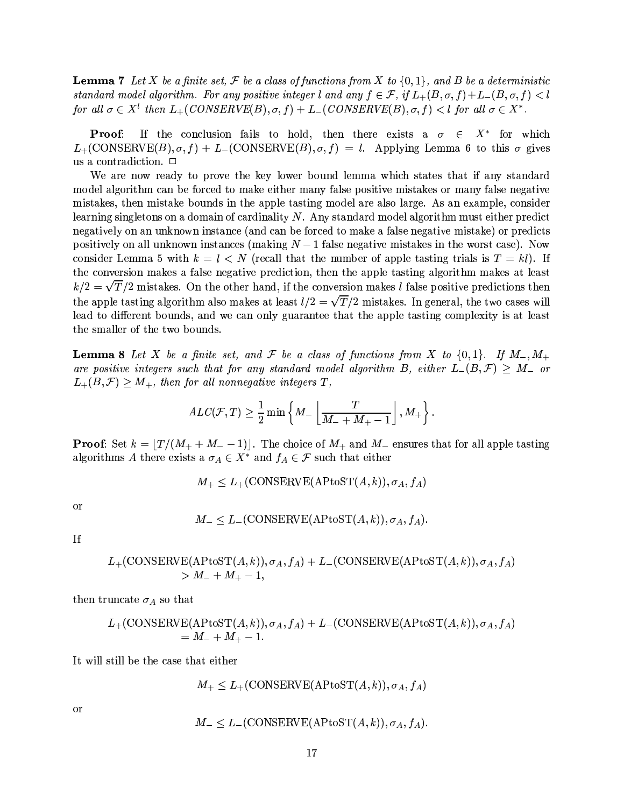**Lemma 7** Let X be a finite set, F be a class of functions from X to  $\{0,1\}$ , and B be a deterministic standard model algorithm. For any positive integer l and any  $f \in \mathcal{F}$ , if  $L_+(B,\sigma,f)+L_-(B,\sigma,f) < l$ for all  $\sigma \in X^l$  then  $L_+(CONSERVE(B), \sigma, f) + L_-(CONSERVE(B), \sigma, f) < l$  for all  $\sigma \in X^*$ .

If the conclusion fails to hold, then there exists a  $\sigma \in X^*$  for which Proof:  $L_{+}(\text{CONSERVE}(B), \sigma, f) + L_{-}(\text{CONSERVE}(B), \sigma, f) = l$ . Applying Lemma 6 to this  $\sigma$  gives us a contradiction.  $\Box$ 

We are now ready to prove the key lower bound lemma which states that if any standard model algorithm can be forced to make either many false positive mistakes or many false negative mistakes, then mistake bounds in the apple tasting model are also large. As an example, consider learning singletons on a domain of cardinality  $N$ . Any standard model algorithm must either predict negatively on an unknown instance (and can be forced to make a false negative mistake) or predicts positively on all unknown instances (making  $N-1$  false negative mistakes in the worst case). Now consider Lemma 5 with  $k = l \lt N$  (recall that the number of apple tasting trials is  $T = kl$ ). If the conversion makes a false negative prediction, then the apple tasting algorithm makes at least  $k/2 = \sqrt{T}/2$  mistakes. On the other hand, if the conversion makes l false positive predictions then the apple tasting algorithm also makes at least  $l/2 = \sqrt{T}/2$  mistakes. In general, the two cases will lead to different bounds, and we can only guarantee that the apple tasting complexity is at least the smaller of the two bounds.

**Lemma 8** Let X be a finite set, and F be a class of functions from X to  $\{0,1\}$ . If  $M_-, M_+$ are positive integers such that for any standard model algorithm B, either  $L_{-}(B,\mathcal{F}) \geq M_{-}$  or  $L_+(B,\mathcal{F}) \geq M_+$ , then for all nonnegative integers T,

$$
\mathit{ALC}(\mathcal{F},T) \geq \frac{1}{2}\min\left\{M_-\left\lfloor\frac{T}{M_-+M_+-1}\right\rfloor,M_+\right\}.
$$

**Proof:** Set  $k = \lfloor T/(M_+ + M_- - 1) \rfloor$ . The choice of  $M_+$  and  $M_-$  ensures that for all apple tasting algorithms A there exists a  $\sigma_A \in X^*$  and  $f_A \in \mathcal{F}$  such that either

 $M_+ \leq L_+(\text{CONSERVE}(\text{APtoST}(A,k)), \sigma_A, f_A)$ 

or

$$
M_{-} \leq L_{-}(\text{CONSERVE}(\text{APtoST}(A, k)), \sigma_A, f_A)
$$

If

$$
L_{+}(\text{CONSERVE}(\text{APtoST}(A,k)), \sigma_A, f_A) + L_{-}(\text{CONSERVE}(\text{APtoST}(A,k)), \sigma_A, f_A) > M_{-} + M_{+} - 1,
$$

then truncate  $\sigma_A$  so that

$$
L_{+}(\text{CONSERVE}(\text{APtoST}(A,k)), \sigma_A, f_A) + L_{-}(\text{CONSERVE}(\text{APtoST}(A,k)), \sigma_A, f_A) = M_{-} + M_{+} - 1.
$$

It will still be the case that either

$$
M_{+} \leq L_{+}(\text{CONSERVE}(\text{APtoST}(A, k)), \sigma_A, f_A)
$$

**or** 

$$
M_- \leq L_- (CONFEXEC(APtoST(A,k)), \sigma_A, f_A)
$$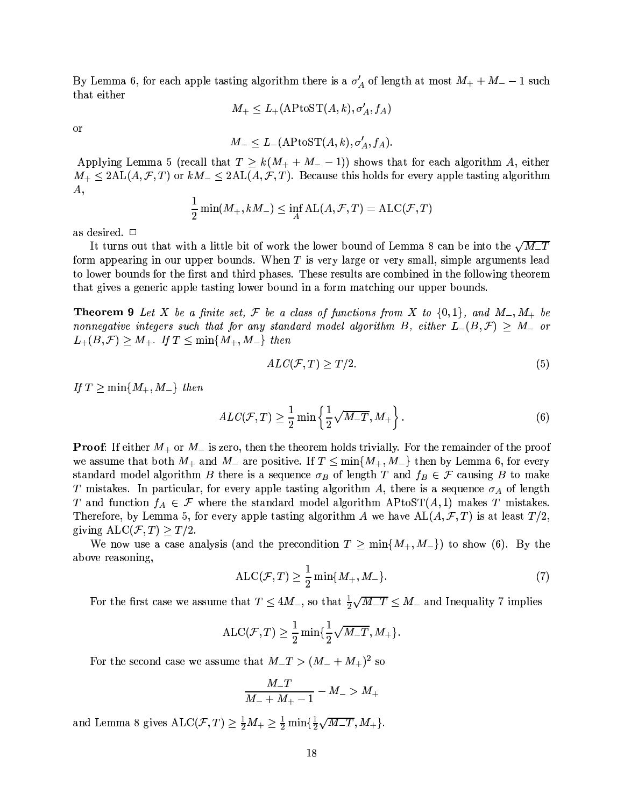By Lemma 6, for each apple tasting algorithm there is a  $\sigma'_A$  of length at most  $M_+ + M_- - 1$  such that either

$$
M_+ \le L_+(\text{APtoST}(A,k), \sigma'_A, f_A)
$$

**or** 

$$
M_- \le L_- (\text{APtoST}(A, k), \sigma'_A, f_A).
$$

Applying Lemma 5 (recall that  $T \ge k(M_{+} + M_{-} - 1)$ ) shows that for each algorithm A, either  $M_+ \leq 2AL(A, \mathcal{F}, T)$  or  $kM_- \leq 2AL(A, \mathcal{F}, T)$ . Because this holds for every apple tasting algorithm  $A,$ 

$$
\frac{1}{2}\min(M_+, kM_-) \leq \inf_A \mathrm{AL}(A, \mathcal{F}, T) = \mathrm{ALC}(\mathcal{F}, T)
$$

as desired.  $\square$ 

It turns out that with a little bit of work the lower bound of Lemma 8 can be into the  $\sqrt{M_T}$ form appearing in our upper bounds. When  $T$  is very large or very small, simple arguments lead to lower bounds for the first and third phases. These results are combined in the following theorem that gives a generic apple tasting lower bound in a form matching our upper bounds.

**Theorem 9** Let X be a finite set, F be a class of functions from X to  $\{0,1\}$ , and  $M_-, M_+$  be nonnegative integers such that for any standard model algorithm B, either  $L_{-}(B,\mathcal{F}) \geq M_{-}$  or  $L_+(B,\mathcal{F}) \geq M_+$ . If  $T \leq \min\{M_+,M_-\}\$  then

$$
ALC(\mathcal{F}, T) \ge T/2. \tag{5}
$$

If  $T > min\{M_+, M_-\}\$  then

$$
ALC(\mathcal{F},T) \ge \frac{1}{2} \min \left\{ \frac{1}{2} \sqrt{M_{-}T}, M_{+} \right\}.
$$
 (6)

**Proof:** If either  $M_+$  or  $M_-$  is zero, then the theorem holds trivially. For the remainder of the proof we assume that both  $M_+$  and  $M_-$  are positive. If  $T \n\t\leq \min\{M_+, M_-\}$  then by Lemma 6, for every standard model algorithm B there is a sequence  $\sigma_B$  of length T and  $f_B \in \mathcal{F}$  causing B to make T mistakes. In particular, for every apple tasting algorithm A, there is a sequence  $\sigma_A$  of length T and function  $f_A \in \mathcal{F}$  where the standard model algorithm APtoST $(A, 1)$  makes T mistakes. Therefore, by Lemma 5, for every apple tasting algorithm A we have  $AL(A, \mathcal{F}, T)$  is at least  $T/2$ . giving  $ALC(\mathcal{F}, T) \geq T/2$ .

We now use a case analysis (and the precondition  $T \ge \min\{M_+, M_-\}\)$  to show (6). By the above reasoning.

$$
ALC(\mathcal{F},T) \ge \frac{1}{2} \min\{M_+, M_-\}.
$$
\n<sup>(7)</sup>

For the first case we assume that  $T \le 4M_{-}$ , so that  $\frac{1}{2}\sqrt{M_{-}T} \le M_{-}$  and Inequality 7 implies

$$
ALC(\mathcal{F}, T) \ge \frac{1}{2} \min\{\frac{1}{2}\sqrt{M_{-}T}, M_{+}\}
$$

For the second case we assume that  $M_{-T} > (M_{-} + M_{+})^2$  so

$$
\frac{M_{-}T}{M_{-}+M_{+}-1}-M_{-}>M_{+}
$$

and Lemma 8 gives  $\text{ALC}(\mathcal{F}, T) \geq \frac{1}{2}M_+ \geq \frac{1}{2} \min\{\frac{1}{2}\sqrt{M_-T}, M_+\}.$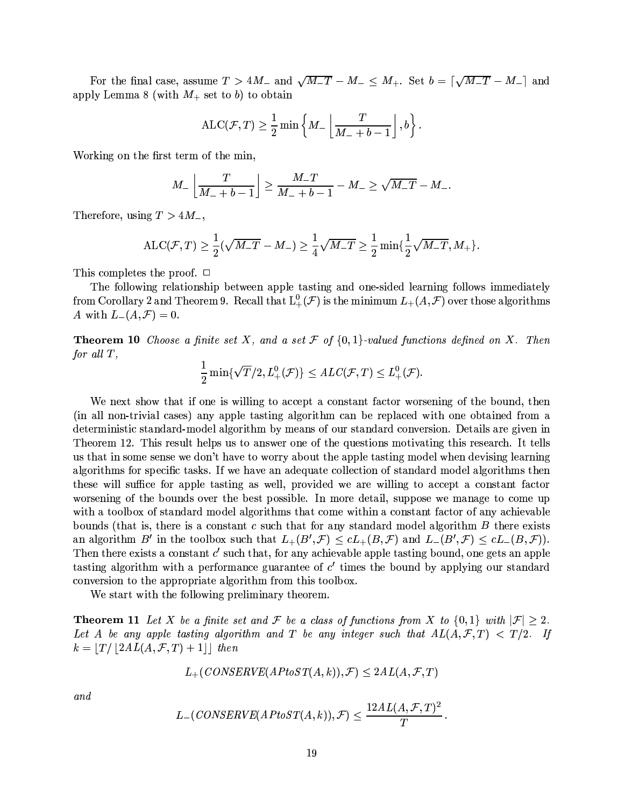For the final case, assume  $T > 4M_{-}$  and  $\sqrt{M_{-}T} - M_{-} \leq M_{+}$ . Set  $b = \lceil \sqrt{M_{-}T} - M_{-} \rceil$  and apply Lemma 8 (with  $M_+$  set to b) to obtain

$$
ALC(\mathcal{F},T) \ge \frac{1}{2} \min \left\{ M_- \left\lfloor \frac{T}{M_- + b - 1} \right\rfloor, b \right\}.
$$

Working on the first term of the min,

$$
M_{-}\left\lfloor \frac{T}{M_{-}+b-1} \right\rfloor \ge \frac{M_{-}T}{M_{-}+b-1} - M_{-} \ge \sqrt{M_{-}T} - M_{-}.
$$

Therefore, using  $T > 4M_-,$ 

$$
\mathrm{ALC}(\mathcal{F},T) \geq \frac{1}{2}(\sqrt{M_{-}T}-M_{-}) \geq \frac{1}{4}\sqrt{M_{-}T} \geq \frac{1}{2}\min\{\frac{1}{2}\sqrt{M_{-}T},M_{+}\}.
$$

This completes the proof.  $\Box$ 

The following relationship between apple tasting and one-sided learning follows immediately from Corollary 2 and Theorem 9. Recall that  $L^0_+(\mathcal{F})$  is the minimum  $L_+(A,\mathcal{F})$  over those algorithms A with  $L_-(A,\mathcal{F})=0$ .

**Theorem 10** Choose a finite set X, and a set F of  $\{0,1\}$ -valued functions defined on X. Then for all  $T$ ,

$$
\frac{1}{2}\min{\lbrace \sqrt{T}/2, L^0_+(\mathcal{F}) \rbrace} \leq ALC(\mathcal{F},T) \leq L^0_+(\mathcal{F}).
$$

We next show that if one is willing to accept a constant factor worsening of the bound, then (in all non-trivial cases) any apple tasting algorithm can be replaced with one obtained from a deterministic standard-model algorithm by means of our standard conversion. Details are given in Theorem 12. This result helps us to answer one of the questions motivating this research. It tells us that in some sense we don't have to worry about the apple tasting model when devising learning algorithms for specific tasks. If we have an adequate collection of standard model algorithms then these will suffice for apple tasting as well, provided we are willing to accept a constant factor worsening of the bounds over the best possible. In more detail, suppose we manage to come up with a toolbox of standard model algorithms that come within a constant factor of any achievable bounds (that is, there is a constant  $c$  such that for any standard model algorithm  $B$  there exists an algorithm B' in the toolbox such that  $L_+(B',\mathcal{F}) \leq cL_+(B,\mathcal{F})$  and  $L_-(B',\mathcal{F}) \leq cL_-(B,\mathcal{F})$ . Then there exists a constant  $c'$  such that, for any achievable apple tasting bound, one gets an apple tasting algorithm with a performance guarantee of c' times the bound by applying our standard conversion to the appropriate algorithm from this toolbox.

We start with the following preliminary theorem.

**Theorem 11** Let X be a finite set and F be a class of functions from X to  $\{0,1\}$  with  $|\mathcal{F}| \geq 2$ . Let A be any apple tasting algorithm and T be any integer such that  $AL(A, \mathcal{F}, T) < T/2$ . If  $k = |T| |2AL(A, \mathcal{F}, T) + 1| | then$ 

$$
L_{+}(CONSERVE(APtoST(A,k)),\mathcal{F}) \leq 2AL(A,\mathcal{F},T)
$$

and

$$
L_{-}(CONSERVE(APtoST(A,k)),\mathcal{F})\leq \frac{12AL(A,\mathcal{F},T)^{2}}{T}.
$$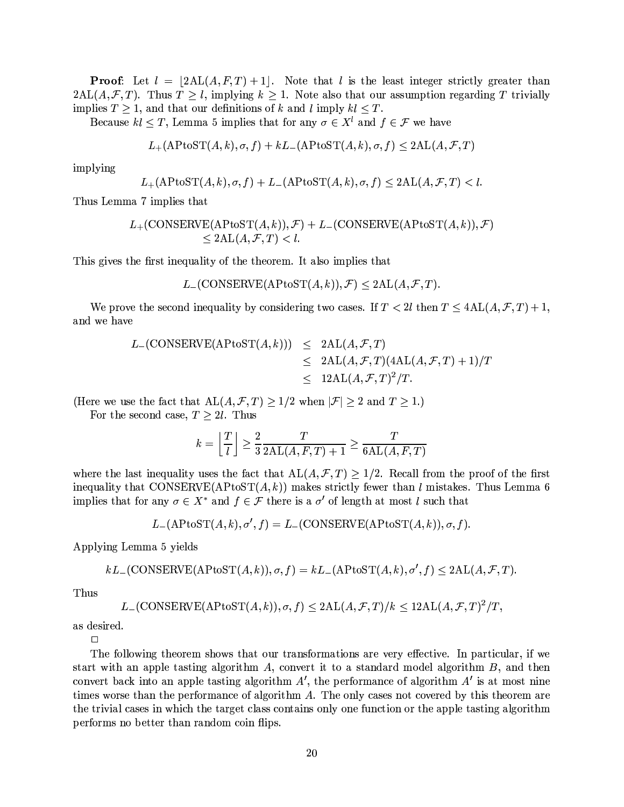**Proof:** Let  $l = |2AL(A, F, T) + 1|$ . Note that l is the least integer strictly greater than  $2AL(A, \mathcal{F}, T)$ . Thus  $T \geq l$ , implying  $k \geq 1$ . Note also that our assumption regarding T trivially implies  $T \geq 1$ , and that our definitions of k and l imply  $kl \leq T$ .

Because  $kl \leq T$ , Lemma 5 implies that for any  $\sigma \in X^l$  and  $f \in \mathcal{F}$  we have

$$
L_{+}(\mathrm{APtoST}(A,k),\sigma,f)+kL_{-}(\mathrm{APtoST}(A,k),\sigma,f)\leq 2\mathrm{AL}(A,\mathcal{F},T)
$$

implying

$$
L_{+}(\mathrm{APtoST}(A,k),\sigma,f)+L_{-}(\mathrm{APtoST}(A,k),\sigma,f)\leq 2AL(A,\mathcal{F},T)
$$

Thus Lemma 7 implies that

$$
L_{+}(\text{CONSERVE}(\text{APtoST}(A, k)), \mathcal{F}) + L_{-}(\text{CONSERVE}(\text{APtoST}(A, k)), \mathcal{F}) \leq 2AL(A, \mathcal{F}, T) < l.
$$

This gives the first inequality of the theorem. It also implies that

$$
L_{-}(\text{CONSERVE}(\text{APtoST}(A,k)), \mathcal{F}) \leq 2\text{AL}(A, \mathcal{F}, T).
$$

We prove the second inequality by considering two cases. If  $T < 2l$  then  $T \leq 4AL(A, \mathcal{F}, T) + 1$ , and we have

$$
L_{-}(\text{CONSERVE}(\text{APtoST}(A, k))) \leq 2\text{AL}(A, \mathcal{F}, T)
$$
  

$$
\leq 2\text{AL}(A, \mathcal{F}, T)(4\text{AL}(A, \mathcal{F}, T) + 1)/T
$$
  

$$
\leq 12\text{AL}(A, \mathcal{F}, T)^{2}/T.
$$

(Here we use the fact that  $AL(A, \mathcal{F}, T) \geq 1/2$  when  $|\mathcal{F}| \geq 2$  and  $T \geq 1$ .)

For the second case,  $T \geq 2l$ . Thus

$$
k = \left\lfloor \frac{T}{l} \right\rfloor \geq \frac{2}{3} \frac{T}{2 {\rm AL}(A,F,T) + 1} \geq \frac{T}{6 {\rm AL}(A,F,T)}
$$

where the last inequality uses the fact that  $AL(A, \mathcal{F}, T) \geq 1/2$ . Recall from the proof of the first inequality that CONSERVE(APtoST(A, k)) makes strictly fewer than l mistakes. Thus Lemma 6 implies that for any  $\sigma \in X^*$  and  $f \in \mathcal{F}$  there is a  $\sigma'$  of length at most l such that

$$
L_{-}(\mathrm{APtoST}(A,k),\sigma',f)=L_{-}(\mathrm{CONSERVE}(\mathrm{APtoST}(A,k)),\sigma,f).
$$

Applying Lemma 5 yields

$$
kL_{-}(\text{CONSERVE}(\text{APtoST}(A,k)),\sigma,f) = kL_{-}(\text{APtoST}(A,k),\sigma',f) \leq 2AL(A,\mathcal{F},T).
$$

Thus

$$
L_{-}(\text{CONSERVE}(\text{APtoST}(A,k)),\sigma,f) \leq 2\text{AL}(A,\mathcal{F},T)/k \leq 12\text{AL}(A,\mathcal{F},T)^2/T,
$$

as desired.

 $\Box$ 

The following theorem shows that our transformations are very effective. In particular, if we start with an apple tasting algorithm  $A$ , convert it to a standard model algorithm  $B$ , and then convert back into an apple tasting algorithm  $A'$ , the performance of algorithm  $A'$  is at most nine times worse than the performance of algorithm A. The only cases not covered by this theorem are the trivial cases in which the target class contains only one function or the apple tasting algorithm performs no better than random coin flips.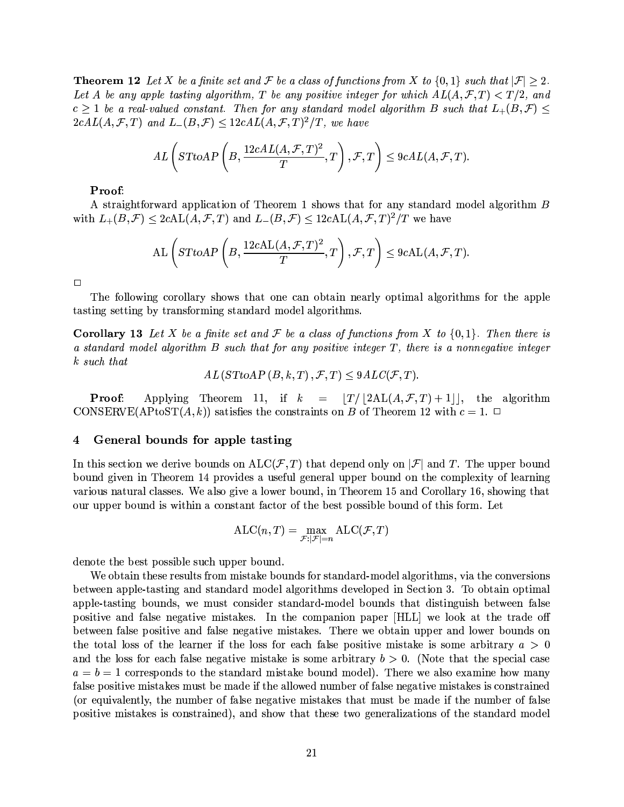**Theorem 12** Let X be a finite set and F be a class of functions from X to  $\{0,1\}$  such that  $|\mathcal{F}| \geq 2$ . Let A be any apple tasting algorithm, T be any positive integer for which  $AL(A, \mathcal{F}, T) < T/2$ , and  $c\geq 1$  be a real-valued constant. Then for any standard model algorithm B such that  $L_+(B,\mathcal{F})\leq$  $2cAL(A, \mathcal{F}, T)$  and  $L_{-}(B, \mathcal{F}) \leq 12cAL(A, \mathcal{F}, T)^{2}/T$ , we have

$$
AL\left(STto AP\left(B,\frac{12cAL(A,\mathcal{F},T)^2}{T},T\right),\mathcal{F},T\right)\leq 9cAL(A,\mathcal{F},T)
$$

# Proof:

A straightforward application of Theorem 1 shows that for any standard model algorithm B with  $L_+(B,\mathcal{F}) \leq 2cAL(A,\mathcal{F},T)$  and  $L_-(B,\mathcal{F}) \leq 12cAL(A,\mathcal{F},T)^2/T$  we have

$$
\mathrm{AL}\left(ST to AP\left(B, \frac{12c\mathrm{AL}(A,\mathcal{F},T)^2}{T}, T\right), \mathcal{F}, T\right) \leq 9c\mathrm{AL}(A,\mathcal{F},T)
$$

 $\Box$ 

The following corollary shows that one can obtain nearly optimal algorithms for the apple tasting setting by transforming standard model algorithms.

**Corollary 13** Let X be a finite set and F be a class of functions from X to  $\{0,1\}$ . Then there is a standard model algorithm  $B$  such that for any positive integer  $T$ , there is a nonnegative integer k such that

 $AL(STtoAP(B,k,T),\mathcal{F},T) \leq 9ALC(\mathcal{F},T).$ 

Applying Theorem 11, if  $k = |T| |2AL(A, \mathcal{F}, T) + 1|$ , the algorithm Proof: CONSERVE(APtoST(A, k)) satisfies the constraints on B of Theorem 12 with  $c = 1$ .  $\Box$ 

### General bounds for apple tasting 4

In this section we derive bounds on  $ALC(\mathcal{F},T)$  that depend only on  $|\mathcal{F}|$  and T. The upper bound bound given in Theorem 14 provides a useful general upper bound on the complexity of learning various natural classes. We also give a lower bound, in Theorem 15 and Corollary 16, showing that our upper bound is within a constant factor of the best possible bound of this form. Let

$$
\mathrm{ALC}(n,T)=\max_{\mathcal{F}:|\mathcal{F}|=n}\mathrm{ALC}(\mathcal{F},T)
$$

denote the best possible such upper bound.

We obtain these results from mistake bounds for standard-model algorithms, via the conversions between apple-tasting and standard model algorithms developed in Section 3. To obtain optimal apple-tasting bounds, we must consider standard-model bounds that distinguish between false positive and false negative mistakes. In the companion paper [HLL] we look at the trade off between false positive and false negative mistakes. There we obtain upper and lower bounds on the total loss of the learner if the loss for each false positive mistake is some arbitrary  $a > 0$ and the loss for each false negative mistake is some arbitrary  $b > 0$ . (Note that the special case  $a = b = 1$  corresponds to the standard mistake bound model). There we also examine how many false positive mistakes must be made if the allowed number of false negative mistakes is constrained (or equivalently, the number of false negative mistakes that must be made if the number of false positive mistakes is constrained), and show that these two generalizations of the standard model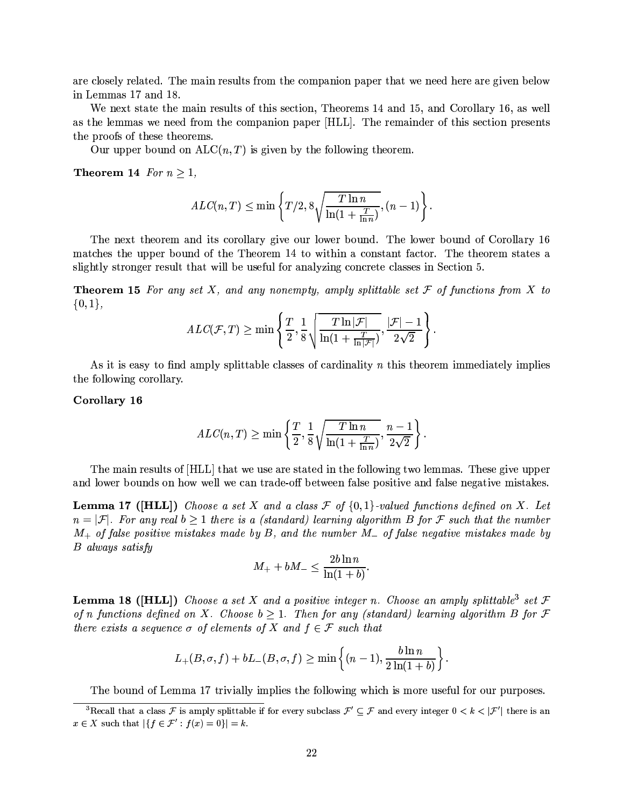are closely related. The main results from the companion paper that we need here are given below in Lemmas 17 and 18.

We next state the main results of this section, Theorems 14 and 15, and Corollary 16, as well as the lemmas we need from the companion paper [HLL]. The remainder of this section presents the proofs of these theorems.

Our upper bound on  $ALC(n,T)$  is given by the following theorem.

**Theorem 14** For  $n \geq 1$ ,

$$
ALC(n,T) \le \min\left\{T/2, 8\sqrt{\frac{T\ln n}{\ln(1+\frac{T}{\ln n})}}, (n-1)\right\}.
$$

The next theorem and its corollary give our lower bound. The lower bound of Corollary 16 matches the upper bound of the Theorem 14 to within a constant factor. The theorem states a slightly stronger result that will be useful for analyzing concrete classes in Section 5.

**Theorem 15** For any set X, and any nonempty, amply splittable set  $\mathcal F$  of functions from X to  $\{0,1\},\$ 

$$
ALC(\mathcal{F},T) \ge \min\left\{\frac{T}{2},\frac{1}{8}\sqrt{\frac{T\ln|\mathcal{F}|}{\ln(1+\frac{T}{\ln|\mathcal{F}|})}},\frac{|\mathcal{F}|-1}{2\sqrt{2}}\right\}.
$$

As it is easy to find amply splittable classes of cardinality n this theorem immediately implies the following corollary.

# Corollary 16

$$
ALC(n,T) \ge \min\left\{\frac{T}{2}, \frac{1}{8}\sqrt{\frac{T\ln n}{\ln(1+\frac{T}{\ln n})}}, \frac{n-1}{2\sqrt{2}}\right\}
$$

The main results of [HLL] that we use are stated in the following two lemmas. These give upper and lower bounds on how well we can trade-off between false positive and false negative mistakes.

**Lemma 17 ([HLL])** Choose a set X and a class F of  $\{0,1\}$ -valued functions defined on X. Let  $n = |\mathcal{F}|$ . For any real  $b \geq 1$  there is a (standard) learning algorithm B for F such that the number  $M_+$  of false positive mistakes made by B, and the number  $M_-$  of false negative mistakes made by B always satisfy

$$
M_+ + bM_- \leq \frac{2b\ln n}{\ln(1+b)}.
$$

**Lemma 18 ([HLL])** Choose a set X and a positive integer n. Choose an amply splittable<sup>3</sup> set F of n functions defined on X. Choose  $b \ge 1$ . Then for any (standard) learning algorithm B for F there exists a sequence  $\sigma$  of elements of X and  $f \in \mathcal{F}$  such that

$$
L_{+}(B,\sigma,f)+bL_{-}(B,\sigma,f)\geq \min\left\{(n-1),\frac{b\ln n}{2\ln(1+b)}\right\}.
$$

The bound of Lemma 17 trivially implies the following which is more useful for our purposes.

<sup>&</sup>lt;sup>3</sup>Recall that a class F is amply splittable if for every subclass  $\mathcal{F}' \subseteq \mathcal{F}$  and every integer  $0 < k < |\mathcal{F}'|$  there is an  $x \in X$  such that  $|\{f \in \mathcal{F}' : f(x) = 0\}| = k$ .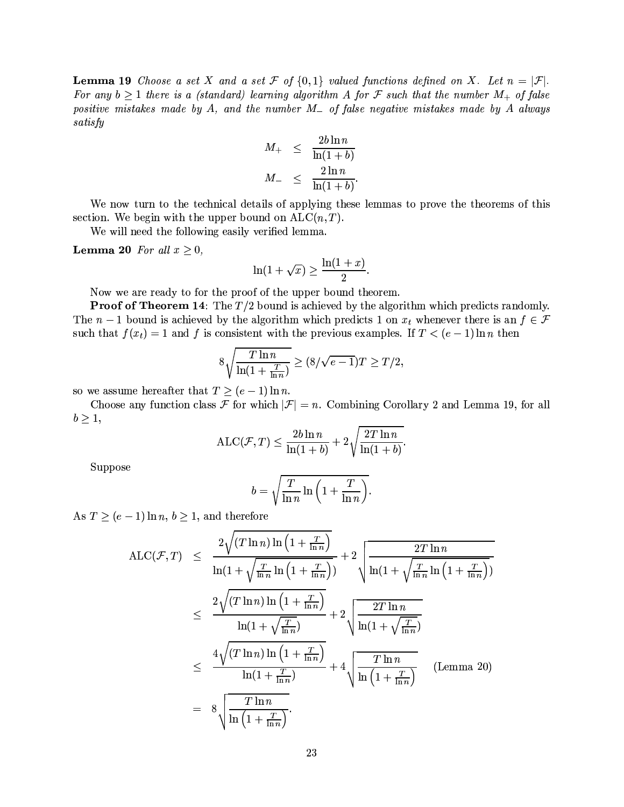**Lemma 19** Choose a set X and a set F of  $\{0,1\}$  valued functions defined on X. Let  $n = |\mathcal{F}|$ . For any  $b \ge 1$  there is a (standard) learning algorithm A for F such that the number  $M_+$  of false positive mistakes made by A, and the number  $M_{-}$  of false negative mistakes made by A always satisfy

$$
M_+ \leq \frac{2b\ln n}{\ln(1+b)}
$$
  

$$
M_- \leq \frac{2\ln n}{\ln(1+b)}.
$$

We now turn to the technical details of applying these lemmas to prove the theorems of this section. We begin with the upper bound on  $ALC(n, T)$ .

We will need the following easily verified lemma.

**Lemma 20** For all  $x \geq 0$ ,

$$
\ln(1+\sqrt{x}) \ge \frac{\ln(1+x)}{2}.
$$

Now we are ready to for the proof of the upper bound theorem.

**Proof of Theorem 14:** The  $T/2$  bound is achieved by the algorithm which predicts randomly. The  $n-1$  bound is achieved by the algorithm which predicts 1 on  $x_t$  whenever there is an  $f \in \mathcal{F}$ such that  $f(x_t) = 1$  and f is consistent with the previous examples. If  $T < (e-1) \ln n$  then

$$
8\sqrt{\frac{T\ln n}{\ln(1+\frac{T}{\ln n})}} \ge (8/\sqrt{e-1})T \ge T/2,
$$

so we assume hereafter that  $T \ge (e - 1) \ln n$ .

Choose any function class F for which  $|\mathcal{F}| = n$ . Combining Corollary 2 and Lemma 19, for all  $b\geq 1,$ 

$$
ALC(\mathcal{F}, T) \le \frac{2b \ln n}{\ln(1+b)} + 2\sqrt{\frac{2T \ln n}{\ln(1+b)}}
$$

Suppose

$$
b = \sqrt{\frac{T}{\ln n} \ln \left( 1 + \frac{T}{\ln n} \right)}.
$$

As  $T \ge (e-1) \ln n, b \ge 1$ , and therefore

$$
ALC(\mathcal{F},T) \leq \frac{2\sqrt{(T \ln n) \ln\left(1 + \frac{T}{\ln n}\right)}}{\ln(1 + \sqrt{\frac{T}{\ln n} \ln\left(1 + \frac{T}{\ln n}\right)})} + 2\sqrt{\frac{2T \ln n}{\ln(1 + \sqrt{\frac{T}{\ln n} \ln\left(1 + \frac{T}{\ln n}\right)})}}
$$
  

$$
\leq \frac{2\sqrt{(T \ln n) \ln\left(1 + \frac{T}{\ln n}\right)}}{\ln(1 + \sqrt{\frac{T}{\ln n}})} + 2\sqrt{\frac{2T \ln n}{\ln(1 + \sqrt{\frac{T}{\ln n}})}}
$$
  

$$
\leq \frac{4\sqrt{(T \ln n) \ln\left(1 + \frac{T}{\ln n}\right)}}{\ln(1 + \frac{T}{\ln n})} + 4\sqrt{\frac{T \ln n}{\ln\left(1 + \frac{T}{\ln n}\right)}}
$$
 (Lemma 20)  

$$
= 8\sqrt{\frac{T \ln n}{\ln\left(1 + \frac{T}{\ln n}\right)}}.
$$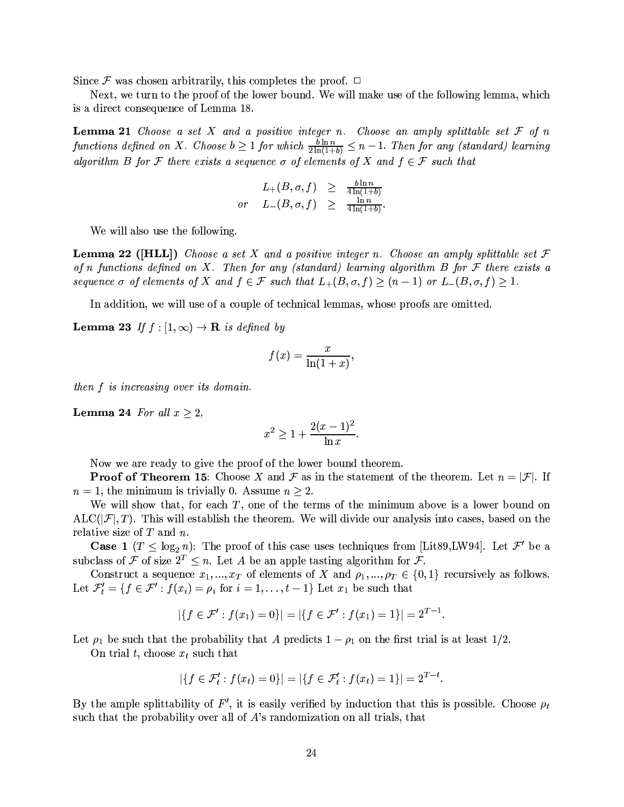Since  $\mathcal F$  was chosen arbitrarily, this completes the proof.  $\Box$ 

 $\boldsymbol{o}$ 

Next, we turn to the proof of the lower bound. We will make use of the following lemma, which is a direct consequence of Lemma 18.

**Lemma 21** Choose a set X and a positive integer n. Choose an amply splittable set  $\mathcal F$  of n functions defined on X. Choose  $b \geq 1$  for which  $\frac{b \ln n}{2 \ln(1+b)} \leq n-1$ . Then for any (standard) learning algorithm B for F there exists a sequence  $\sigma$  of elements of X and  $f \in \mathcal{F}$  such that

$$
\begin{array}{rcl} L_+(B,\sigma,f) & \geq & \frac{b\ln n}{4\ln(1+b)} \\ r & L_-(B,\sigma,f) & \geq & \frac{\ln n}{4\ln(1+b)} \end{array}
$$

We will also use the following.

**Lemma 22 ([HLL])** Choose a set X and a positive integer n. Choose an amply splittable set F of n functions defined on X. Then for any (standard) learning algorithm B for  $\mathcal F$  there exists a sequence  $\sigma$  of elements of X and  $f \in \mathcal{F}$  such that  $L_+(B,\sigma,f) \geq (n-1)$  or  $L_-(B,\sigma,f) \geq 1$ .

In addition, we will use of a couple of technical lemmas, whose proofs are omitted.

**Lemma 23** If  $f : [1, \infty) \rightarrow \mathbf{R}$  is defined by

$$
f(x) = \frac{x}{\ln(1+x)},
$$

then f is increasing over its domain.

**Lemma 24** For all  $x \geq 2$ ,

$$
x^2 \ge 1 + \frac{2(x-1)^2}{\ln x}
$$

Now we are ready to give the proof of the lower bound theorem.

**Proof of Theorem 15:** Choose X and F as in the statement of the theorem. Let  $n = |\mathcal{F}|$ . If  $n = 1$ , the minimum is trivially 0. Assume  $n \geq 2$ .

We will show that, for each  $T$ , one of the terms of the minimum above is a lower bound on  $ALC(|\mathcal{F}|, T)$ . This will establish the theorem. We will divide our analysis into cases, based on the relative size of  $T$  and  $n$ .

**Case 1** ( $T \n\t\leq \log_2 n$ ): The proof of this case uses techniques from [Lit89,LW94]. Let  $\mathcal{F}'$  be a subclass of F of size  $2^T \le n$ . Let A be an apple tasting algorithm for F.

Construct a sequence  $x_1, ..., x_T$  of elements of X and  $\rho_1, ..., \rho_T \in \{0, 1\}$  recursively as follows. Let  $\mathcal{F}'_t = \{f \in \mathcal{F}' : f(x_i) = \rho_i \text{ for } i = 1, \ldots, t-1\}$  Let  $x_1$  be such that

$$
|\{f \in \mathcal{F}' : f(x_1) = 0\}| = |\{f \in \mathcal{F}' : f(x_1) = 1\}| = 2^{T-1}.
$$

Let  $\rho_1$  be such that the probability that A predicts  $1 - \rho_1$  on the first trial is at least  $1/2$ .

On trial t, choose  $x_t$  such that

$$
|\{f \in \mathcal{F}'_t : f(x_t) = 0\}| = |\{f \in \mathcal{F}'_t : f(x_t) = 1\}| = 2^{T-t}
$$

By the ample splittability of F', it is easily verified by induction that this is possible. Choose  $\rho_t$ such that the probability over all of  $A$ 's randomization on all trials, that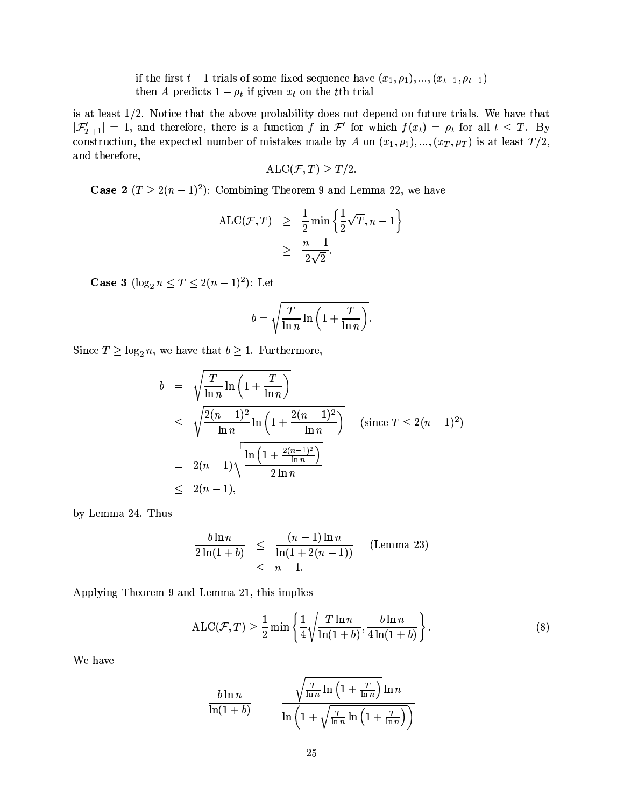if the first  $t-1$  trials of some fixed sequence have  $(x_1, \rho_1), ..., (x_{t-1}, \rho_{t-1})$ then A predicts  $1 - \rho_t$  if given  $x_t$  on the the trial

is at least  $1/2$ . Notice that the above probability does not depend on future trials. We have that  $|\mathcal{F}'_{T+1}| = 1$ , and therefore, there is a function f in  $\mathcal{F}'$  for which  $f(x_t) = \rho_t$  for all  $t \leq T$ . By construction, the expected number of mistakes made by A on  $(x_1, \rho_1), ..., (x_T, \rho_T)$  is at least  $T/2$ , and therefore,

$$
ALC(\mathcal{F},T) \geq T/2
$$

**Case 2** ( $T \ge 2(n-1)^2$ ): Combining Theorem 9 and Lemma 22, we have

$$
\begin{array}{rcl} \mathrm{ALC}(\mathcal{F},T) & \geq & \frac{1}{2} \min \left\{ \frac{1}{2} \sqrt{T}, n-1 \right\} \\ & \geq & \frac{n-1}{2\sqrt{2}}. \end{array}
$$

**Case 3** ( $\log_2 n \le T \le 2(n-1)^2$ ): Let

$$
b = \sqrt{\frac{T}{\ln n} \ln \left( 1 + \frac{T}{\ln n} \right)}.
$$

Since  $T \geq \log_2 n$ , we have that  $b \geq 1$ . Furthermore,

$$
b = \sqrt{\frac{T}{\ln n} \ln \left( 1 + \frac{T}{\ln n} \right)}
$$
  
\n
$$
\leq \sqrt{\frac{2(n-1)^2}{\ln n} \ln \left( 1 + \frac{2(n-1)^2}{\ln n} \right)}
$$
 (since  $T \leq 2(n-1)^2$ )  
\n
$$
= 2(n-1)\sqrt{\frac{\ln \left( 1 + \frac{2(n-1)^2}{\ln n} \right)}{2 \ln n}}
$$
  
\n
$$
\leq 2(n-1),
$$

by Lemma 24. Thus

$$
\frac{b\ln n}{2\ln(1+b)} \leq \frac{(n-1)\ln n}{\ln(1+2(n-1))}
$$
 (Lemma 23)  

$$
\leq n-1.
$$

Applying Theorem 9 and Lemma 21, this implies

$$
ALC(\mathcal{F}, T) \ge \frac{1}{2} \min \left\{ \frac{1}{4} \sqrt{\frac{T \ln n}{\ln(1+b)}}, \frac{b \ln n}{4 \ln(1+b)} \right\}.
$$
 (8)

We have

$$
\frac{b \ln n}{\ln(1+b)} = \frac{\sqrt{\frac{T}{\ln n} \ln \left(1 + \frac{T}{\ln n}\right)} \ln n}{\ln \left(1 + \sqrt{\frac{T}{\ln n} \ln \left(1 + \frac{T}{\ln n}\right)}\right)}
$$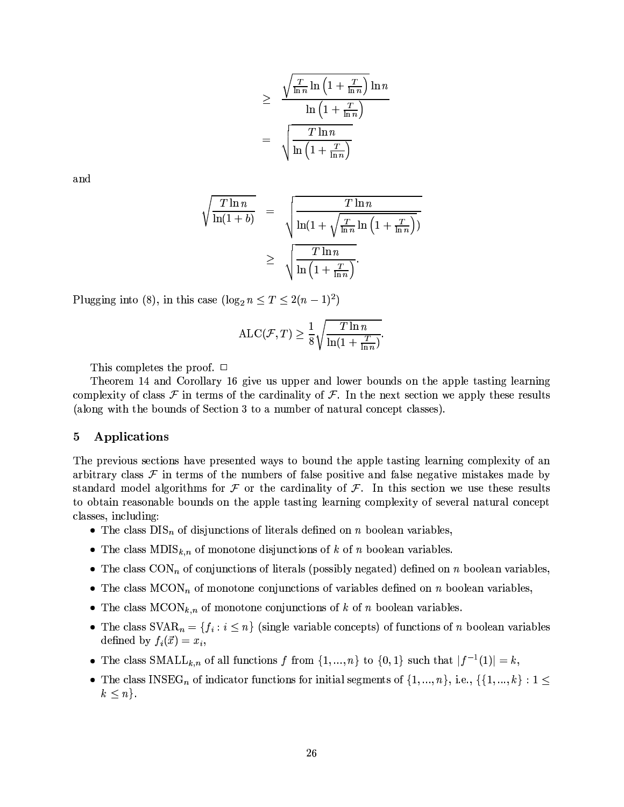$$
\geq \frac{\sqrt{\frac{T}{\ln n} \ln \left(1 + \frac{T}{\ln n}\right)} \ln n}{\ln \left(1 + \frac{T}{\ln n}\right)}
$$

$$
= \sqrt{\frac{T \ln n}{\ln \left(1 + \frac{T}{\ln n}\right)}}
$$

and

$$
\sqrt{\frac{T \ln n}{\ln(1+b)}} = \sqrt{\frac{T \ln n}{\ln(1 + \sqrt{\frac{T}{\ln n} \ln(1 + \frac{T}{\ln n})})}} \ge \sqrt{\frac{T \ln n}{\ln(1 + \frac{T}{\ln n})}}.
$$

Plugging into (8), in this case  $(\log_2 n \le T \le 2(n-1)^2)$ 

$$
ALC(\mathcal{F}, T) \ge \frac{1}{8} \sqrt{\frac{T \ln n}{\ln(1 + \frac{T}{\ln n})}}
$$

This completes the proof.  $\Box$ 

Theorem 14 and Corollary 16 give us upper and lower bounds on the apple tasting learning complexity of class  $\mathcal F$  in terms of the cardinality of  $\mathcal F$ . In the next section we apply these results (along with the bounds of Section 3 to a number of natural concept classes).

# Applications 5

The previous sections have presented ways to bound the apple tasting learning complexity of an arbitrary class  $\mathcal F$  in terms of the numbers of false positive and false negative mistakes made by standard model algorithms for  $\mathcal F$  or the cardinality of  $\mathcal F$ . In this section we use these results to obtain reasonable bounds on the apple tasting learning complexity of several natural concept classes, including:

- The class  $DIS_n$  of disjunctions of literals defined on n boolean variables.
- The class  $MDIS_{k,n}$  of monotone disjunctions of k of n boolean variables.
- The class  $\text{CON}_n$  of conjunctions of literals (possibly negated) defined on n boolean variables,
- The class  $MCON_n$  of monotone conjunctions of variables defined on n boolean variables,
- The class  $MCON_{k,n}$  of monotone conjunctions of k of n boolean variables.
- The class  $SVAR_n = \{f_i : i \leq n\}$  (single variable concepts) of functions of n boolean variables defined by  $f_i(\vec{x}) = x_i$ ,
- The class SMALL<sub>k,n</sub> of all functions f from  $\{1, ..., n\}$  to  $\{0, 1\}$  such that  $|f^{-1}(1)| = k$ ,
- The class INSEG<sub>n</sub> of indicator functions for initial segments of  $\{1, ..., n\}$ , i.e.,  $\{\{1, ..., k\} : 1 \leq$  $k\leq n$ .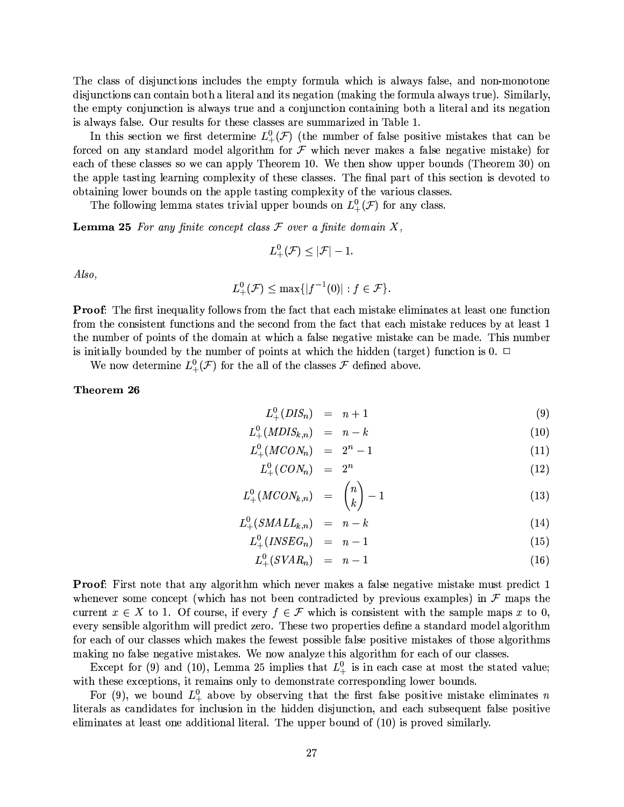The class of disjunctions includes the empty formula which is always false, and non-monotone disjunctions can contain both a literal and its negation (making the formula always true). Similarly, the empty conjunction is always true and a conjunction containing both a literal and its negation is always false. Our results for these classes are summarized in Table 1.

In this section we first determine  $L^0_+(\mathcal{F})$  (the number of false positive mistakes that can be forced on any standard model algorithm for  $\mathcal F$  which never makes a false negative mistake) for each of these classes so we can apply Theorem 10. We then show upper bounds (Theorem 30) on the apple tasting learning complexity of these classes. The final part of this section is devoted to obtaining lower bounds on the apple tasting complexity of the various classes.

The following lemma states trivial upper bounds on  $L^0_+(\mathcal{F})$  for any class.

**Lemma 25** For any finite concept class  $F$  over a finite domain  $X$ ,

$$
L^0_+(\mathcal{F})\leq |\mathcal{F}|-1
$$

Also,

$$
L_+^0(\mathcal{F}) \le \max\{|f^{-1}(0)| : f \in \mathcal{F}\}\
$$

**Proof:** The first inequality follows from the fact that each mistake eliminates at least one function from the consistent functions and the second from the fact that each mistake reduces by at least 1 the number of points of the domain at which a false negative mistake can be made. This number is initially bounded by the number of points at which the hidden (target) function is 0.  $\Box$ 

We now determine  $L^0_+(\mathcal{F})$  for the all of the classes  $\mathcal F$  defined above.

# Theorem 26

$$
L^0_+(DIS_n) = n+1 \tag{9}
$$

$$
L^0_+(MDIS_{k,n}) = n-k \tag{10}
$$

$$
L^0_+(MCON_n) = 2^n - 1 \tag{11}
$$

$$
L^0_+(CON_n) = 2^n \tag{12}
$$

$$
L^0_+(MCON_{k,n}) = {n \choose k} - 1 \tag{13}
$$

$$
L^0_+(SMALL_{k,n}) = n-k \tag{14}
$$

$$
L^0_+(INSEG_n) = n-1 \tag{15}
$$

$$
L^0_+(SVAR_n) = n-1 \tag{16}
$$

**Proof:** First note that any algorithm which never makes a false negative mistake must predict 1 whenever some concept (which has not been contradicted by previous examples) in  $\mathcal F$  maps the current  $x \in X$  to 1. Of course, if every  $f \in \mathcal{F}$  which is consistent with the sample maps x to 0, every sensible algorithm will predict zero. These two properties define a standard model algorithm for each of our classes which makes the fewest possible false positive mistakes of those algorithms making no false negative mistakes. We now analyze this algorithm for each of our classes.

Except for (9) and (10), Lemma 25 implies that  $L^0_+$  is in each case at most the stated value; with these exceptions, it remains only to demonstrate corresponding lower bounds.

For (9), we bound  $L^0_+$  above by observing that the first false positive mistake eliminates n literals as candidates for inclusion in the hidden disjunction, and each subsequent false positive eliminates at least one additional literal. The upper bound of (10) is proved similarly.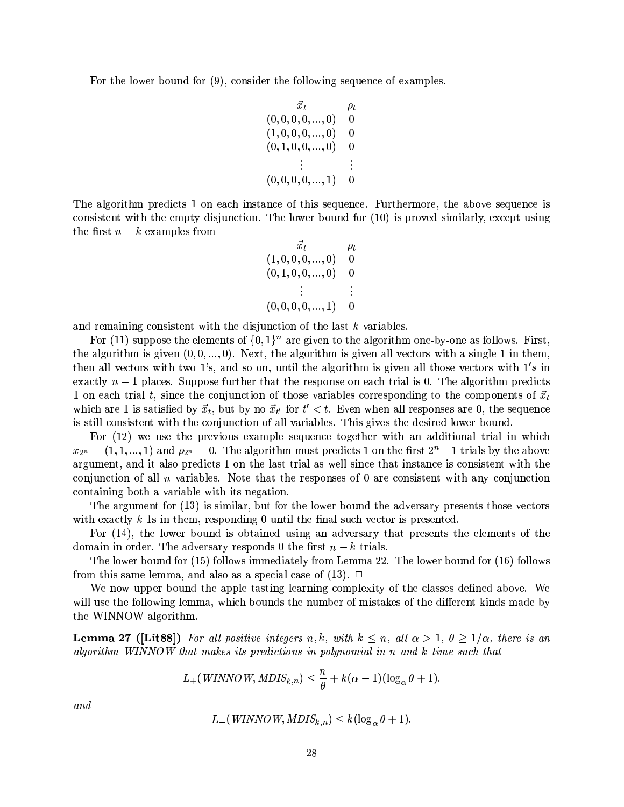For the lower bound for  $(9)$ , consider the following sequence of examples.

$$
\vec{x}_t \quad \rho_t \quad \rho_t \quad \text{(0, 0, 0, 0, ..., 0)} \quad 0 \quad \text{(1, 0, 0, 0, ..., 0)} \quad 0 \quad \text{(0, 1, 0, 0, ..., 0)} \quad 0 \quad \vdots \quad \vdots \quad \text{(0, 0, 0, 0, ..., 1)} \quad 0
$$

The algorithm predicts 1 on each instance of this sequence. Furthermore, the above sequence is consistent with the empty disjunction. The lower bound for (10) is proved similarly, except using the first  $n - k$  examples from

$$
\begin{array}{ccc}\n & \vec{x_t} & \rho_t \\
(1, 0, 0, 0, ..., 0) & 0 \\
(0, 1, 0, 0, ..., 0) & 0 \\
\vdots & \vdots \\
(0, 0, 0, 0, ..., 1) & 0\n\end{array}
$$

and remaining consistent with the disjunction of the last  $k$  variables.

For (11) suppose the elements of  $\{0,1\}^n$  are given to the algorithm one-by-one as follows. First, the algorithm is given  $(0, 0, ..., 0)$ . Next, the algorithm is given all vectors with a single 1 in them. then all vectors with two 1's, and so on, until the algorithm is given all those vectors with  $1's$  in exactly  $n-1$  places. Suppose further that the response on each trial is 0. The algorithm predicts 1 on each trial t, since the conjunction of those variables corresponding to the components of  $\vec{x}_t$ which are 1 is satisfied by  $\vec{x}_t$ , but by no  $\vec{x}_{t'}$  for  $t' < t$ . Even when all responses are 0, the sequence is still consistent with the conjunction of all variables. This gives the desired lower bound.

For (12) we use the previous example sequence together with an additional trial in which  $x_{2^n} = (1, 1, ..., 1)$  and  $\rho_{2^n} = 0$ . The algorithm must predicts 1 on the first  $2^n - 1$  trials by the above argument, and it also predicts 1 on the last trial as well since that instance is consistent with the conjunction of all  $n$  variables. Note that the responses of 0 are consistent with any conjunction containing both a variable with its negation.

The argument for (13) is similar, but for the lower bound the adversary presents those vectors with exactly  $k$  1s in them, responding 0 until the final such vector is presented.

For  $(14)$ , the lower bound is obtained using an adversary that presents the elements of the domain in order. The adversary responds 0 the first  $n - k$  trials.

The lower bound for  $(15)$  follows immediately from Lemma 22. The lower bound for  $(16)$  follows from this same lemma, and also as a special case of  $(13)$ .  $\Box$ 

We now upper bound the apple tasting learning complexity of the classes defined above. We will use the following lemma, which bounds the number of mistakes of the different kinds made by the WINNOW algorithm.

**Lemma 27** ([Lit88]) For all positive integers n, k, with  $k \leq n$ , all  $\alpha > 1$ ,  $\theta \geq 1/\alpha$ , there is an algorithm WINNOW that makes its predictions in polynomial in n and k time such that

$$
L_{+}(WINNOW, MDIS_{k,n}) \leq \frac{n}{\theta} + k(\alpha - 1)(\log_{\alpha}\theta + 1).
$$

and

$$
L_{-}(WINNOW, MDIS_{k,n}) \leq k(\log_{\alpha} \theta + 1).
$$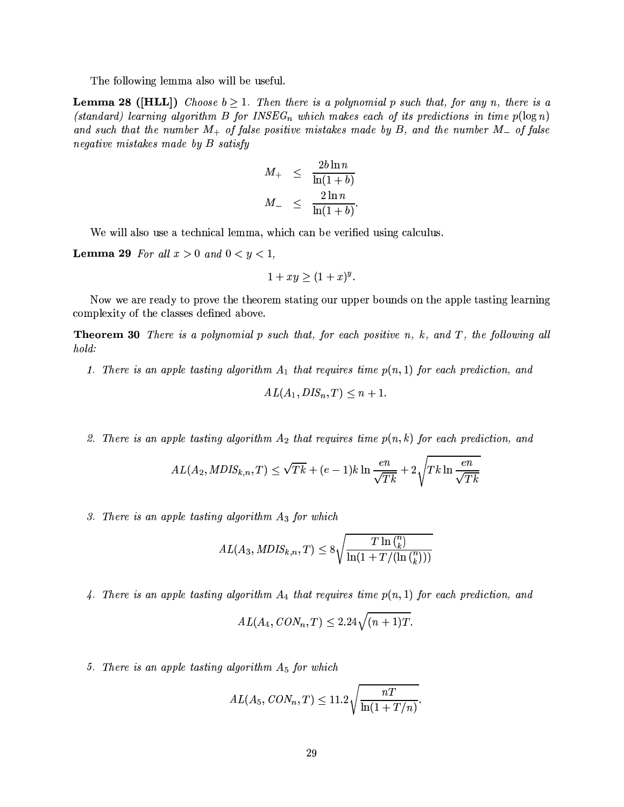The following lemma also will be useful.

**Lemma 28 ([HLL])** Choose  $b \ge 1$ . Then there is a polynomial p such that, for any n, there is a (standard) learning algorithm B for INSEG<sub>n</sub> which makes each of its predictions in time  $p(\log n)$ and such that the number  $M_+$  of false positive mistakes made by B, and the number  $M_-$  of false negative mistakes made by B satisfy

$$
M_{+} \leq \frac{2b\ln n}{\ln(1+b)}
$$

$$
M_{-} \leq \frac{2\ln n}{\ln(1+b)}.
$$

We will also use a technical lemma, which can be verified using calculus.

**Lemma 29** For all  $x > 0$  and  $0 < y < 1$ ,

$$
1 + xy \ge (1 + x)^y.
$$

Now we are ready to prove the theorem stating our upper bounds on the apple tasting learning complexity of the classes defined above.

**Theorem 30** There is a polynomial  $p$  such that, for each positive  $n$ ,  $k$ , and  $T$ , the following all hold:

1. There is an apple tasting algorithm  $A_1$  that requires time  $p(n,1)$  for each prediction, and

$$
AL(A_1, DIS_n, T) \leq n+1.
$$

2. There is an apple tasting algorithm  $A_2$  that requires time  $p(n, k)$  for each prediction, and

$$
AL(A_2, MDIS_{k,n}, T) \leq \sqrt{Tk} + (e-1)k \ln \frac{en}{\sqrt{Tk}} + 2\sqrt{Tk \ln \frac{en}{\sqrt{Tk}}}
$$

3. There is an apple tasting algorithm  $A_3$  for which

$$
AL(A_3, MDIS_{k,n}, T) \leq 8\sqrt{\frac{T \ln {n \choose k}}{\ln(1+T/(\ln {n \choose k}))}}
$$

4. There is an apple tasting algorithm  $A_4$  that requires time  $p(n,1)$  for each prediction, and

$$
AL(A_4, CON_n, T) \leq 2.24\sqrt{(n+1)T}.
$$

5. There is an apple tasting algorithm  $A_5$  for which

$$
AL(A_5, CON_n, T) \le 11.2 \sqrt{\frac{nT}{\ln(1+T/n)}}.
$$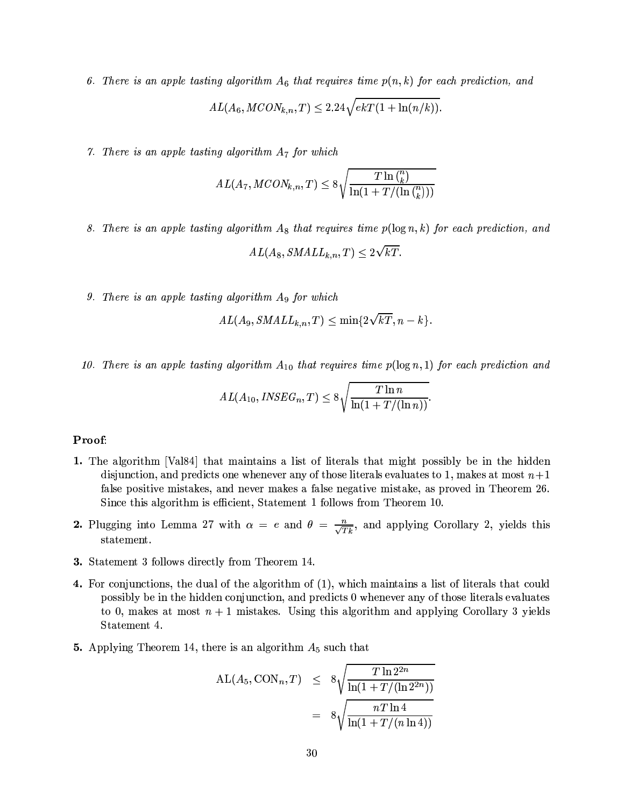6. There is an apple tasting algorithm  $A_6$  that requires time  $p(n, k)$  for each prediction, and

$$
AL(A_6, MCON_{k,n}, T) \leq 2.24 \sqrt{ekT(1 + \ln(n/k))}.
$$

7. There is an apple tasting algorithm  $A_7$  for which

$$
AL(A_7, MCON_{k,n}, T) \le 8\sqrt{\frac{T \ln {n \choose k}}{\ln(1+T/(\ln {n \choose k}))}}
$$

8. There is an apple tasting algorithm  $A_8$  that requires time  $p(\log n, k)$  for each prediction, and  $AL(A_8, SMALL_{k,n}, T) \leq 2\sqrt{kT}$ 

9. There is an apple tasting algorithm  $A<sub>9</sub>$  for which

$$
AL(A_9, \mathit{SMALL}_{k,n}, T) \leq \min\{2\sqrt{kT}, n-k\}.
$$

10. There is an apple tasting algorithm  $A_{10}$  that requires time  $p(\log n, 1)$  for each prediction and

$$
AL(A_{10}, INSEG_n, T) \le 8\sqrt{\frac{T \ln n}{\ln(1 + T/(\ln n))}}
$$

# Proof:

- 1. The algorithm [Val84] that maintains a list of literals that might possibly be in the hidden disjunction, and predicts one whenever any of those literals evaluates to 1, makes at most  $n+1$ false positive mistakes, and never makes a false negative mistake, as proved in Theorem 26. Since this algorithm is efficient, Statement 1 follows from Theorem 10.
- 2. Plugging into Lemma 27 with  $\alpha = e$  and  $\theta = \frac{n}{\sqrt{Tk}}$ , and applying Corollary 2, yields this statement.
- **3.** Statement 3 follows directly from Theorem 14.
- 4. For conjunctions, the dual of the algorithm of (1), which maintains a list of literals that could possibly be in the hidden conjunction, and predicts 0 whenever any of those literals evaluates to 0, makes at most  $n+1$  mistakes. Using this algorithm and applying Corollary 3 yields Statement 4.
- **5.** Applying Theorem 14, there is an algorithm  $A_5$  such that

$$
AL(A_5, CON_n, T) \leq 8\sqrt{\frac{T \ln 2^{2n}}{\ln(1 + T/(\ln 2^{2n}))}}
$$
  
= 8\sqrt{\frac{nT \ln 4}{\ln(1 + T/(n \ln 4))}}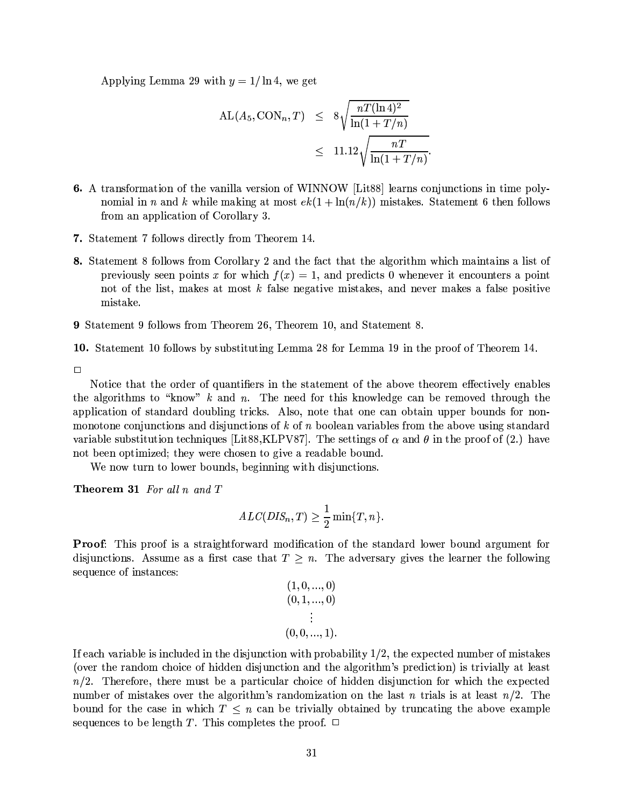Applying Lemma 29 with  $y = 1/\ln 4$ , we get

$$
\begin{array}{rcl} \mathrm{AL}(A_5, \mathrm{CON}_n, T) & \leq & 8\sqrt{\frac{nT(\ln 4)^2}{\ln(1 + T/n)}} \\ & \leq & 11.12\sqrt{\frac{nT}{\ln(1 + T/n)}}. \end{array}
$$

- **6.** A transformation of the vanilla version of WINNOW [Lit88] learns conjunctions in time polynomial in n and k while making at most  $ek(1 + \ln(n/k))$  mistakes. Statement 6 then follows from an application of Corollary 3.
- 7. Statement 7 follows directly from Theorem 14.
- 8. Statement 8 follows from Corollary 2 and the fact that the algorithm which maintains a list of previously seen points x for which  $f(x) = 1$ , and predicts 0 whenever it encounters a point not of the list, makes at most k false negative mistakes, and never makes a false positive mistake.
- **9** Statement 9 follows from Theorem 26, Theorem 10, and Statement 8.

10. Statement 10 follows by substituting Lemma 28 for Lemma 19 in the proof of Theorem 14.

 $\Box$ 

Notice that the order of quantifiers in the statement of the above theorem effectively enables the algorithms to "know"  $k$  and  $n$ . The need for this knowledge can be removed through the application of standard doubling tricks. Also, note that one can obtain upper bounds for nonmonotone conjunctions and disjunctions of  $k$  of  $n$  boolean variables from the above using standard variable substitution techniques [Lit88,KLPV87]. The settings of  $\alpha$  and  $\theta$  in the proof of (2.) have not been optimized; they were chosen to give a readable bound.

We now turn to lower bounds, beginning with disjunctions.

**Theorem 31** For all n and T

$$
ALC(DIS_n, T) \ge \frac{1}{2} \min\{T, n\}.
$$

**Proof:** This proof is a straightforward modification of the standard lower bound argument for disjunctions. Assume as a first case that  $T \geq n$ . The adversary gives the learner the following sequence of instances:  $\overline{a}$ 

If each variable is included in the disjunction with probability  $1/2$ , the expected number of mistakes (over the random choice of hidden disjunction and the algorithm's prediction) is trivially at least  $n/2$ . Therefore, there must be a particular choice of hidden disjunction for which the expected number of mistakes over the algorithm's randomization on the last n trials is at least  $n/2$ . The bound for the case in which  $T \leq n$  can be trivially obtained by truncating the above example sequences to be length T. This completes the proof.  $\Box$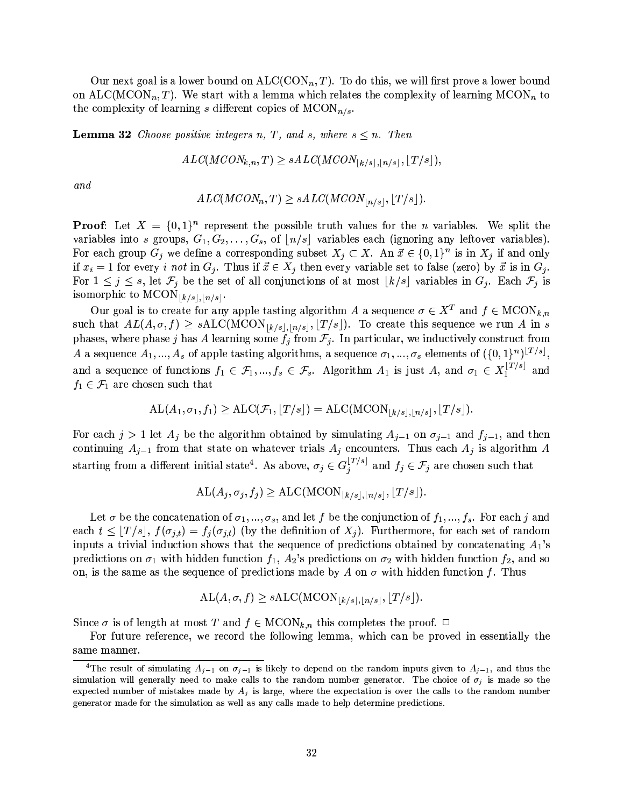Our next goal is a lower bound on  $ALC(CON_n, T)$ . To do this, we will first prove a lower bound on ALC(MCON<sub>n</sub>, T). We start with a lemma which relates the complexity of learning MCON<sub>n</sub> to the complexity of learning s different copies of  $\text{MCON}_{n/s}$ .

**Lemma 32** Choose positive integers n, T, and s, where  $s \leq n$ . Then

$$
ALC(MCON_{k,n}, T) \ge sALC(MCON_{\lfloor k/s \rfloor, \lfloor n/s \rfloor}, \lfloor T/s \rfloor),
$$

and

$$
ALC(MCON_n, T) \geq sALC(MCON_{\lfloor n/s \rfloor}, \lfloor T/s \rfloor)
$$

**Proof:** Let  $X = \{0,1\}^n$  represent the possible truth values for the *n* variables. We split the variables into s groups,  $G_1, G_2, \ldots, G_s$ , of  $\lfloor n/s \rfloor$  variables each (ignoring any leftover variables). For each group  $G_j$  we define a corresponding subset  $X_j \subset X$ . An  $\vec{x} \in \{0,1\}^n$  is in  $X_j$  if and only if  $x_i = 1$  for every *i* not in  $G_j$ . Thus if  $\vec{x} \in X_j$  then every variable set to false (zero) by  $\vec{x}$  is in  $G_j$ . For  $1 \leq j \leq s$ , let  $\mathcal{F}_j$  be the set of all conjunctions of at most  $\lfloor k/s \rfloor$  variables in  $G_j$ . Each  $\mathcal{F}_j$  is isomorphic to  $MCON_{\lfloor k/s \rfloor, \lfloor n/s \rfloor}.$ 

Our goal is to create for any apple tasting algorithm A a sequence  $\sigma \in X^T$  and  $f \in \text{MCON}_{k,n}$ such that  $AL(A, \sigma, f) \geq sALC(MCON_{\lfloor k/s \rfloor, \lfloor n/s \rfloor}, \lfloor T/s \rfloor)$ . To create this sequence we run A in s phases, where phase j has A learning some  $f_j$  from  $\mathcal{F}_j$ . In particular, we inductively construct from A a sequence  $A_1, ..., A_s$  of apple tasting algorithms, a sequence  $\sigma_1, ..., \sigma_s$  elements of  $(\{0,1\}^n)^{\lfloor T/s \rfloor}$ , and a sequence of functions  $f_1 \in \mathcal{F}_1, ..., f_s \in \mathcal{F}_s$ . Algorithm  $A_1$  is just  $A$ , and  $\sigma_1 \in X_1^{[T/s]}$  and  $f_1 \in \mathcal{F}_1$  are chosen such that

$$
AL(A_1, \sigma_1, f_1) \geq ALC(\mathcal{F}_1, \lfloor T/s \rfloor) = ALC(MCON_{\lfloor k/s \rfloor, \lfloor n/s \rfloor}, \lfloor T/s \rfloor)
$$

For each  $j > 1$  let  $A_j$  be the algorithm obtained by simulating  $A_{j-1}$  on  $\sigma_{j-1}$  and  $f_{j-1}$ , and then continuing  $A_{j-1}$  from that state on whatever trials  $A_j$  encounters. Thus each  $A_j$  is algorithm A starting from a different initial state<sup>4</sup>. As above,  $\sigma_j \in G_j^{[T/s]}$  and  $f_j \in \mathcal{F}_j$  are chosen such that

$$
AL(A_j, \sigma_j, f_j) \geq ALC(MCON_{\lfloor k/s \rfloor, \lfloor n/s \rfloor}, \lfloor T/s \rfloor).
$$

Let  $\sigma$  be the concatenation of  $\sigma_1, ..., \sigma_s$ , and let f be the conjunction of  $f_1, ..., f_s$ . For each j and each  $t \leq \lfloor T/s \rfloor$ ,  $f(\sigma_{j,t}) = f_j(\sigma_{j,t})$  (by the definition of  $X_j$ ). Furthermore, for each set of random inputs a trivial induction shows that the sequence of predictions obtained by concatenating  $A_1$ 's predictions on  $\sigma_1$  with hidden function  $f_1$ ,  $A_2$ 's predictions on  $\sigma_2$  with hidden function  $f_2$ , and so on, is the same as the sequence of predictions made by A on  $\sigma$  with hidden function f. Thus

$$
AL(A, \sigma, f) \geq sALC(MCON_{\lfloor k/s \rfloor, \lfloor n/s \rfloor}, \lfloor T/s \rfloor)
$$

Since  $\sigma$  is of length at most T and  $f \in \text{MCON}_{k,n}$  this completes the proof.  $\Box$ 

For future reference, we record the following lemma, which can be proved in essentially the same manner.

<sup>&</sup>lt;sup>4</sup>The result of simulating  $A_{i-1}$  on  $\sigma_{i-1}$  is likely to depend on the random inputs given to  $A_{i-1}$ , and thus the simulation will generally need to make calls to the random number generator. The choice of  $\sigma_i$  is made so the expected number of mistakes made by  $A_j$  is large, where the expectation is over the calls to the random number generator made for the simulation as well as any calls made to help determine predictions.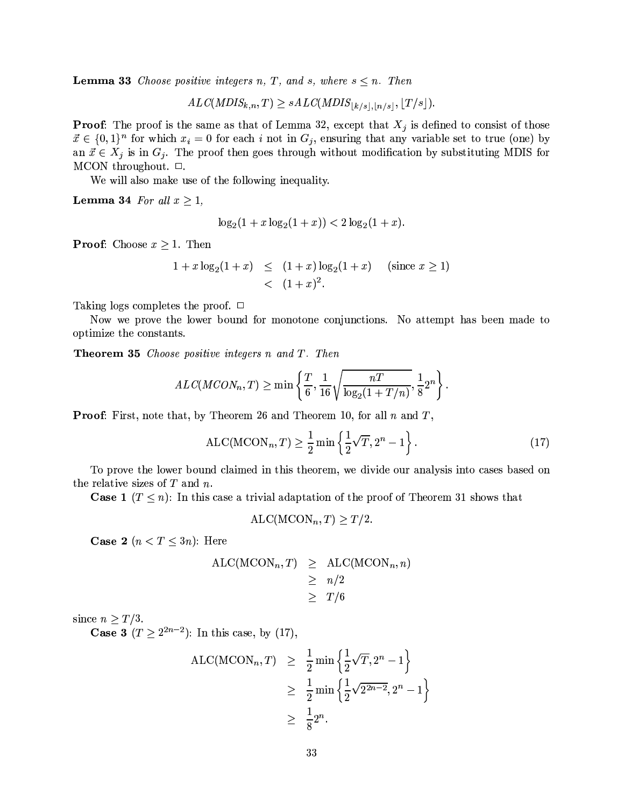**Lemma 33** Choose positive integers n, T, and s, where  $s \leq n$ . Then

$$
ALC(MDIS_{k,n}, T) \geq sALC(MDIS_{\lceil k/s \rceil, \lceil n/s \rceil}, \lfloor T/s \rfloor).
$$

**Proof:** The proof is the same as that of Lemma 32, except that  $X_j$  is defined to consist of those  $\vec{x} \in \{0,1\}^n$  for which  $x_i = 0$  for each i not in  $G_j$ , ensuring that any variable set to true (one) by an  $\vec{x} \in X_j$  is in  $G_j$ . The proof then goes through without modification by substituting MDIS for MCON throughout.  $\Box$ .

We will also make use of the following inequality.

**Lemma 34** For all  $x \geq 1$ ,

$$
\log_2(1+x\log_2(1+x)) < 2\log_2(1+x).
$$

**Proof:** Choose  $x \geq 1$ . Then

$$
1 + x \log_2(1+x) \le (1+x) \log_2(1+x) \quad \text{(since } x \ge 1\text{)}
$$
  
<  $(1+x)^2$ .

Taking logs completes the proof.  $\Box$ 

Now we prove the lower bound for monotone conjunctions. No attempt has been made to optimize the constants.

**Theorem 35** Choose positive integers n and  $T$ . Then

$$
ALC(MCON_n, T) \ge \min\left\{\frac{T}{6}, \frac{1}{16}\sqrt{\frac{nT}{\log_2(1+T/n)}}, \frac{1}{8}2^n\right\}
$$

**Proof:** First, note that, by Theorem 26 and Theorem 10, for all  $n$  and  $T$ ,

$$
ALC(MCONn, T) \ge \frac{1}{2} \min \left\{ \frac{1}{2} \sqrt{T}, 2^n - 1 \right\}.
$$
 (17)

To prove the lower bound claimed in this theorem, we divide our analysis into cases based on the relative sizes of  $T$  and  $n$ .

**Case 1** ( $T \leq n$ ): In this case a trivial adaptation of the proof of Theorem 31 shows that

$$
ALC(MCON_n, T) \geq T/2
$$

**Case 2**  $(n < T \leq 3n)$ : Here

$$
ALC(MCONn, T) \geq ALC(MCONn, n)
$$
  
\n
$$
\geq n/2
$$
  
\n
$$
\geq T/6
$$

since  $n \geq T/3$ .

**Case 3**  $(T \ge 2^{2n-2})$ : In this case, by (17),

$$
\begin{array}{rcl} \text{ALC}(\text{MCON}_n, T) & \geq & \frac{1}{2} \min \left\{ \frac{1}{2} \sqrt{T}, 2^n - 1 \right\} \\ & \geq & \frac{1}{2} \min \left\{ \frac{1}{2} \sqrt{2^{2n-2}}, 2^n - 1 \right\} \\ & \geq & \frac{1}{8} 2^n. \end{array}
$$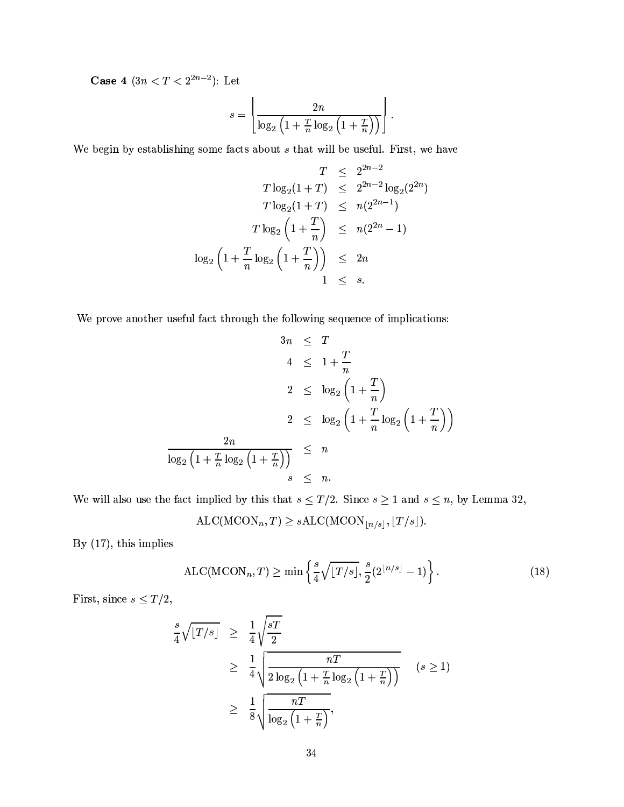l % <sup>S</sup> <sup>&</sup>lt; dl
j !

$$
s = \left\lfloor \frac{2n}{\log_2\left(1 + \frac{T}{n}\log_2\left(1 + \frac{T}{n}\right)\right)} \right\rfloor.
$$

=?5G\* - gG3I+/!#%,G;)"-Y/ P'a(V%CD!#T%,G\* 2! !#"%,!\$L@))bGra2;/ (\_2;)s<U>/! JL5"%+0

$$
T \leq 2^{2n-2}
$$
  
\n
$$
T \log_2(1+T) \leq 2^{2n-2} \log_2(2^{2n})
$$
  
\n
$$
T \log_2(1+T) \leq n(2^{2n-1})
$$
  
\n
$$
T \log_2(1+\frac{T}{n}) \leq n(2^{2n}-1)
$$
  
\n
$$
\log_2(1+\frac{T}{n} \log_2(1+\frac{T}{n})) \leq 2n
$$
  
\n
$$
1 \leq s.
$$

We prove another useful fact through the following sequence of implications:

$$
3n \leq T
$$
  
\n
$$
4 \leq 1 + \frac{T}{n}
$$
  
\n
$$
2 \leq \log_2\left(1 + \frac{T}{n}\right)
$$
  
\n
$$
2 \leq \log_2\left(1 + \frac{T}{n}\log_2\left(1 + \frac{T}{n}\right)\right)
$$
  
\n
$$
\frac{2n}{\log_2\left(1 + \frac{T}{n}\log_2\left(1 + \frac{T}{n}\right)\right)} \leq n
$$
  
\n
$$
s \leq n.
$$

 $\frac{1}{2}$  and  $\frac{1}{2}$  . The  $\frac{1}{2}$  in the  $\frac{1}{2}$  in  $\frac{1}{2}$  in  $\frac{1}{2}$  or  $\frac{1}{2}$  and  $\frac{1}{2}$  in  $\frac{1}{2}$  and  $\frac{1}{2}$  in  $\frac{1}{2}$  and  $\frac{1}{2}$  and  $\frac{1}{2}$  in  $\frac{1}{2}$  and  $\frac{1}{2}$  and  $\frac{1}{2}$  an  $ALC(MCON, T) > sALC(MCON, T) > 1$ 

 $=$   $\cdots$   $\cdots$ 

$$
ALC(MCONn, T) \ge \min\left\{\frac{s}{4}\sqrt{\lfloor T/s\rfloor}, \frac{s}{2}(2^{\lfloor n/s\rfloor}-1)\right\}.
$$
\n(18)

 $\mathbf{E}$   $\mathbf{E}$   $\mathbf{E}$   $\mathbf{E}$   $\mathbf{E}$   $\mathbf{E}$   $\mathbf{E}$   $\mathbf{E}$   $\mathbf{E}$   $\mathbf{E}$   $\mathbf{E}$   $\mathbf{E}$   $\mathbf{E}$   $\mathbf{E}$   $\mathbf{E}$   $\mathbf{E}$   $\mathbf{E}$   $\mathbf{E}$   $\mathbf{E}$   $\mathbf{E}$   $\mathbf{E}$   $\mathbf{E}$   $\mathbf{E}$   $\mathbf{E}$   $\mathbf{$ 

$$
\frac{s}{4}\sqrt{\lfloor T/s \rfloor} \geq \frac{1}{4}\sqrt{\frac{sT}{2}}
$$
\n
$$
\geq \frac{1}{4}\sqrt{\frac{nT}{2\log_2\left(1 + \frac{T}{n}\log_2\left(1 + \frac{T}{n}\right)\right)}} \quad (s \geq 1)
$$
\n
$$
\geq \frac{1}{8}\sqrt{\frac{nT}{\log_2\left(1 + \frac{T}{n}\right)}},
$$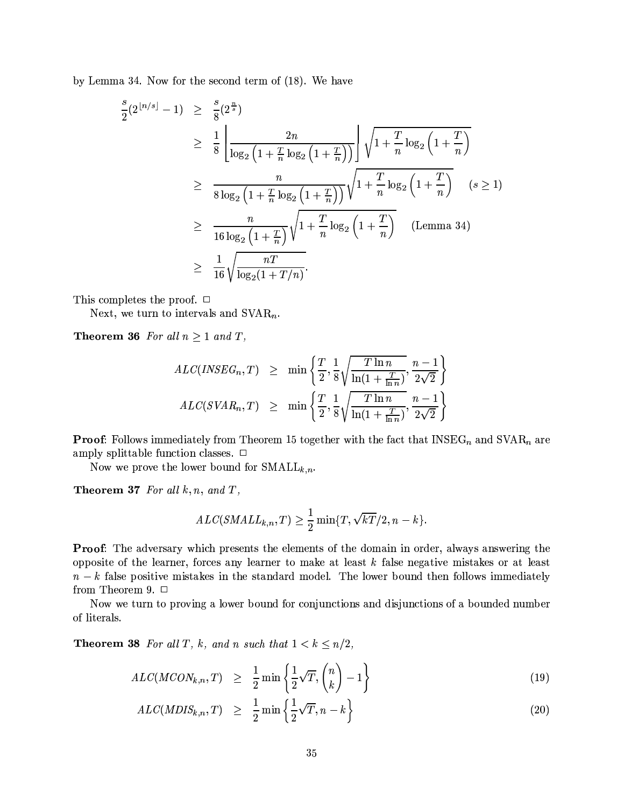by Lemma 34. Now for the second term of (18). We have

$$
\frac{s}{2}(2^{\lfloor n/s \rfloor} - 1) \geq \frac{s}{8}(2^{\frac{n}{s}})
$$
\n
$$
\geq \frac{1}{8} \left| \frac{2n}{\log_2(1 + \frac{T}{n} \log_2(1 + \frac{T}{n}))} \right| \sqrt{1 + \frac{T}{n} \log_2(1 + \frac{T}{n})}
$$
\n
$$
\geq \frac{n}{8 \log_2(1 + \frac{T}{n} \log_2(1 + \frac{T}{n}))} \sqrt{1 + \frac{T}{n} \log_2(1 + \frac{T}{n})} \quad (s \geq 1)
$$
\n
$$
\geq \frac{n}{16 \log_2(1 + \frac{T}{n})} \sqrt{1 + \frac{T}{n} \log_2(1 + \frac{T}{n})} \quad \text{(Lemma 34)}
$$
\n
$$
\geq \frac{1}{16} \sqrt{\frac{nT}{\log_2(1 + T/n)}}.
$$

This completes the proof.  $\Box$ 

Next, we turn to intervals and  $\text{SVAR}_n$ .

**Theorem 36** For all  $n \geq 1$  and T,

$$
ALC(INSEG_n, T) \geq \min \left\{ \frac{T}{2}, \frac{1}{8} \sqrt{\frac{T \ln n}{\ln(1 + \frac{T}{\ln n})}}, \frac{n-1}{2\sqrt{2}} \right\}
$$
  

$$
ALC(SVAR_n, T) \geq \min \left\{ \frac{T}{2}, \frac{1}{8} \sqrt{\frac{T \ln n}{\ln(1 + \frac{T}{\ln n})}}, \frac{n-1}{2\sqrt{2}} \right\}
$$

**Proof:** Follows immediately from Theorem 15 together with the fact that  $INSEG_n$  and  $SVAR_n$  are amply splittable function classes.  $\Box$ 

Now we prove the lower bound for  $SMALL_{k,n}$ .

**Theorem 37** For all  $k, n,$  and  $T$ ,

$$
ALC(SMALL_{k,n},T) \geq \frac{1}{2}\min\{T,\sqrt{kT}/2,n-k\}.
$$

Proof: The adversary which presents the elements of the domain in order, always answering the opposite of the learner, forces any learner to make at least  $k$  false negative mistakes or at least  $n-k$  false positive mistakes in the standard model. The lower bound then follows immediately from Theorem 9.  $\Box$ 

Now we turn to proving a lower bound for conjunctions and disjunctions of a bounded number of literals.

**Theorem 38** For all T, k, and n such that  $1 < k \leq n/2$ ,

$$
ALC(MCON_{k,n}, T) \geq \frac{1}{2} \min \left\{ \frac{1}{2} \sqrt{T}, {n \choose k} - 1 \right\}
$$
 (19)

$$
ALC(MDIS_{k,n}, T) \geq \frac{1}{2} \min \left\{ \frac{1}{2} \sqrt{T}, n - k \right\} \tag{20}
$$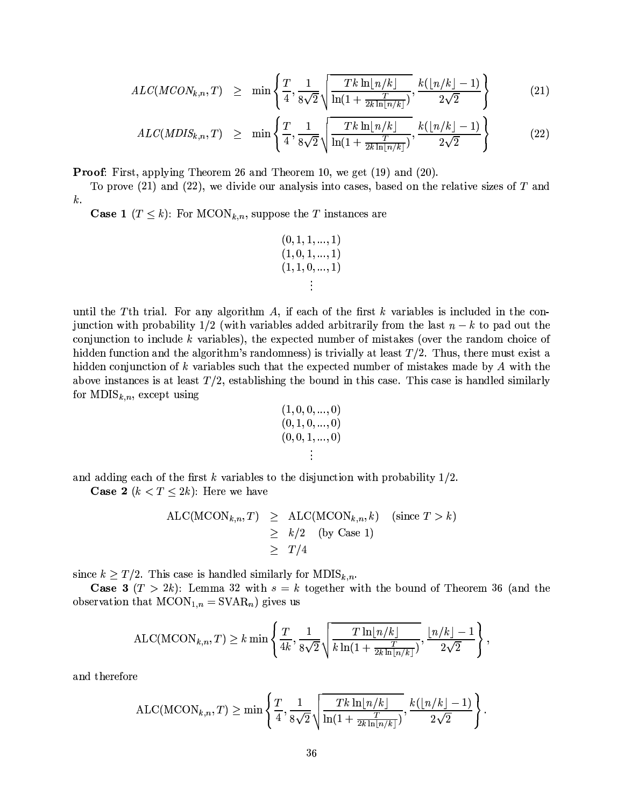$$
ALC(MCON_{k,n}, T) \geq \min\left\{\frac{T}{4}, \frac{1}{8\sqrt{2}}\sqrt{\frac{Tk\ln\lfloor n/k\rfloor}{\ln(1 + \frac{T}{2k\ln\lfloor n/k\rfloor})}}, \frac{k(\lfloor n/k\rfloor - 1)}{2\sqrt{2}}\right\}
$$
(21)

$$
ALC(MDIS_{k,n}, T) \geq \min \left\{ \frac{T}{4}, \frac{1}{8\sqrt{2}} \sqrt{\frac{Tk \ln\lfloor n/k \rfloor}{\ln(1 + \frac{T}{2k \ln\lfloor n/k \rfloor})}}, \frac{k(\lfloor n/k \rfloor - 1)}{2\sqrt{2}} \right\}
$$
(22)

**Proof:** First, applying Theorem 26 and Theorem 10, we get (19) and (20).

To prove  $(21)$  and  $(22)$ , we divide our analysis into cases, based on the relative sizes of T and  $\boldsymbol{k}$ .

**Case 1** ( $T \leq k$ ): For MCON<sub>k,n</sub>, suppose the T instances are

$$
\begin{array}{c} (0,1,1,...,1) \\ (1,0,1,...,1) \\ (1,1,0,...,1) \end{array}
$$

 $\vdots$ 

until the Tth trial. For any algorithm  $A$ , if each of the first k variables is included in the conjunction with probability  $1/2$  (with variables added arbitrarily from the last  $n - k$  to pad out the conjunction to include  $k$  variables), the expected number of mistakes (over the random choice of hidden function and the algorithm's randomness) is trivially at least  $T/2$ . Thus, there must exist a hidden conjunction of k variables such that the expected number of mistakes made by A with the above instances is at least  $T/2$ , establishing the bound in this case. This case is handled similarly for  $MDIS_{k,n}$ , except using

$$
\begin{array}{l} (1,0,0,...,0) \\ (0,1,0,...,0) \\ (0,0,1,...,0) \\ \vdots\end{array}
$$

and adding each of the first  $k$  variables to the disjunction with probability  $1/2$ .

**Case 2** ( $k < T \leq 2k$ ): Here we have

$$
ALC(MCON_{k,n}, T) \ge ALC(MCON_{k,n}, k) \quad (\text{since } T > k)
$$
  

$$
\ge k/2 \quad (\text{by Case 1})
$$
  

$$
\ge T/4
$$

since  $k \geq T/2$ . This case is handled similarly for MDIS<sub>k.n</sub>.

**Case 3**  $(T > 2k)$ : Lemma 32 with  $s = k$  together with the bound of Theorem 36 (and the observation that  $\mathrm{MCON}_{1,n} = \mathrm{SVAR}_n)$  gives us

$$
\mathrm{ALC}(\mathrm{MCON}_{k,n}, T) \geq k \min\left\{\frac{T}{4k}, \frac{1}{8\sqrt{2}}\sqrt{\frac{T\ln\lfloor n/k\rfloor}{k\ln(1+\frac{T}{2k\ln\lfloor n/k\rfloor})}}, \frac{\lfloor n/k\rfloor - 1}{2\sqrt{2}}\right\},\
$$

and therefore

$$
\mathrm{ALC}(\mathrm{MCON}_{k,n}, T) \ge \min\left\{\frac{T}{4}, \frac{1}{8\sqrt{2}}\sqrt{\frac{Tk\ln\lfloor n/k\rfloor}{\ln(1+\frac{T}{2k\ln\lfloor n/k\rfloor})}}, \frac{k(\lfloor n/k\rfloor-1)}{2\sqrt{2}}\right\}.
$$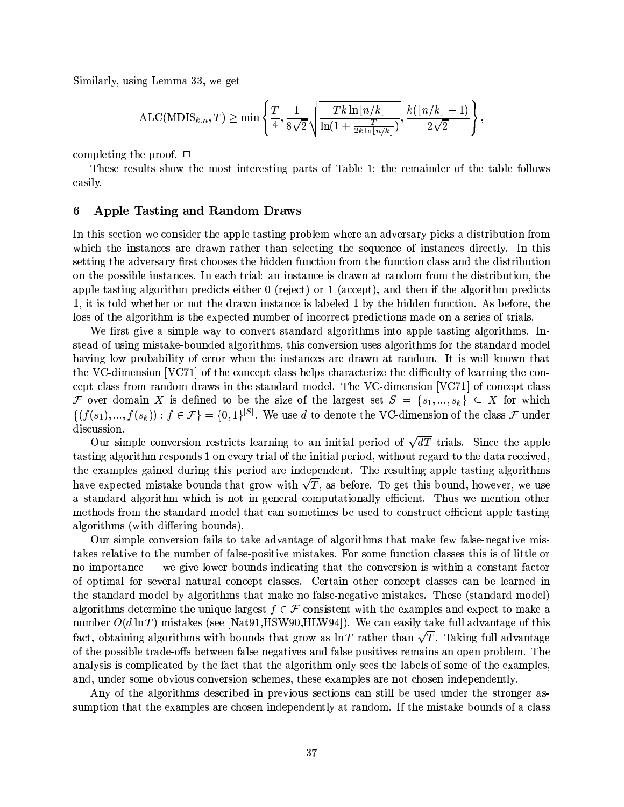Similarly, using Lemma 33, we get

$$
\mathrm{ALC}(\mathrm{MDIS}_{k,n},T)\geq\min\left\{\frac{T}{4},\frac{1}{8\sqrt{2}}\sqrt{\frac{Tk\ln\lfloor n/k\rfloor}{\ln(1+\frac{T}{2k\ln\lfloor n/k\rfloor})}},\frac{k(\lfloor n/k\rfloor-1)}{2\sqrt{2}}\right\},
$$

completing the proof.  $\Box$ 

These results show the most interesting parts of Table 1; the remainder of the table follows easily.

# Apple Tasting and Random Draws 6

In this section we consider the apple tasting problem where an adversary picks a distribution from which the instances are drawn rather than selecting the sequence of instances directly. In this setting the adversary first chooses the hidden function from the function class and the distribution on the possible instances. In each trial: an instance is drawn at random from the distribution, the apple tasting algorithm predicts either  $0$  (reject) or  $1$  (accept), and then if the algorithm predicts 1, it is told whether or not the drawn instance is labeled 1 by the hidden function. As before, the loss of the algorithm is the expected number of incorrect predictions made on a series of trials.

We first give a simple way to convert standard algorithms into apple tasting algorithms. Instead of using mistake-bounded algorithms, this conversion uses algorithms for the standard model having low probability of error when the instances are drawn at random. It is well known that the VC-dimension [VC71] of the concept class helps characterize the difficulty of learning the concept class from random draws in the standard model. The VC-dimension [VC71] of concept class F over domain X is defined to be the size of the largest set  $S = \{s_1, ..., s_k\} \subseteq X$  for which  $\{(f(s_1),...,f(s_k)) : f \in \mathcal{F}\} = \{0,1\}^{|S|}$ . We use d to denote the VC-dimension of the class  $\mathcal F$  under discussion.

Our simple conversion restricts learning to an initial period of  $\sqrt{dT}$  trials. Since the apple tasting algorithm responds 1 on every trial of the initial period, without regard to the data received. the examples gained during this period are independent. The resulting apple tasting algorithms have expected mistake bounds that grow with  $\sqrt{T}$ , as before. To get this bound, however, we use a standard algorithm which is not in general computationally efficient. Thus we mention other methods from the standard model that can sometimes be used to construct efficient apple tasting algorithms (with differing bounds).

Our simple conversion fails to take advantage of algorithms that make few false-negative mistakes relative to the number of false-positive mistakes. For some function classes this is of little or no importance — we give lower bounds indicating that the conversion is within a constant factor of optimal for several natural concept classes. Certain other concept classes can be learned in the standard model by algorithms that make no false-negative mistakes. These (standard model) algorithms determine the unique largest  $f \in \mathcal{F}$  consistent with the examples and expect to make a number  $O(d \ln T)$  mistakes (see [Nat91,HSW90,HLW94]). We can easily take full advantage of this fact, obtaining algorithms with bounds that grow as  $\ln T$  rather than  $\sqrt{T}$ . Taking full advantage of the possible trade-offs between false negatives and false positives remains an open problem. The analysis is complicated by the fact that the algorithm only sees the labels of some of the examples. and, under some obvious conversion schemes, these examples are not chosen independently.

Any of the algorithms described in previous sections can still be used under the stronger assumption that the examples are chosen independently at random. If the mistake bounds of a class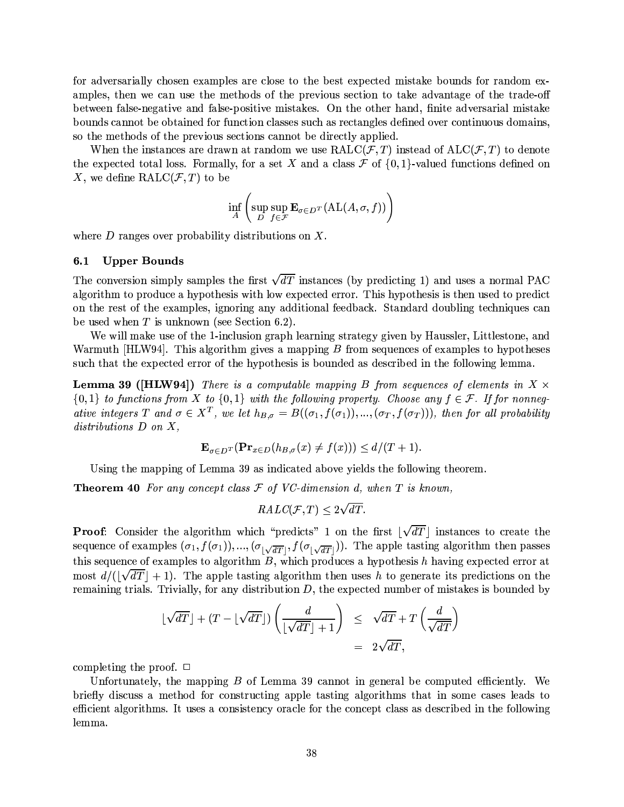for adversarially chosen examples are close to the best expected mistake bounds for random examples, then we can use the methods of the previous section to take advantage of the trade-off between false-negative and false-positive mistakes. On the other hand, finite adversarial mistake bounds cannot be obtained for function classes such as rectangles defined over continuous domains. so the methods of the previous sections cannot be directly applied.

When the instances are drawn at random we use RALC( $\mathcal{F}, T$ ) instead of ALC( $\mathcal{F}, T$ ) to denote the expected total loss. Formally, for a set X and a class  $\mathcal F$  of  $\{0,1\}$ -valued functions defined on X, we define RALC $(\mathcal{F}, T)$  to be

$$
\inf_{A} \left( \sup_{D} \sup_{f \in \mathcal{F}} \mathbf{E}_{\sigma \in D} \tau \left( \mathrm{AL}(A, \sigma, f) \right) \right)
$$

where  $D$  ranges over probability distributions on  $X$ .

### **Upper Bounds**  $6.1$

The conversion simply samples the first  $\sqrt{dT}$  instances (by predicting 1) and uses a normal PAC algorithm to produce a hypothesis with low expected error. This hypothesis is then used to predict on the rest of the examples, ignoring any additional feedback. Standard doubling techniques can be used when  $T$  is unknown (see Section 6.2).

We will make use of the 1-inclusion graph learning strategy given by Haussler, Littlestone, and Warmuth [HLW94]. This algorithm gives a mapping  $B$  from sequences of examples to hypotheses such that the expected error of the hypothesis is bounded as described in the following lemma.

**Lemma 39 (HLW94)** There is a computable mapping B from sequences of elements in  $X \times$  $\{0,1\}$  to functions from X to  $\{0,1\}$  with the following property. Choose any  $f \in \mathcal{F}$ . If for nonneqative integers T and  $\sigma \in X^T$ , we let  $h_{B,\sigma} = B((\sigma_1, f(\sigma_1)), ..., (\sigma_T, f(\sigma_T)))$ , then for all probability distributions  $D$  on  $X$ ,

$$
\mathbf{E}_{\sigma \in D}(\mathbf{Pr}_{x \in D}(h_{B,\sigma}(x) \neq f(x))) \leq d/(T+1).
$$

Using the mapping of Lemma 39 as indicated above yields the following theorem.

**Theorem 40** For any concept class  $F$  of VC-dimension d, when  $T$  is known,

$$
RALC(\mathcal{F},T) \leq 2\sqrt{dT}.
$$

**Proof:** Consider the algorithm which "predicts" 1 on the first  $\lfloor \sqrt{dT} \rfloor$  instances to create the sequence of examples  $(\sigma_1, f(\sigma_1)), ..., (\sigma_{\lfloor \sqrt{dT} \rfloor}, f(\sigma_{\lfloor \sqrt{dT} \rfloor}))$ . The apple tasting algorithm then passes this sequence of examples to algorithm  $B$ , which produces a hypothesis  $h$  having expected error at most  $d/(\sqrt{dT}+1)$ . The apple tasting algorithm then uses h to generate its predictions on the remaining trials. Trivially, for any distribution  $D$ , the expected number of mistakes is bounded by

$$
\lfloor \sqrt{dT} \rfloor + (T - \lfloor \sqrt{dT} \rfloor) \left( \frac{d}{\lfloor \sqrt{dT} \rfloor + 1} \right) \leq \sqrt{dT} + T \left( \frac{d}{\sqrt{dT}} \right) = 2\sqrt{dT},
$$

completing the proof.  $\Box$ 

Unfortunately, the mapping  $B$  of Lemma 39 cannot in general be computed efficiently. We briefly discuss a method for constructing apple tasting algorithms that in some cases leads to efficient algorithms. It uses a consistency oracle for the concept class as described in the following lemma.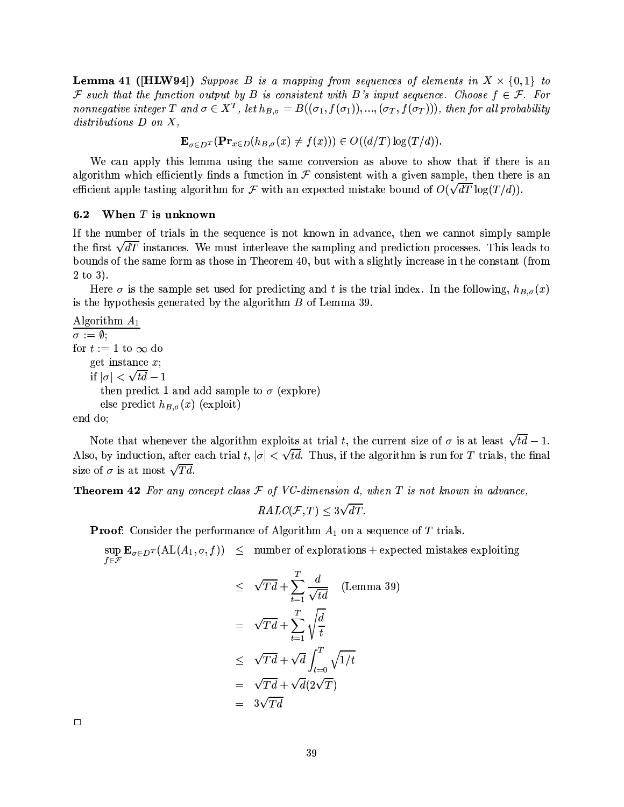**Lemma 41 ([HLW94])** Suppose B is a mapping from sequences of elements in  $X \times \{0,1\}$  to F such that the function output by B is consistent with B's input sequence. Choose  $f \in \mathcal{F}$ . For nonnegative integer T and  $\sigma \in X^T$ , let  $h_{B,\sigma} = B((\sigma_1, f(\sigma_1)), ..., (\sigma_T, f(\sigma_T)))$ , then for all probability distributions  $D$  on  $X$ ,

$$
\mathbf{E}_{\sigma \in D^{T}}(\mathbf{Pr}_{x \in D}(h_{B,\sigma}(x) \neq f(x))) \in O((d/T) \log(T/d)).
$$

We can apply this lemma using the same conversion as above to show that if there is an algorithm which efficiently finds a function in  $\mathcal F$  consistent with a given sample, then there is an efficient apple tasting algorithm for F with an expected mistake bound of  $O(\sqrt{dT \log(T/d)})$ .

# When  $T$  is unknown  $6.2$

If the number of trials in the sequence is not known in advance, then we cannot simply sample the first  $\sqrt{dT}$  instances. We must interleave the sampling and prediction processes. This leads to bounds of the same form as those in Theorem 40, but with a slightly increase in the constant (from  $2$  to  $3$ ).

Here  $\sigma$  is the sample set used for predicting and t is the trial index. In the following,  $h_{B,\sigma}(x)$ is the hypothesis generated by the algorithm  $B$  of Lemma 39.

Algorithm  $A_1$  $\overline{\sigma} := \emptyset$ : for  $t := 1$  to  $\infty$  do get instance  $x$ ; if  $|\sigma| < \sqrt{td} - 1$ then predict 1 and add sample to  $\sigma$  (explore) else predict  $h_{B,\sigma}(x)$  (exploit)

end do;

Note that whenever the algorithm exploits at trial t, the current size of  $\sigma$  is at least  $\sqrt{td} - 1$ . Also, by induction, after each trial t,  $|\sigma| < \sqrt{td}$ . Thus, if the algorithm is run for T trials, the final size of  $\sigma$  is at most  $\sqrt{Td}$ .

**Theorem 42** For any concept class  $\mathcal F$  of VC-dimension d, when T is not known in advance,

$$
\mathit{RALC}(\mathcal{F},T) \leq 3\sqrt{dT}.
$$

**Proof:** Consider the performance of Algorithm  $A_1$  on a sequence of T trials.

 $\sup_{f \in \mathcal{F}} \mathbf{E}_{\sigma \in D^{T}}(\text{AL}(A_1, \sigma, f)) \leq \text{ number of explorations} + \text{expected mistakes exploiting}$ 

$$
\leq \sqrt{Td} + \sum_{t=1}^{T} \frac{d}{\sqrt{td}} \quad \text{(Lemma 39)}
$$
\n
$$
= \sqrt{Td} + \sum_{t=1}^{T} \sqrt{\frac{d}{t}}
$$
\n
$$
\leq \sqrt{Td} + \sqrt{d} \int_{t=0}^{T} \sqrt{1/t}
$$
\n
$$
= \sqrt{Td} + \sqrt{d} (2\sqrt{T})
$$
\n
$$
= 3\sqrt{Td}
$$

 $\Box$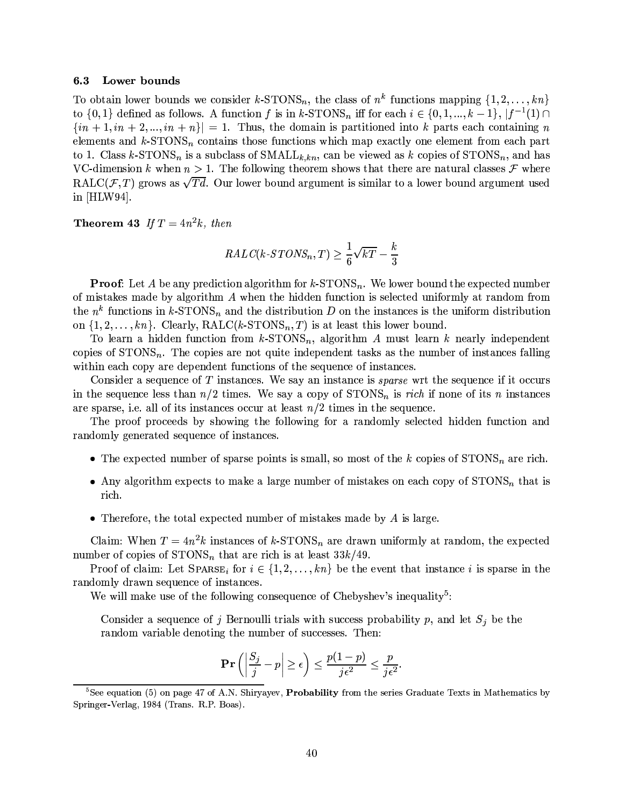### Lower bounds  $6.3$

To obtain lower bounds we consider k-STONS<sub>n</sub>, the class of  $n^k$  functions mapping  $\{1, 2, ..., kn\}$ to  $\{0,1\}$  defined as follows. A function f is in k-STONS<sub>n</sub> iff for each  $i \in \{0,1,...,k-1\}, |f^{-1}(1) \cap$  $\{in+1, in+2, ..., in+n\}| = 1$ . Thus, the domain is partitioned into k parts each containing n elements and  $k$ -STONS<sub>n</sub> contains those functions which map exactly one element from each part to 1. Class  $k$ -STONS<sub>n</sub> is a subclass of SMALL<sub>k,kn</sub>, can be viewed as k copies of STONS<sub>n</sub>, and has VC-dimension k when  $n > 1$ . The following theorem shows that there are natural classes F where RALC(F, T) grows as  $\sqrt{Td}$ . Our lower bound argument is similar to a lower bound argument used in [HLW94].

**Theorem 43** If  $T = 4n^2k$ , then

$$
\mathit{RALC}(k\text{-}\mathit{STONS}_n,T) \geq \frac{1}{6}\sqrt{kT} - \frac{k}{3}
$$

**Proof:** Let A be any prediction algorithm for  $k$ -STONS<sub>n</sub>. We lower bound the expected number of mistakes made by algorithm  $A$  when the hidden function is selected uniformly at random from the  $n^k$  functions in k-STONS<sub>n</sub> and the distribution D on the instances is the uniform distribution on  $\{1, 2, ..., kn\}$ . Clearly, RALC(k-STONS<sub>n</sub>, T) is at least this lower bound.

To learn a hidden function from k-STONS<sub>n</sub>, algorithm A must learn k nearly independent copies of  $STONS_n$ . The copies are not quite independent tasks as the number of instances falling within each copy are dependent functions of the sequence of instances.

Consider a sequence of  $T$  instances. We say an instance is *sparse* wrt the sequence if it occurs in the sequence less than  $n/2$  times. We say a copy of  $STONS_n$  is *rich* if none of its *n* instances are sparse, i.e. all of its instances occur at least  $n/2$  times in the sequence.

The proof proceeds by showing the following for a randomly selected hidden function and randomly generated sequence of instances.

- The expected number of sparse points is small, so most of the k copies of  $STONS_n$  are rich.
- Any algorithm expects to make a large number of mistakes on each copy of  $STONS_n$  that is rich.
- Therefore, the total expected number of mistakes made by  $A$  is large.

Claim: When  $T = 4n^2k$  instances of k-STONS<sub>n</sub> are drawn uniformly at random, the expected number of copies of  $STONS_n$  that are rich is at least  $33k/49$ .

Proof of claim: Let SPARSE<sub>i</sub> for  $i \in \{1, 2, ..., kn\}$  be the event that instance i is sparse in the randomly drawn sequence of instances.

We will make use of the following consequence of Chebyshev's inequality<sup>5</sup>:

Consider a sequence of j Bernoulli trials with success probability p, and let  $S_j$  be the random variable denoting the number of successes. Then:

$$
\mathbf{Pr}\left(\left|\frac{S_j}{j}-p\right|\geq \epsilon\right)\leq \frac{p(1-p)}{j\epsilon^2}\leq \frac{p}{j\epsilon^2}
$$

 ${}^5$ See equation (5) on page 47 of A.N. Shiryayev, **Probability** from the series Graduate Texts in Mathematics by Springer-Verlag, 1984 (Trans. R.P. Boas).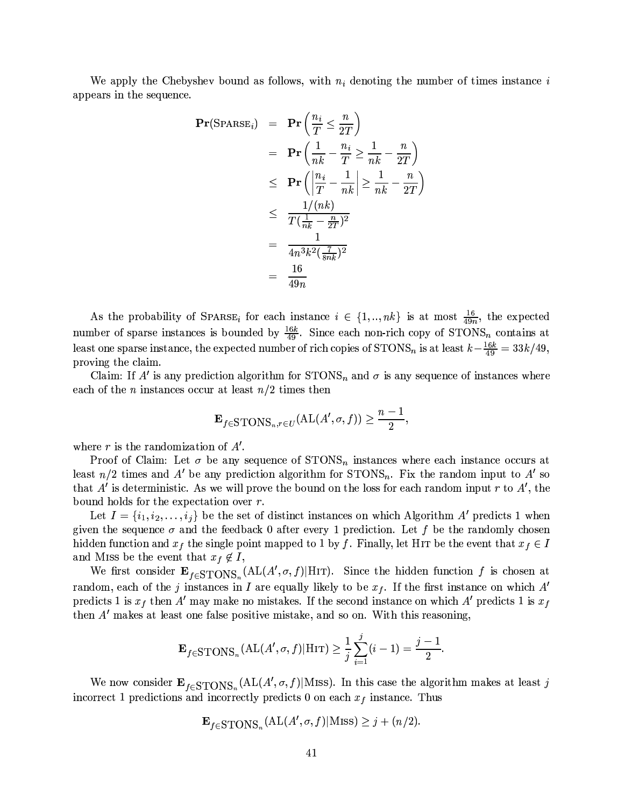We apply the Chebyshev bound as follows, with  $n_i$  denoting the number of times instance i appears in the sequence.

$$
Pr(SPARSE_i) = Pr\left(\frac{n_i}{T} \le \frac{n}{2T}\right)
$$
  
=  $Pr\left(\frac{1}{nk} - \frac{n_i}{T} \ge \frac{1}{nk} - \frac{n}{2T}\right)$   

$$
\le Pr\left(\left|\frac{n_i}{T} - \frac{1}{nk}\right| \ge \frac{1}{nk} - \frac{n}{2T}\right)
$$
  

$$
\le \frac{1/(nk)}{T(\frac{1}{nk} - \frac{n}{2T})^2}
$$
  
=  $\frac{1}{4n^3k^2(\frac{7}{8nk})^2}$   
=  $\frac{16}{49n}$ 

As the probability of SPARSE; for each instance  $i \in \{1, ..., nk\}$  is at most  $\frac{16}{49n}$ , the expected number of sparse instances is bounded by  $\frac{16k}{49}$ . Since each non-rich copy of STONS<sub>n</sub> contains at least one sparse instance, the expected number of rich copies of STONS<sub>n</sub> is at least  $k - \frac{16k}{49} = 33k/49$ , proving the claim.

Claim: If A' is any prediction algorithm for  $STONS_n$  and  $\sigma$  is any sequence of instances where each of the *n* instances occur at least  $n/2$  times then

$$
\mathbf{E}_{f \in STONS_n, r \in U}(\mathrm{AL}(A', \sigma, f)) \ge \frac{n-1}{2},
$$

where  $r$  is the randomization of  $A'$ .

Proof of Claim: Let  $\sigma$  be any sequence of STONS<sub>n</sub> instances where each instance occurs at least  $n/2$  times and A' be any prediction algorithm for  $STONS_n$ . Fix the random input to A' so that A' is deterministic. As we will prove the bound on the loss for each random input r to A', the bound holds for the expectation over  $r$ .

Let  $I = \{i_1, i_2, \ldots, i_j\}$  be the set of distinct instances on which Algorithm A' predicts 1 when given the sequence  $\sigma$  and the feedback 0 after every 1 prediction. Let f be the randomly chosen hidden function and  $x_f$  the single point mapped to 1 by f. Finally, let HIT be the event that  $x_f \in I$ and MISS be the event that  $x_f \notin I$ ,

We first consider  $\mathbf{E}_{f \in STONS_n}(\text{AL}(A', \sigma, f) | \text{HIT})$ . Since the hidden function f is chosen at random, each of the j instances in I are equally likely to be  $x<sub>f</sub>$ . If the first instance on which A' predicts 1 is  $x_f$  then A' may make no mistakes. If the second instance on which A' predicts 1 is  $x_f$ then  $A'$  makes at least one false positive mistake, and so on. With this reasoning.

$$
\mathbf{E}_{f \in \text{STONS}_n}(\text{AL}(A', \sigma, f)|\text{HIT}) \geq \frac{1}{j} \sum_{i=1}^j (i-1) = \frac{j-1}{2}.
$$

We now consider  $\mathbf{E}_{f \in STONS_n}(\text{AL}(A', \sigma, f)|_{\text{MISS}})$ . In this case the algorithm makes at least j incorrect 1 predictions and incorrectly predicts 0 on each  $x_f$  instance. Thus

$$
\mathbf{E}_{f \in \text{STONS}_n}(\text{AL}(A', \sigma, f) | \text{Miss}) \ge j + (n/2).
$$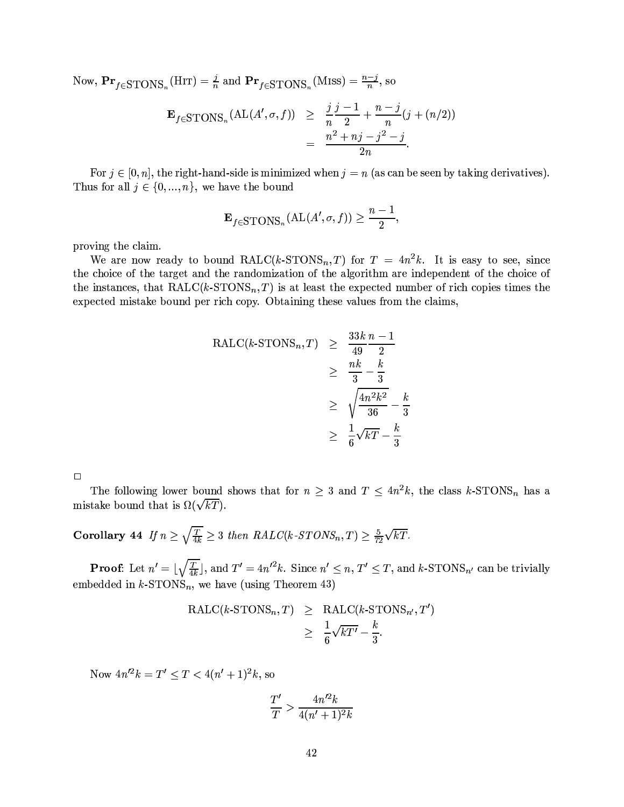Now,  $\mathbf{Pr}_{f \in STONS_n}(\text{HIT}) = \frac{j}{n}$  and  $\mathbf{Pr}_{f \in STONS_n}(\text{MISS}) = \frac{n-j}{n}$ , so

$$
\mathbf{E}_{f \in STONS_n}(\text{AL}(A', \sigma, f)) \geq \frac{j}{n} \frac{j-1}{2} + \frac{n-j}{n} (j + (n/2))
$$
  
= 
$$
\frac{n^2 + nj - j^2 - j}{2n}.
$$

For  $j \in [0, n]$ , the right-hand-side is minimized when  $j = n$  (as can be seen by taking derivatives). Thus for all  $j \in \{0, ..., n\}$ , we have the bound

$$
\mathbf{E}_{f \in STONS_n}(\mathbf{AL}(A', \sigma, f)) \ge \frac{n-1}{2},
$$

proving the claim.

We are now ready to bound RALC(k-STONS<sub>n</sub>, T) for  $T = 4n^2k$ . It is easy to see, since the choice of the target and the randomization of the algorithm are independent of the choice of the instances, that  $\text{RALC}(k\text{-STONS}_n, T)$  is at least the expected number of rich copies times the expected mistake bound per rich copy. Obtaining these values from the claims,

$$
\begin{array}{rcl}\n\text{RALC}(k\text{-STONS}_n, T) & \geq & \frac{33k}{49} \frac{n-1}{2} \\
& \geq & \frac{nk}{3} - \frac{k}{3} \\
& \geq & \sqrt{\frac{4n^2k^2}{36}} - \frac{k}{3} \\
& \geq & \frac{1}{6}\sqrt{kT} - \frac{k}{3}\n\end{array}
$$

 $\Box$ 

The following lower bound shows that for  $n \geq 3$  and  $T \leq 4n^2k$ , the class k-STONS<sub>n</sub> has a mistake bound that is  $\Omega(\sqrt{kT})$ .

**Corollary 44** If  $n \geq \sqrt{\frac{T}{4k}} \geq 3$  then  $RALC(k\text{-}STONS_n, T) \geq \frac{5}{72}\sqrt{kT}$ .

**Proof:** Let  $n' = \lfloor \sqrt{\frac{T}{4k}} \rfloor$ , and  $T' = 4n'^2k$ . Since  $n' \le n, T' \le T$ , and k-STONS<sub>n'</sub> can be trivially embedded in  $k$ -STONS<sub>n</sub>, we have (using Theorem 43)

$$
\begin{array}{rcl}\n\text{RALC}(k\text{-STONS}_n, T) & \geq & \text{RALC}(k\text{-STONS}_{n'}, T') \\
& \geq & \frac{1}{6} \sqrt{kT'} - \frac{k}{3}.\n\end{array}
$$

Now  $4n'^2k = T' \le T \le 4(n'+1)^2k$ , so

$$
\frac{T'}{T} > \frac{4n'^2k}{4(n'+1)^2k}
$$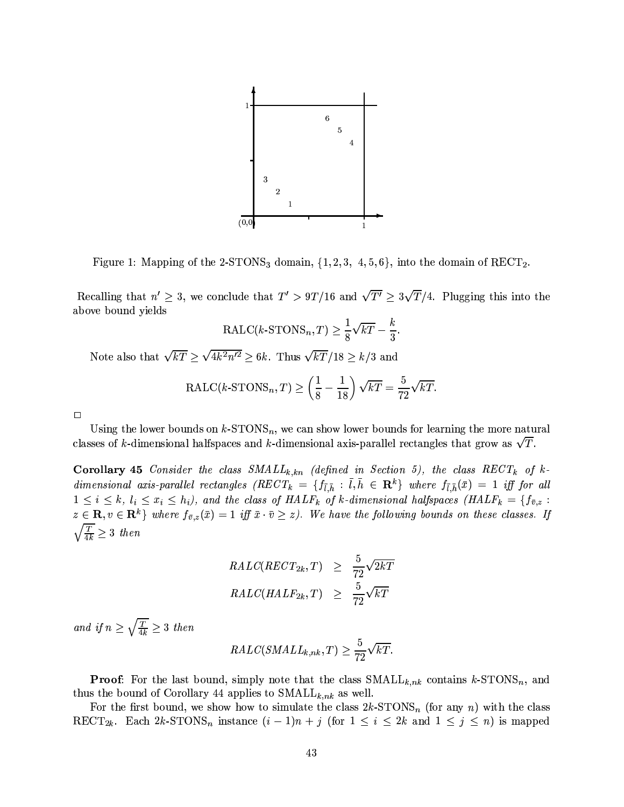

Figure 1: Mapping of the 2-STONS<sub>3</sub> domain,  $\{1, 2, 3, 4, 5, 6\}$ , into the domain of RECT<sub>2</sub>.

Recalling that  $n' \geq 3$ , we conclude that  $T' > 9T/16$  and  $\sqrt{T'} \geq 3\sqrt{T}/4$ . Plugging this into the above bound yields

$$
\text{RALC}(k\text{-STONS}_n, T) \ge \frac{1}{8}\sqrt{kT} - \frac{k}{3}
$$

Note also that  $\sqrt{kT} \ge \sqrt{4k^2n^2} \ge 6k$ . Thus  $\sqrt{kT}/18 \ge k/3$  and

$$
RALC(k\text{-STONS}_n, T) \ge \left(\frac{1}{8} - \frac{1}{18}\right)\sqrt{kT} = \frac{5}{72}\sqrt{kT}.
$$

 $\Box$ 

Using the lower bounds on  $k$ -STONS<sub>n</sub>, we can show lower bounds for learning the more natural classes of k-dimensional halfspaces and k-dimensional axis-parallel rectangles that grow as  $\sqrt{T}$ .

Corollary 45 Consider the class  $SMALL_{k, kn}$  (defined in Section 5), the class  $RECT_k$  of kdimensional axis-parallel rectangles  $(RECT_k = \{f_{\bar{l},\bar{h}} : \bar{l}, \bar{h} \in \mathbf{R}^k\}$  where  $f_{\bar{l},\bar{h}}(\bar{x}) = 1$  iff for all  $1 \leq i \leq k, l_i \leq x_i \leq h_i$ , and the class of  $HALF_k$  of k-dimensional halfspaces ( $HALF_k = \{f_{\bar{v},z} :$  $z \in \mathbf{R}, v \in \mathbf{R}^k$  where  $f_{\bar{v},z}(\bar{x}) = 1$  iff  $\bar{x} \cdot \bar{v} \ge z$ ). We have the following bounds on these classes. If  $\sqrt{\frac{T}{4k}} \geq 3$  then

$$
RALC(RECT_{2k}, T) \geq \frac{5}{72}\sqrt{2kT}
$$
  

$$
RALC(HALF_{2k}, T) \geq \frac{5}{72}\sqrt{kT}
$$

and if  $n \geq \sqrt{\frac{T}{4k}} \geq 3$  then

$$
RALC(SMALL_{k,nk}, T) \ge \frac{5}{72}\sqrt{kT}
$$

**Proof:** For the last bound, simply note that the class  $SMALL_{k,nk}$  contains  $k$ -STONS<sub>n</sub>, and thus the bound of Corollary 44 applies to  $SMALL_{k,nk}$  as well.

For the first bound, we show how to simulate the class  $2k$ -STONS<sub>n</sub> (for any n) with the class  $\text{RECT}_{2k}$ . Each  $2k$ -STONS<sub>n</sub> instance  $(i-1)n + j$  (for  $1 \leq i \leq 2k$  and  $1 \leq j \leq n$ ) is mapped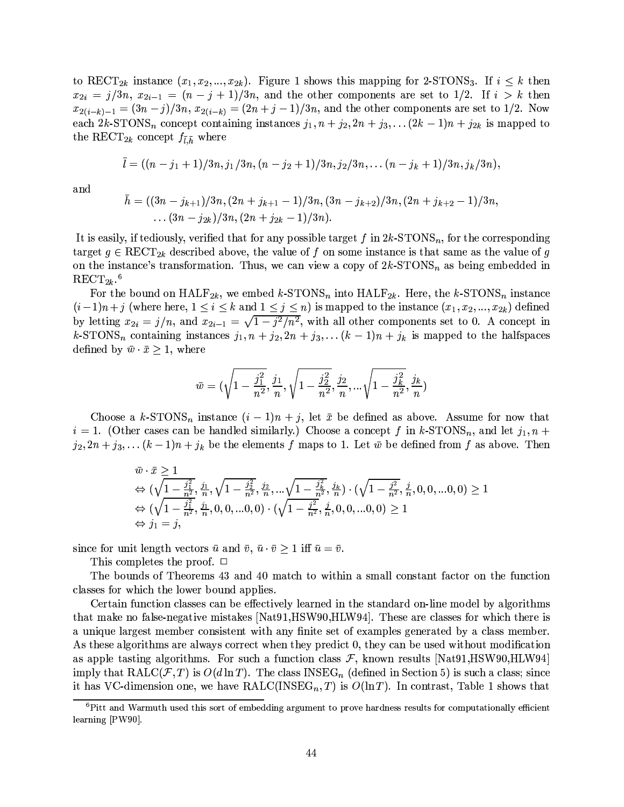to RECT<sub>2k</sub> instance  $(x_1, x_2, ..., x_{2k})$ . Figure 1 shows this mapping for 2-STONS<sub>3</sub>. If  $i \leq k$  then  $x_{2i} = j/3n$ ,  $x_{2i-1} = (n-j+1)/3n$ , and the other components are set to 1/2. If  $i > k$  then  $x_{2(i-k)-1} = (3n-j)/3n$ ,  $x_{2(i-k)} = (2n+j-1)/3n$ , and the other components are set to 1/2. Now each  $2k$ -STONS<sub>n</sub> concept containing instances  $j_1, n + j_2, 2n + j_3, \ldots (2k-1)n + j_{2k}$  is mapped to the RECT<sub>2k</sub> concept  $f_{\bar{l},\bar{h}}$  where

$$
\bar{l}=((n-j_1+1)/3n,j_1/3n,(n-j_2+1)/3n,j_2/3n,\ldots (n-j_k+1)/3n,j_k/3n),
$$

and

$$
h = \frac{((3n-j_{k+1})}{3n}, \frac{(2n+j_{k+1}-1)}{3n}, \frac{(3n-j_{k+2})}{3n}, \frac{(2n+j_{k+2}-1)}{3n}
$$
  
...
$$
\frac{(3n-j_{2k})}{3n}, \frac{(2n+j_{2k}-1)}{3n}.
$$

It is easily, if tediously, verified that for any possible target f in  $2k$ -STONS<sub>n</sub>, for the corresponding target  $g \in \text{RECT}_{2k}$  described above, the value of f on some instance is that same as the value of g on the instance's transformation. Thus, we can view a copy of  $2k$ -STONS<sub>n</sub> as being embedded in  $\text{RECT}_{2k}$ .<sup>6</sup>

For the bound on  $HALF_{2k}$ , we embed k-STONS<sub>n</sub> into  $HALF_{2k}$ . Here, the k-STONS<sub>n</sub> instance  $(i-1)n+j$  (where here,  $1 \le i \le k$  and  $1 \le j \le n$ ) is mapped to the instance  $(x_1, x_2, ..., x_{2k})$  defined by letting  $x_{2i} = j/n$ , and  $x_{2i-1} = \sqrt{1 - j^2/n^2}$ , with all other components set to 0. A concept in k-STONS<sub>n</sub> containing instances  $j_1, n + j_2, 2n + j_3, \ldots (k-1)n + j_k$  is mapped to the halfspaces defined by  $\bar{w} \cdot \bar{x} \geq 1$ , where

$$
\bar{w}=(\sqrt{1-\frac{j_1^2}{n^2}},\frac{j_1}{n},\sqrt{1-\frac{j_2^2}{n^2}},\frac{j_2}{n},...\sqrt{1-\frac{j_k^2}{n^2}},\frac{j_k}{n})
$$

Choose a k-STONS<sub>n</sub> instance  $(i-1)n + j$ , let  $\bar{x}$  be defined as above. Assume for now that  $i=1$ . (Other cases can be handled similarly.) Choose a concept f in k-STONS<sub>n</sub>, and let  $j_1, n+1$  $j_2, 2n + j_3, \ldots (k-1)n + j_k$  be the elements f maps to 1. Let  $\bar{w}$  be defined from f as above. Then

$$
\vec{w} \cdot \vec{x} \ge 1
$$
\n
$$
\Leftrightarrow (\sqrt{1 - \frac{j_1^2}{n^2}}, \frac{j_1}{n}, \sqrt{1 - \frac{j_2^2}{n^2}}, \frac{j_2}{n}, \dots, \sqrt{1 - \frac{j_k^2}{n^2}}, \frac{j_k}{n}) \cdot (\sqrt{1 - \frac{j^2}{n^2}}, \frac{j}{n}, 0, 0, \dots, 0, 0) \ge 1
$$
\n
$$
\Leftrightarrow (\sqrt{1 - \frac{j_1^2}{n^2}}, \frac{j_1}{n}, 0, 0, \dots, 0, 0) \cdot (\sqrt{1 - \frac{j^2}{n^2}}, \frac{j}{n}, 0, 0, \dots, 0, 0) \ge 1
$$
\n
$$
\Leftrightarrow j_1 = j,
$$

since for unit length vectors  $\bar{u}$  and  $\bar{v}$ ,  $\bar{u} \cdot \bar{v} \ge 1$  iff  $\bar{u} = \bar{v}$ .

This completes the proof.  $\Box$ 

The bounds of Theorems 43 and 40 match to within a small constant factor on the function classes for which the lower bound applies.

Certain function classes can be effectively learned in the standard on-line model by algorithms that make no false-negative mistakes [Nat91,HSW90,HLW94]. These are classes for which there is a unique largest member consistent with any finite set of examples generated by a class member. As these algorithms are always correct when they predict 0, they can be used without modification as apple tasting algorithms. For such a function class  $\mathcal{F}$ , known results [Nat91,HSW90,HLW94] imply that RALC( $\mathcal{F}, T$ ) is  $O(d \ln T)$ . The class INSEG<sub>n</sub> (defined in Section 5) is such a class; since it has VC-dimension one, we have RALC(INSEG<sub>n</sub>, T) is  $O(\ln T)$ . In contrast, Table 1 shows that

 ${}^{6}$ Pitt and Warmuth used this sort of embedding argument to prove hardness results for computationally efficient  $\epsilon$  learning [PW90].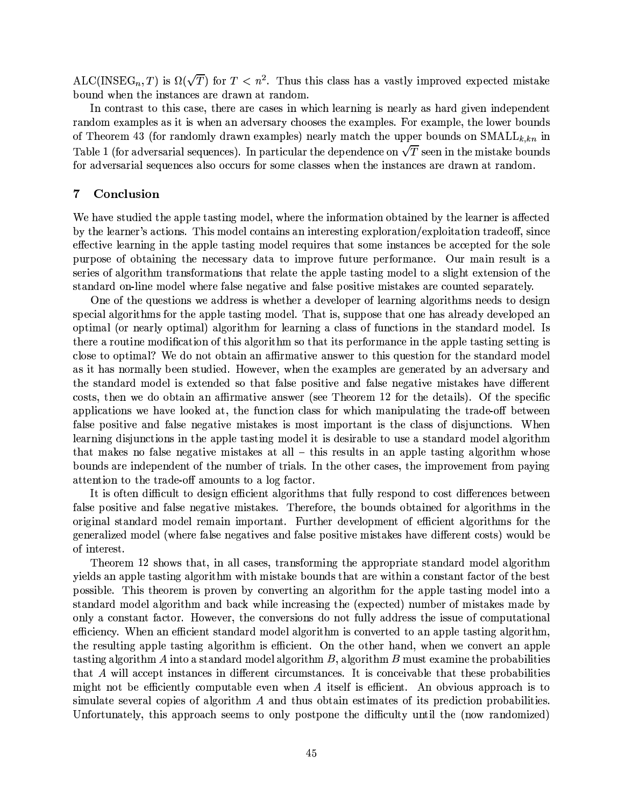ALC(INSEG<sub>n</sub>, T) is  $\Omega(\sqrt{T})$  for  $T < n^2$ . Thus this class has a vastly improved expected mistake bound when the instances are drawn at random.

In contrast to this case, there are cases in which learning is nearly as hard given independent random examples as it is when an adversary chooses the examples. For example, the lower bounds of Theorem 43 (for randomly drawn examples) nearly match the upper bounds on  $SMALL_{k, kn}$  in Table 1 (for adversarial sequences). In particular the dependence on  $\sqrt{T}$  seen in the mistake bounds for adversarial sequences also occurs for some classes when the instances are drawn at random.

# $\overline{\mathbf{7}}$ Conclusion

We have studied the apple tasting model, where the information obtained by the learner is affected by the learner's actions. This model contains an interesting exploration/exploitation tradeoff, since effective learning in the apple tasting model requires that some instances be accepted for the sole purpose of obtaining the necessary data to improve future performance. Our main result is a series of algorithm transformations that relate the apple tasting model to a slight extension of the standard on-line model where false negative and false positive mistakes are counted separately.

One of the questions we address is whether a developer of learning algorithms needs to design special algorithms for the apple tasting model. That is, suppose that one has already developed an optimal (or nearly optimal) algorithm for learning a class of functions in the standard model. Is there a routine modification of this algorithm so that its performance in the apple tasting setting is close to optimal? We do not obtain an affirmative answer to this question for the standard model as it has normally been studied. However, when the examples are generated by an adversary and the standard model is extended so that false positive and false negative mistakes have different costs, then we do obtain an affirmative answer (see Theorem 12 for the details). Of the specific applications we have looked at, the function class for which manipulating the trade-off between false positive and false negative mistakes is most important is the class of disjunctions. When learning disjunctions in the apple tasting model it is desirable to use a standard model algorithm that makes no false negative mistakes at all  $-$  this results in an apple tasting algorithm whose bounds are independent of the number of trials. In the other cases, the improvement from paying attention to the trade-off amounts to a log factor.

It is often difficult to design efficient algorithms that fully respond to cost differences between false positive and false negative mistakes. Therefore, the bounds obtained for algorithms in the original standard model remain important. Further development of efficient algorithms for the generalized model (where false negatives and false positive mistakes have different costs) would be of interest.

Theorem 12 shows that, in all cases, transforming the appropriate standard model algorithm yields an apple tasting algorithm with mistake bounds that are within a constant factor of the best possible. This theorem is proven by converting an algorithm for the apple tasting model into a standard model algorithm and back while increasing the (expected) number of mistakes made by only a constant factor. However, the conversions do not fully address the issue of computational efficiency. When an efficient standard model algorithm is converted to an apple tasting algorithm, the resulting apple tasting algorithm is efficient. On the other hand, when we convert an apple tasting algorithm A into a standard model algorithm  $B$ , algorithm  $B$  must examine the probabilities that A will accept instances in different circumstances. It is conceivable that these probabilities might not be efficiently computable even when  $A$  itself is efficient. An obvious approach is to simulate several copies of algorithm  $A$  and thus obtain estimates of its prediction probabilities. Unfortunately, this approach seems to only postpone the difficulty until the (now randomized)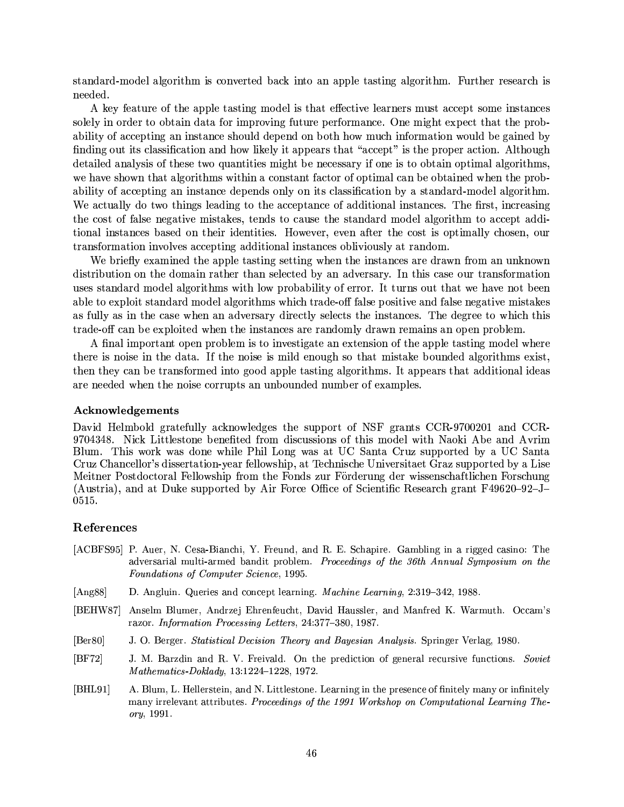standard-model algorithm is converted back into an apple tasting algorithm. Further research is needed.

A key feature of the apple tasting model is that effective learners must accept some instances solely in order to obtain data for improving future performance. One might expect that the probability of accepting an instance should depend on both how much information would be gained by finding out its classification and how likely it appears that "accept" is the proper action. Although detailed analysis of these two quantities might be necessary if one is to obtain optimal algorithms, we have shown that algorithms within a constant factor of optimal can be obtained when the probability of accepting an instance depends only on its classification by a standard-model algorithm. We actually do two things leading to the acceptance of additional instances. The first, increasing the cost of false negative mistakes, tends to cause the standard model algorithm to accept additional instances based on their identities. However, even after the cost is optimally chosen, our transformation involves accepting additional instances obliviously at random.

We briefly examined the apple tasting setting when the instances are drawn from an unknown distribution on the domain rather than selected by an adversary. In this case our transformation uses standard model algorithms with low probability of error. It turns out that we have not been able to exploit standard model algorithms which trade-off false positive and false negative mistakes as fully as in the case when an adversary directly selects the instances. The degree to which this trade-off can be exploited when the instances are randomly drawn remains an open problem.

A final important open problem is to investigate an extension of the apple tasting model where there is noise in the data. If the noise is mild enough so that mistake bounded algorithms exist, then they can be transformed into good apple tasting algorithms. It appears that additional ideas are needed when the noise corrupts an unbounded number of examples.

# Acknowledgements

David Helmbold gratefully acknowledges the support of NSF grants CCR-9700201 and CCR-9704348. Nick Littlestone benefited from discussions of this model with Naoki Abe and Avrim Blum. This work was done while Phil Long was at UC Santa Cruz supported by a UC Santa Cruz Chancellor's dissertation-year fellowship, at Technische Universitaet Graz supported by a Lise Meitner Postdoctoral Fellowship from the Fonds zur Förderung der wissenschaftlichen Forschung (Austria), and at Duke supported by Air Force Office of Scientific Research grant F49620–92–J– 0515.

# References

- [ACBFS95] P. Auer, N. Cesa-Bianchi, Y. Freund, and R. E. Schapire. Gambling in a rigged casino: The adversarial multi-armed bandit problem. Proceedings of the 36th Annual Symposium on the Foundations of Computer Science, 1995.
- D. Angluin. Queries and concept learning. Machine Learning, 2:319-342, 1988.  $[Ang 88]$
- [BEHW87] Anselm Blumer, Andrzej Ehrenfeucht, David Haussler, and Manfred K. Warmuth. Occam's razor. Information Processing Letters, 24:377-380, 1987.
- $[Ber80]$ J. O. Berger. Statistical Decision Theory and Bayesian Analysis. Springer Verlag, 1980.
- $[BF72]$ J. M. Barzdin and R. V. Freivald. On the prediction of general recursive functions. Soviet Mathematics-Doklady, 13:1224-1228, 1972.
- A. Blum, L. Hellerstein, and N. Littlestone. Learning in the presence of finitely many or infinitely  $[BHL91]$ many irrelevant attributes. Proceedings of the 1991 Workshop on Computational Learning Theory, 1991.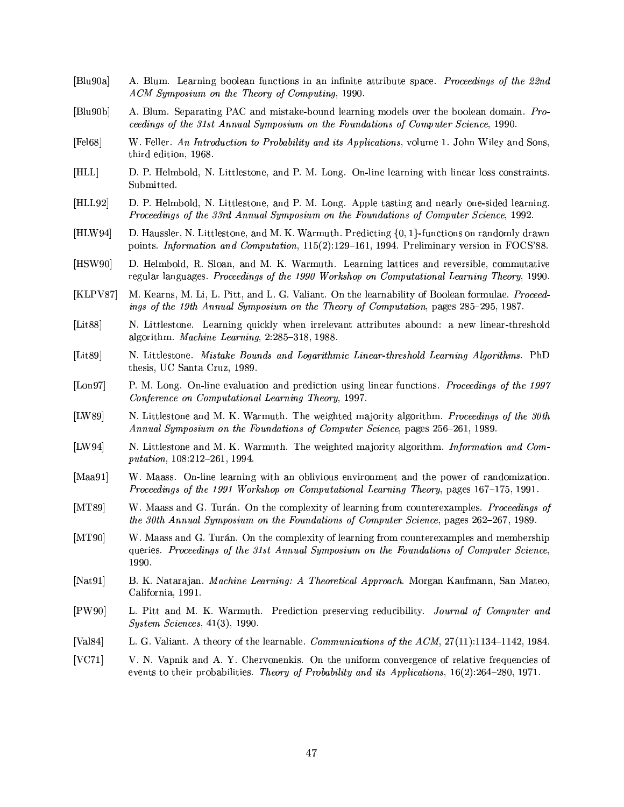- $[Blu90a]$ A. Blum. Learning boolean functions in an infinite attribute space. Proceedings of the 22nd ACM Symposium on the Theory of Computing, 1990.
- $[Blu90b]$ A. Blum. Separating PAC and mistake-bound learning models over the boolean domain. Proceedings of the 31st Annual Symposium on the Foundations of Computer Science, 1990.
- $[Fe168]$ W. Feller. An Introduction to Probability and its Applications, volume 1. John Wiley and Sons. third edition, 1968.
- [HLL] D. P. Helmbold, N. Littlestone, and P. M. Long. On-line learning with linear loss constraints. Submitted.
- $[HLL92]$ D. P. Helmbold, N. Littlestone, and P. M. Long. Apple tasting and nearly one-sided learning. Proceedings of the 33rd Annual Symposium on the Foundations of Computer Science, 1992.
- [HLW94] D. Haussler, N. Littlestone, and M. K. Warmuth. Predicting  $\{0, 1\}$ -functions on randomly drawn points. Information and Computation, 115(2):129-161, 1994. Preliminary version in FOCS'88.
- $[$ HSW90 $]$ D. Helmbold, R. Sloan, and M. K. Warmuth. Learning lattices and reversible, commutative regular languages. Proceedings of the 1990 Workshop on Computational Learning Theory, 1990.
- M. Kearns, M. Li, L. Pitt, and L. G. Valiant. On the learnability of Boolean formulae. Proceed- $\vert$ KLPV87 $\vert$ ings of the 19th Annual Symposium on the Theory of Computation, pages 285–295, 1987.
- $[Lits8]$ N. Littlestone. Learning quickly when irrelevant attributes abound: a new linear-threshold algorithm. Machine Learning,  $2:285-318$ , 1988.
- $[Lits9]$ N. Littlestone. Mistake Bounds and Logarithmic Linear-threshold Learning Algorithms. PhD thesis, UC Santa Cruz, 1989.
- $\lfloor$ Lon97 $\rfloor$ P. M. Long. On-line evaluation and prediction using linear functions. Proceedings of the 1997 Conference on Computational Learning Theory, 1997.
- [LW89] N. Littlestone and M. K. Warmuth. The weighted majority algorithm. Proceedings of the 30th Annual Symposium on the Foundations of Computer Science, pages 256-261, 1989.
- $[LW94]$ N. Littlestone and M. K. Warmuth. The weighted majority algorithm. Information and Computation, 108:212-261, 1994.
- $[Maa91]$ W. Maass. On-line learning with an oblivious environment and the power of randomization. Proceedings of the 1991 Workshop on Computational Learning Theory, pages 167–175, 1991.
- W. Maass and G. Turán. On the complexity of learning from counterexamples. *Proceedings of*  $[MT89]$ the 30th Annual Symposium on the Foundations of Computer Science, pages 262-267, 1989.
- $[MT90]$ W. Maass and G. Turán. On the complexity of learning from counterexamples and membership queries. Proceedings of the 31st Annual Symposium on the Foundations of Computer Science, 1990.
- $[Nat91]$ B. K. Natarajan. *Machine Learning: A Theoretical Approach*. Morgan Kaufmann, San Mateo, California, 1991.
- $[PW90]$ L. Pitt and M. K. Warmuth. Prediction preserving reducibility. Journal of Computer and  $System\, Sciences, 41(3), 1990.$
- $[Val84]$ L. G. Valiant. A theory of the learnable. Communications of the ACM, 27(11):1134-1142, 1984.
- $[VC71]$ V. N. Vapnik and A. Y. Chervonenkis. On the uniform convergence of relative frequencies of events to their probabilities. Theory of Probability and its Applications,  $16(2):264-280$ , 1971.